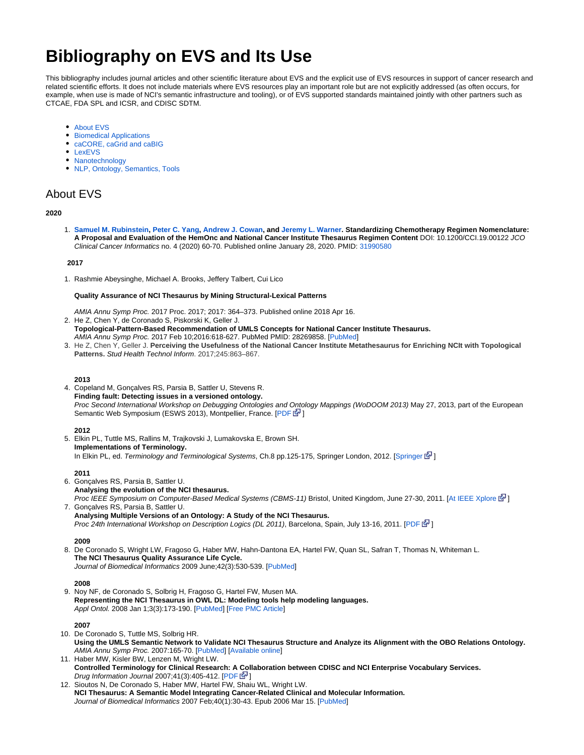# **Bibliography on EVS and Its Use**

This bibliography includes journal articles and other scientific literature about EVS and the explicit use of EVS resources in support of cancer research and related scientific efforts. It does not include materials where EVS resources play an important role but are not explicitly addressed (as often occurs, for example, when use is made of NCI's semantic infrastructure and tooling), or of EVS supported standards maintained jointly with other partners such as CTCAE, FDA SPL and ICSR, and CDISC SDTM.

- [About EVS](#page-0-0)
- [Biomedical Applications](#page-1-0)
- [caCORE, caGrid and caBIG](#page-10-0)
- [LexEVS](#page-10-1)
- [Nanotechnology](#page-11-0)
- [NLP, Ontology, Semantics, Tools](#page-12-0)

# <span id="page-0-0"></span>About EVS

#### **2020**

1. **[Samuel M. Rubinstein,](https://ascopubs.org/author/Rubinstein%2C+Samuel+M) [Peter C. Yang,](https://ascopubs.org/author/Yang%2C+Peter+C) [Andrew J. Cowan,](https://ascopubs.org/author/Cowan%2C+Andrew+J) and [Jeremy L. Warner](https://ascopubs.org/author/Warner%2C+Jeremy+L). Standardizing Chemotherapy Regimen Nomenclature: A Proposal and Evaluation of the HemOnc and National Cancer Institute Thesaurus Regimen Content** DOI: 10.1200/CCI.19.00122 JCO Clinical Cancer Informatics no. 4 (2020) 60-70. Published online January 28, 2020. PMID: [31990580](http://www.ncbi.nlm.nih.gov/pubmed/?term=31990580)

#### **2017**

1. Rashmie Abeysinghe, Michael A. Brooks, Jeffery Talbert, Cui Lico

#### **[Quality Assurance of NCI Thesaurus by Mining Structural-Lexical Patterns](https://www.ncbi.nlm.nih.gov/pmc/articles/PMC5977579/)**

- AMIA Annu Symp Proc. 2017 Proc. 2017; 2017: 364–373. Published online 2018 Apr 16.
- 2. He Z, Chen Y, de Coronado S, Piskorski K, Geller J.
- **Topological-Pattern-Based Recommendation of UMLS Concepts for National Cancer Institute Thesaurus.** AMIA Annu Symp Proc. 2017 Feb 10;2016:618-627. PubMed PMID: 28269858. [\[PubMed](https://www.ncbi.nlm.nih.gov/pubmed/28269858)]
- 3. He Z, Chen Y, Geller J. **Perceiving the Usefulness of the National Cancer Institute Metathesaurus for Enriching NCIt with Topological Patterns.** Stud Health Technol Inform. 2017;245:863–867.

#### **2013**

4. Copeland M, Gonçalves RS, Parsia B, Sattler U, Stevens R. **Finding fault: Detecting issues in a versioned ontology.** Proc Second International Workshop on Debugging Ontologies and Ontology Mappings (WoDOOM 2013) May 27, 2013, part of the European Semantic Web Symposium (ESWS 2013), Montpellier, France. [[PDF](http://www.ida.liu.se/%7Epatla/conferences/WoDOOM13/papers/WoDOOM_1.pdf) EV]

#### **2012**

5. Elkin PL, Tuttle MS, Rallins M, Trajkovski J, Lumakovska E, Brown SH. **Implementations of Terminology.** In Elkin PL, ed. Terminology and Terminological Systems, Ch.8 pp.125-175, [Springer](http://dx.doi.org/10.1007/978-1-4471-2816-8_8) London, 2012. [Springer  $\mathbb{F}$ ]

#### **2011**

- 6. Gonçalves RS, Parsia B, Sattler U. 7. Gonçalves RS, Parsia B, Sattler U. **Analysing the evolution of the NCI thesaurus.** Proc IEEE Symposium on Computer-Based Medical Systems (CBMS-11) Bristol, United Kingdom, June 27-30, 2011. [[At IEEE Xplore](http://ieeexplore.ieee.org/xpls/abs_all.jsp?arnumber=5999163&tag=1)  $\mathbb{F}$ ]
- **Analysing Multiple Versions of an Ontology: A Study of the NCI Thesaurus.** Proc 24th International Workshop on Description Logics (DL 2011), Barcelona, Spain, July 13-16, 2011. [[PDF](http://ceur-ws.org/Vol-745/paper_40.pdf)  $\mathbb{F}$ ]

#### **2009**

8. De Coronado S, Wright LW, Fragoso G, Haber MW, Hahn-Dantona EA, Hartel FW, Quan SL, Safran T, Thomas N, Whiteman L. **The NCI Thesaurus Quality Assurance Life Cycle.** Journal of Biomedical Informatics 2009 June;42(3):530-539. [\[PubMed](http://www.ncbi.nlm.nih.gov/pubmed/19475726)]

#### **2008**

9. Noy NF, de Coronado S, Solbrig H, Fragoso G, Hartel FW, Musen MA. **Representing the NCI Thesaurus in OWL DL: Modeling tools help modeling languages.** Appl Ontol. 2008 Jan 1;3(3):173-190. [[PubMed\]](http://www.ncbi.nlm.nih.gov/pubmed/19789731) [[Free PMC Article\]](http://www.ncbi.nlm.nih.gov/pmc/articles/PMC2753293/?tool=pubmed)

## **2007**

- 10. De Coronado S, Tuttle MS, Solbrig HR. **Using the UMLS Semantic Network to Validate NCI Thesaurus Structure and Analyze its Alignment with the OBO Relations Ontology.** AMIA Annu Symp Proc. 2007:165-70. [\[PubMed](http://www.ncbi.nlm.nih.gov/pubmed/18693819)] [\[Available online](http://www.ncbi.nlm.nih.gov/pmc/articles/PMC2655888/pdf/amia-0165-s2007.pdf)]
- 11. Haber MW, Kisler BW, Lenzen M, Wright LW. **Controlled Terminology for Clinical Research: A Collaboration between CDISC and NCI Enterprise Vocabulary Services.** Drug Information Journal 2007;41(3):405-412. [[PDF](http://www.cdisc.org/system/files/all/reference_material/application/pdf/diaj_terminology.pdf)  $\mathbb{F}$ ]
- 12. Sioutos N, De Coronado S, Haber MW, Hartel FW, Shaiu WL, Wright LW. **NCI Thesaurus: A Semantic Model Integrating Cancer-Related Clinical and Molecular Information.** Journal of Biomedical Informatics 2007 Feb;40(1):30-43. Epub 2006 Mar 15. [\[PubMed](http://www.ncbi.nlm.nih.gov/pubmed/16697710)]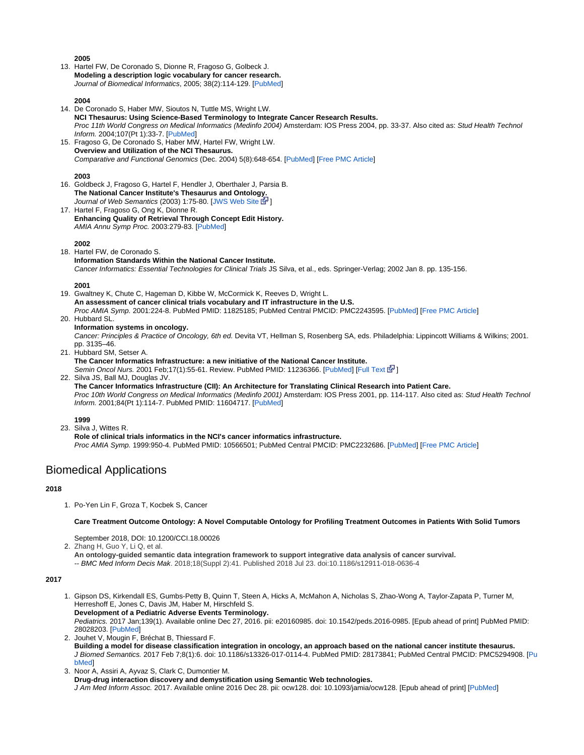**2005**

13. Hartel FW, De Coronado S, Dionne R, Fragoso G, Golbeck J. **Modeling a description logic vocabulary for cancer research.** Journal of Biomedical Informatics, 2005; 38(2):114-129. [[PubMed\]](http://www.ncbi.nlm.nih.gov/pubmed/15797001)

#### **2004**

- 14. De Coronado S, Haber MW, Sioutos N, Tuttle MS, Wright LW. **NCI Thesaurus: Using Science-Based Terminology to Integrate Cancer Research Results.** Proc 11th World Congress on Medical Informatics (Medinfo 2004) Amsterdam: IOS Press 2004, pp. 33-37. Also cited as: Stud Health Technol Inform. 2004;107(Pt 1):33-7. [\[PubMed](http://www.ncbi.nlm.nih.gov/pubmed/15360769)]
- 15. Fragoso G, De Coronado S, Haber MW, Hartel FW, Wright LW. **Overview and Utilization of the NCI Thesaurus.** Comparative and Functional Genomics (Dec. 2004) 5(8):648-654. [\[PubMed](http://www.ncbi.nlm.nih.gov/pubmed/18629178)] [\[Free PMC Article\]](http://www.ncbi.nlm.nih.gov/pmc/articles/PMC2447470/?tool=pubmed)

#### **2003**

- 16. Goldbeck J, Fragoso G, Hartel F, Hendler J, Oberthaler J, Parsia B. **The National Cancer Institute's Thesaurus and Ontology.** Journal of Web Semantics (2003) 1:75-80. [\[JWS Web Site](http://www.websemanticsjournal.org/index.php/ps/article/view/27) E<sup>1</sup>]
- 17. Hartel F, Fragoso G, Ong K, Dionne R. **Enhancing Quality of Retrieval Through Concept Edit History.** AMIA Annu Symp Proc. 2003:279-83. [\[PubMed](http://www.ncbi.nlm.nih.gov/pubmed/14728178)]

#### **2002**

18. Hartel FW, de Coronado S. **Information Standards Within the National Cancer Institute.** Cancer Informatics: Essential Technologies for Clinical Trials JS Silva, et al., eds. Springer-Verlag; 2002 Jan 8. pp. 135-156.

## **2001**

- 19. Gwaltney K, Chute C, Hageman D, Kibbe W, McCormick K, Reeves D, Wright L. **An assessment of cancer clinical trials vocabulary and IT infrastructure in the U.S.** Proc AMIA Symp. 2001:224-8. PubMed PMID: 11825185; PubMed Central PMCID: PMC2243595. [[PubMed\]](http://www.ncbi.nlm.nih.gov/pubmed/11825185) [[Free PMC Article\]](http://www.ncbi.nlm.nih.gov/pmc/articles/pmid/11825185/?tool=pubmed)
- 20. Hubbard SL.
	- **Information systems in oncology.**

Cancer: Principles & Practice of Oncology, 6th ed. Devita VT, Hellman S, Rosenberg SA, eds. Philadelphia: Lippincott Williams & Wilkins; 2001. pp. 3135–46.

21. Hubbard SM, Setser A. **The Cancer Informatics Infrastructure: a new initiative of the National Cancer Institute.**

Semin Oncol Nurs. 2001 Feb;17(1):55-61. Review. PubMed PMID: 11236366. [\[PubMed](http://www.ncbi.nlm.nih.gov/pubmed/11236366)] [\[Full Text](http://www.sciencedirect.com/science/article/pii/S0749208101800322) [St[\]](http://www.cancer.gov/policies/linking)]

22. Silva JS, Ball MJ, Douglas JV.

**The Cancer Informatics Infrastructure (CII): An Architecture for Translating Clinical Research into Patient Care.** Proc 10th World Congress on Medical Informatics (Medinfo 2001) Amsterdam: IOS Press 2001, pp. 114-117. Also cited as: Stud Health Technol Inform. 2001;84(Pt 1):114-7. PubMed PMID: 11604717. [[PubMed\]](http://www.ncbi.nlm.nih.gov/pubmed/11604717)

#### **1999**

23. Silva J, Wittes R.

**Role of clinical trials informatics in the NCI's cancer informatics infrastructure.** Proc AMIA Symp. 1999:950-4. PubMed PMID: 10566501; PubMed Central PMCID: PMC2232686. [[PubMed\]](http://www.ncbi.nlm.nih.gov/pubmed/10566501) [[Free PMC Article\]](http://www.ncbi.nlm.nih.gov/pmc/articles/PMC2232686/?tool=pubmed)

# <span id="page-1-0"></span>Biomedical Applications

# **2018**

1. Po-Yen Lin F, Groza T, Kocbek S, Cancer

**Care Treatment Outcome Ontology: A Novel Computable Ontology for Profiling Treatment Outcomes in Patients With Solid Tumors**

September 2018, DOI: 10.1200/CCI.18.00026

2. Zhang H, Guo Y, Li Q, et al.

**An ontology-guided semantic data integration framework to support integrative data analysis of cancer survival.** -- BMC Med Inform Decis Mak. 2018;18(Suppl 2):41. Published 2018 Jul 23. doi:10.1186/s12911-018-0636-4

#### **2017**

- 1. Gipson DS, Kirkendall ES, Gumbs-Petty B, Quinn T, Steen A, Hicks A, McMahon A, Nicholas S, Zhao-Wong A, Taylor-Zapata P, Turner M, Herreshoff E, Jones C, Davis JM, Haber M, Hirschfeld S. **Development of a Pediatric Adverse Events Terminology.** Pediatrics. 2017 Jan;139(1). Available online Dec 27, 2016. pii: e20160985. doi: 10.1542/peds.2016-0985. [Epub ahead of print] PubMed PMID: 28028203. [[PubMed\]](https://www.ncbi.nlm.nih.gov/pubmed/28028203)
- 2. Jouhet V, Mougin F, Bréchat B, Thiessard F. **Building a model for disease classification integration in oncology, an approach based on the national cancer institute thesaurus.** J Biomed Semantics. 2017 Feb 7;8(1):6. doi: 10.1186/s13326-017-0114-4. PubMed PMID: 28173841; PubMed Central PMCID: PMC5294908. [[Pu](https://www.ncbi.nlm.nih.gov/pubmed/28173841) [bMed\]](https://www.ncbi.nlm.nih.gov/pubmed/28173841)
- 3. Noor A, Assiri A, Ayvaz S, Clark C, Dumontier M.

**Drug-drug interaction discovery and demystification using Semantic Web technologies.**

J Am Med Inform Assoc. 2017. Available online 2016 Dec 28. pii: ocw128. doi: 10.1093/jamia/ocw128. [Epub ahead of print] [[PubMed\]](https://wiki.nci.nih.gov/PubMed PMID: 28031284.)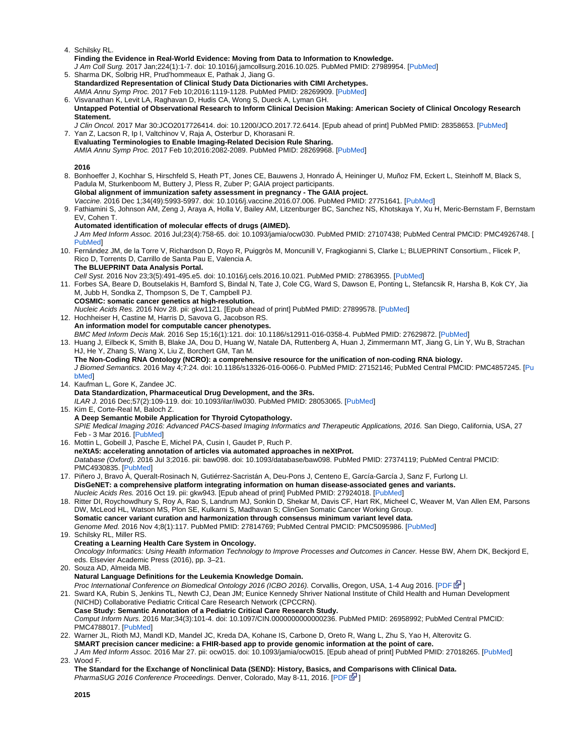- 4. Schilsky RL.
- **Finding the Evidence in Real-World Evidence: Moving from Data to Information to Knowledge.** J Am Coll Surg. 2017 Jan;224(1):1-7. doi: 10.1016/j.jamcollsurg.2016.10.025. PubMed PMID: 27989954. [\[PubMed](https://www.ncbi.nlm.nih.gov/pubmed/27989954)]
- 5. Sharma DK, Solbrig HR, Prud'hommeaux E, Pathak J, Jiang G. **Standardized Representation of Clinical Study Data Dictionaries with CIMI Archetypes.** AMIA Annu Symp Proc. 2017 Feb 10;2016:1119-1128. PubMed PMID: 28269909. [\[PubMed](https://www.ncbi.nlm.nih.gov/pubmed/28269909)]
- 6. Visvanathan K, Levit LA, Raghavan D, Hudis CA, Wong S, Dueck A, Lyman GH. **Untapped Potential of Observational Research to Inform Clinical Decision Making: American Society of Clinical Oncology Research Statement.**
- 7. Yan Z, Lacson R, Ip I, Valtchinov V, Raja A, Osterbur D, Khorasani R. J Clin Oncol. 2017 Mar 30:JCO2017726414. doi: 10.1200/JCO.2017.72.6414. [Epub ahead of print] PubMed PMID: 28358653. [\[PubMed](https://www.ncbi.nlm.nih.gov/pubmed/28358653)]
- **Evaluating Terminologies to Enable Imaging-Related Decision Rule Sharing.** AMIA Annu Symp Proc. 2017 Feb 10;2016:2082-2089. PubMed PMID: 28269968. [\[PubMed](https://www.ncbi.nlm.nih.gov/pubmed/28269968)]

# **2016**

8. Bonhoeffer J, Kochhar S, Hirschfeld S, Heath PT, Jones CE, Bauwens J, Honrado Á, Heininger U, Muñoz FM, Eckert L, Steinhoff M, Black S, 9. Fathiamini S, Johnson AM, Zeng J, Araya A, Holla V, Bailey AM, Litzenburger BC, Sanchez NS, Khotskaya Y, Xu H, Meric-Bernstam F, Bernstam 10. Fernández JM, de la Torre V, Richardson D, Royo R, Puiggròs M, Moncunill V, Fragkogianni S, Clarke L; BLUEPRINT Consortium., Flicek P, 11. Forbes SA, Beare D, Boutselakis H, Bamford S, Bindal N, Tate J, Cole CG, Ward S, Dawson E, Ponting L, Stefancsik R, Harsha B, Kok CY, Jia 12. Hochheiser H, Castine M, Harris D, Savova G, Jacobson RS. 13. Huang J, Eilbeck K, Smith B, Blake JA, Dou D, Huang W, Natale DA, Ruttenberg A, Huan J, Zimmermann MT, Jiang G, Lin Y, Wu B, Strachan 14. Kaufman L, Gore K, Zandee JC. 15. Kim E, Corte-Real M, Baloch Z. 16. Mottin L, Gobeill J, Pasche E, Michel PA, Cusin I, Gaudet P, Ruch P. 17. Piñero J, Bravo À, Queralt-Rosinach N, Gutiérrez-Sacristán A, Deu-Pons J, Centeno E, García-García J, Sanz F, Furlong LI. 18. Ritter DI, Roychowdhury S, Roy A, Rao S, Landrum MJ, Sonkin D, Shekar M, Davis CF, Hart RK, Micheel C, Weaver M, Van Allen EM, Parsons 19. Schilsky RL, Miller RS. 20. Souza AD, Almeida MB. 21. Sward KA, Rubin S, Jenkins TL, Newth CJ, Dean JM; Eunice Kennedy Shriver National Institute of Child Health and Human Development 22. Warner JL, Rioth MJ, Mandl KD, Mandel JC, Kreda DA, Kohane IS, Carbone D, Oreto R, Wang L, Zhu S, Yao H, Alterovitz G. 23. Wood F. Padula M, Sturkenboom M, Buttery J, Pless R, Zuber P; GAIA project participants. **Global alignment of immunization safety assessment in pregnancy - The GAIA project.** Vaccine. 2016 Dec 1;34(49):5993-5997. doi: 10.1016/j.vaccine.2016.07.006. PubMed PMID: 27751641. [\[PubMed](https://www.ncbi.nlm.nih.gov/pubmed/27751641)] EV, Cohen T. **Automated identification of molecular effects of drugs (AIMED).** J Am Med Inform Assoc. 2016 Jul;23(4):758-65. doi: 10.1093/jamia/ocw030. PubMed PMID: 27107438; PubMed Central PMCID: PMC4926748. [ [PubMed\]](https://www.ncbi.nlm.nih.gov/pubmed/27107438) Rico D, Torrents D, Carrillo de Santa Pau E, Valencia A. **The BLUEPRINT Data Analysis Portal.** Cell Syst. 2016 Nov 23;3(5):491-495.e5. doi: 10.1016/j.cels.2016.10.021. PubMed PMID: 27863955. [[PubMed\]](https://www.ncbi.nlm.nih.gov/pubmed/27863955) M, Jubb H, Sondka Z, Thompson S, De T, Campbell PJ. **COSMIC: somatic cancer genetics at high-resolution.** Nucleic Acids Res. 2016 Nov 28. pii: gkw1121. [Epub ahead of print] PubMed PMID: 27899578. [\[PubMed](https://www.ncbi.nlm.nih.gov/pubmed/27899578)] **An information model for computable cancer phenotypes.** BMC Med Inform Decis Mak. 2016 Sep 15;16(1):121. doi: 10.1186/s12911-016-0358-4. PubMed PMID: 27629872. [\[PubMed](http://www.ncbi.nlm.nih.gov/pubmed/27629872)] HJ, He Y, Zhang S, Wang X, Liu Z, Borchert GM, Tan M. **The Non-Coding RNA Ontology (NCRO): a comprehensive resource for the unification of non-coding RNA biology.** J Biomed Semantics. 2016 May 4;7:24. doi: 10.1186/s13326-016-0066-0. PubMed PMID: 27152146; PubMed Central PMCID: PMC4857245. [[Pu](https://www.ncbi.nlm.nih.gov/pubmed/27152146) [bMed\]](https://www.ncbi.nlm.nih.gov/pubmed/27152146) **Data Standardization, Pharmaceutical Drug Development, and the 3Rs.** ILAR J. 2016 Dec;57(2):109-119. doi: 10.1093/ilar/ilw030. PubMed PMID: 28053065. [[PubMed\]](https://www.ncbi.nlm.nih.gov/pubmed/28053065) **A Deep Semantic Mobile Application for Thyroid Cytopathology.** SPIE Medical Imaging 2016: Advanced PACS-based Imaging Informatics and Therapeutic Applications, 2016. San Diego, California, USA, 27 Feb - 3 Mar 2016. [[PubMed\]](http://edwardkim.net/pubs/fullpaper2016.pdf) **neXtA5: accelerating annotation of articles via automated approaches in neXtProt.** Database (Oxford). 2016 Jul 3;2016. pii: baw098. doi: 10.1093/database/baw098. PubMed PMID: 27374119; PubMed Central PMCID: PMC4930835. [\[PubMed](https://www.ncbi.nlm.nih.gov/pubmed/27374119)] **DisGeNET: a comprehensive platform integrating information on human disease-associated genes and variants.** Nucleic Acids Res. 2016 Oct 19. pii: gkw943. [Epub ahead of print] PubMed PMID: 27924018. [[PubMed\]](https://www.ncbi.nlm.nih.gov/pubmed/27924018) DW, McLeod HL, Watson MS, Plon SE, Kulkarni S, Madhavan S; ClinGen Somatic Cancer Working Group. **Somatic cancer variant curation and harmonization through consensus minimum variant level data.** Genome Med. 2016 Nov 4;8(1):117. PubMed PMID: 27814769; PubMed Central PMCID: PMC5095986. [\[PubMed](https://www.ncbi.nlm.nih.gov/pubmed/27814769)] **Creating a Learning Health Care System in Oncology.** Oncology Informatics: Using Health Information Technology to Improve Processes and Outcomes in Cancer. Hesse BW, Ahern DK, Beckjord E, eds. Elsevier Academic Press (2016), pp. 3–21. **Natural Language Definitions for the Leukemia Knowledge Domain.** Proc International Conference on Biomedical Ontology 2016 (ICBO 2016). Corvallis, Oregon, USA, 1-4 Aug 2016. [\[PDF](http://ceur-ws.org/Vol-1747/IT507_ICBO2016.pdf)  $\mathbb{F}$ [\]](http://www.cancer.gov/policies/linking) (NICHD) Collaborative Pediatric Critical Care Research Network (CPCCRN). **Case Study: Semantic Annotation of a Pediatric Critical Care Research Study.** Comput Inform Nurs. 2016 Mar;34(3):101-4. doi: 10.1097/CIN.0000000000000236. PubMed PMID: 26958992; PubMed Central PMCID: PMC4788017. [\[PubMed](https://www.ncbi.nlm.nih.gov/pubmed/26958992)] **SMART precision cancer medicine: a FHIR-based app to provide genomic information at the point of care.** J Am Med Inform Assoc. 2016 Mar 27. pii: ocw015. doi: 10.1093/jamia/ocw015. [Epub ahead of print] PubMed PMID: 27018265. [\[PubMed](http://www.ncbi.nlm.nih.gov/pubmed/27018265)] **The Standard for the Exchange of Nonclinical Data (SEND): History, Basics, and Comparisons with Clinical Data.**

PharmaSUG 2016 Conference Proceedings. Denver, Colorado, May 8-11, 2016. [\[PDF](http://www.pharmasug.org/proceedings/2016/SS/PharmaSUG-2016-SS13.pdf) 图]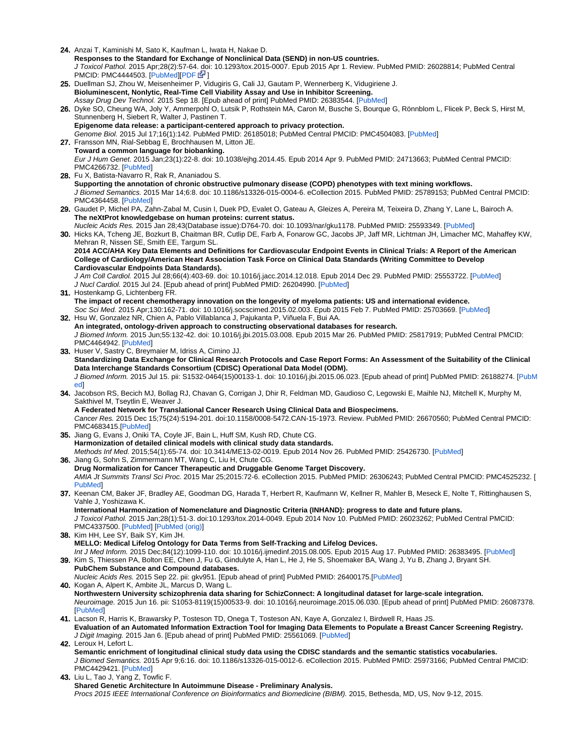24. Anzai T, Kaminishi M, Sato K, Kaufman L, Iwata H, Nakae D.

**Responses to the Standard for Exchange of Nonclinical Data (SEND) in non-US countries.** J Toxicol Pathol. 2015 Apr;28(2):57-64[. do](http://www.cancer.gov/policies/linking)i: 10.1293/tox.2015-0007. Epub 2015 Apr 1. Review. PubMed PMID: 26028814; PubMed Central PMCID: PMC4444503. [\[PubMed](http://www.ncbi.nlm.nih.gov/pubmed/26028814)][[PDF](http://www.pdslifesciences.com/Userfiles/Docs/PDS_SEND-non-US-WP_VF-4-2-15.pdf) **B**]

- 25. Duellman SJ, Zhou W, Meisenheimer P, Vidugiris G, Cali JJ, Gautam P, Wennerberg K, Vidugiriene J. **Bioluminescent, Nonlytic, Real-Time Cell Viability Assay and Use in Inhibitor Screening.** Assay Drug Dev Technol. 2015 Sep 18. [Epub ahead of print] PubMed PMID: 26383544. [\[PubMed](http://www.ncbi.nlm.nih.gov/pubmed/26383544)]
- 26. Dyke SO, Cheung WA, Joly Y, Ammerpohl O, Lutsik P, Rothstein MA, Caron M, Busche S, Bourque G, Rönnblom L, Flicek P, Beck S, Hirst M, Stunnenberg H, Siebert R, Walter J, Pastinen T.
- 27. Fransson MN, Rial-Sebbag E, Brochhausen M, Litton JE. **Epigenome data release: a participant-centered approach to privacy protection.** Genome Biol. 2015 Jul 17;16(1):142. PubMed PMID: 26185018; PubMed Central PMCID: PMC4504083. [[PubMed\]](http://www.ncbi.nlm.nih.gov/pubmed/26185018) **Toward a common language for biobanking.**

Eur J Hum Genet. 2015 Jan;23(1):22-8. doi: 10.1038/ejhg.2014.45. Epub 2014 Apr 9. PubMed PMID: 24713663; PubMed Central PMCID: PMC4266732. [\[PubMed](http://www.ncbi.nlm.nih.gov/pubmed/24713663)]

- 28. Fu X, Batista-Navarro R, Rak R, Ananiadou S. **Supporting the annotation of chronic obstructive pulmonary disease (COPD) phenotypes with text mining workflows.** J Biomed Semantics. 2015 Mar 14;6:8. doi: 10.1186/s13326-015-0004-6. eCollection 2015. PubMed PMID: 25789153; PubMed Central PMCID: PMC4364458. [\[PubMed](http://www.ncbi.nlm.nih.gov/pubmed/25789153)]
- 29. Gaudet P, Michel PA, Zahn-Zabal M, Cusin I, Duek PD, Evalet O, Gateau A, Gleizes A, Pereira M, Teixeira D, Zhang Y, Lane L, Bairoch A. **The neXtProt knowledgebase on human proteins: current status.**

30. Hicks KA, Tcheng JE, Bozkurt B, Chaitman BR, Cutlip DE, Farb A, Fonarow GC, Jacobs JP, Jaff MR, Lichtman JH, Limacher MC, Mahaffey KW, Nucleic Acids Res. 2015 Jan 28;43(Database issue):D764-70. doi: 10.1093/nar/gku1178. PubMed PMID: 25593349. [[PubMed\]](http://www.ncbi.nlm.nih.gov/pubmed/25593349) Mehran R, Nissen SE, Smith EE, Targum SL.

**2014 ACC/AHA Key Data Elements and Definitions for Cardiovascular Endpoint Events in Clinical Trials: A Report of the American College of Cardiology/American Heart Association Task Force on Clinical Data Standards (Writing Committee to Develop Cardiovascular Endpoints Data Standards).**

J Am Coll Cardiol. 2015 Jul 28;66(4):403-69. doi: 10.1016/j.jacc.2014.12.018. Epub 2014 Dec 29. PubMed PMID: 25553722. [\[PubMed](http://www.ncbi.nlm.nih.gov/pubmed/25553722)] J Nucl Cardiol. 2015 Jul 24. [Epub ahead of print] PubMed PMID: 26204990. [\[PubMed](http://www.ncbi.nlm.nih.gov/pubmed/26204990)]

31. Hostenkamp G, Lichtenberg FR.

32. Hsu W, Gonzalez NR, Chien A, Pablo Villablanca J, Pajukanta P, Viñuela F, Bui AA. **The impact of recent chemotherapy innovation on the longevity of myeloma patients: US and international evidence.** Soc Sci Med. 2015 Apr;130:162-71. doi: 10.1016/j.socscimed.2015.02.003. Epub 2015 Feb 7. PubMed PMID: 25703669. [[PubMed\]](http://www.ncbi.nlm.nih.gov/pubmed/25703669)

- **An integrated, ontology-driven approach to constructing observational databases for research.** J Biomed Inform. 2015 Jun;55:132-42. doi: 10.1016/j.jbi.2015.03.008. Epub 2015 Mar 26. PubMed PMID: 25817919; PubMed Central PMCID: PMC4464942. [\[PubMed](http://www.ncbi.nlm.nih.gov/pubmed/25817919)]
- 33. Huser V, Sastry C, Breymaier M, Idriss A, Cimino JJ. **Standardizing Data Exchange for Clinical Research Protocols and Case Report Forms: An Assessment of the Suitability of the Clinical Data Interchange Standards Consortium (CDISC) Operational Data Model (ODM).** J Biomed Inform. 2015 Jul 15. pii: S1532-0464(15)00133-1. doi: 10.1016/j.jbi.2015.06.023. [Epub ahead of print] PubMed PMID: 26188274. [\[PubM](http://www.ncbi.nlm.nih.gov/pubmed/26188274) [ed](http://www.ncbi.nlm.nih.gov/pubmed/26188274)]
- 34. Jacobson RS, Becich MJ, Bollag RJ, Chavan G, Corrigan J, Dhir R, Feldman MD, Gaudioso C, Legowski E, Maihle NJ, Mitchell K, Murphy M, Sakthivel M, Tseytlin E, Weaver J. **A Federated Network for Translational Cancer Research Using Clinical Data and Biospecimens.**

Cancer Res. 2015 Dec 15;75(24):5194-201. doi:10.1158/0008-5472.CAN-15-1973. Review. PubMed PMID: 26670560; PubMed Central PMCID: PMC4683415.[\[PubMed\]](http://www.ncbi.nlm.nih.gov/pubmed/26670560)

- 35. Jiang G, Evans J, Oniki TA, Coyle JF, Bain L, Huff SM, Kush RD, Chute CG. **Harmonization of detailed clinical models with clinical study data standards.** Methods Inf Med. 2015;54(1):65-74. doi: 10.3414/ME13-02-0019. Epub 2014 Nov 26. PubMed PMID: 25426730. [[PubMed\]](http://www.ncbi.nlm.nih.gov/pubmed/25426730)
- 36. Jiang G, Sohn S, Zimmermann MT, Wang C, Liu H, Chute CG. **Drug Normalization for Cancer Therapeutic and Druggable Genome Target Discovery.** AMIA Jt Summits Transl Sci Proc. 2015 Mar 25;2015:72-6. eCollection 2015. PubMed PMID: 26306243; PubMed Central PMCID: PMC4525232. [ [PubMed\]](http://www.ncbi.nlm.nih.gov/pubmed/26306243)
- 37. Keenan CM, Baker JF, Bradley AE, Goodman DG, Harada T, Herbert R, Kaufmann W, Kellner R, Mahler B, Meseck E, Nolte T, Rittinghausen S, Vahle J, Yoshizawa K.

**International Harmonization of Nomenclature and Diagnostic Criteria (INHAND): progress to date and future plans.** J Toxicol Pathol. 2015 Jan;28(1):51-3. doi:10.1293/tox.2014-0049. Epub 2014 Nov 10. PubMed PMID: 26023262; PubMed Central PMCID: PMC4337500. [\[PubMed](http://www.ncbi.nlm.nih.gov/pubmed/26023262)] [\[PubMed \(orig\)\]](http://www.ncbi.nlm.nih.gov/pubmed/25530274)

- 38. Kim HH, Lee SY, Baik SY, Kim JH. **MELLO: Medical Lifelog Ontology for Data Terms from Self-Tracking and Lifelog Devices.** Int J Med Inform. 2015 Dec;84(12):1099-110. doi: 10.1016/j.ijmedinf.2015.08.005. Epub 2015 Aug 17. PubMed PMID: 26383495. [[PubMed\]](http://www.ncbi.nlm.nih.gov/pubmed/26383495)
- 39. Kim S, Thiessen PA, Bolton EE, Chen J, Fu G, Gindulyte A, Han L, He J, He S, Shoemaker BA, Wang J, Yu B, Zhang J, Bryant SH. **PubChem Substance and Compound databases.** Nucleic Acids Res. 2015 Sep 22. pii: gkv951. [Epub ahead of print] PubMed PMID: 26400175.[[PubMed](http://www.ncbi.nlm.nih.gov/pubmed/26400175)]
- 40. Kogan A, Alpert K, Ambite JL, Marcus D, Wang L. **Northwestern University schizophrenia data sharing for SchizConnect: A longitudinal dataset for large-scale integration.** Neuroimage. 2015 Jun 16. pii: S1053-8119(15)00533-9. doi: 10.1016/j.neuroimage.2015.06.030. [Epub ahead of print] PubMed PMID: 26087378. [\[PubMed](http://www.ncbi.nlm.nih.gov/pubmed/26087378)]
- 41. Lacson R, Harris K, Brawarsky P, Tosteson TD, Onega T, Tosteson AN, Kaye A, Gonzalez I, Birdwell R, Haas JS. **Evaluation of an Automated Information Extraction Tool for Imaging Data Elements to Populate a Breast Cancer Screening Registry.** J Digit Imaging. 2015 Jan 6. [Epub ahead of print] PubMed PMID: 25561069. [\[PubMed](http://www.ncbi.nlm.nih.gov/pubmed/25561069)]

42. Leroux H, Lefort L.

- **Semantic enrichment of longitudinal clinical study data using the CDISC standards and the semantic statistics vocabularies.** J Biomed Semantics. 2015 Apr 9;6:16. doi: 10.1186/s13326-015-0012-6. eCollection 2015. PubMed PMID: 25973166; PubMed Central PMCID: PMC4429421. [\[PubMed](http://www.ncbi.nlm.nih.gov/pubmed/25973166)]
- **43.** Liu L, Tao J, Yang Z, Towfic F.

**Shared Genetic Architecture In Autoimmune Disease - Preliminary Analysis.** Procs 2015 IEEE International Conference on Bioinformatics and Biomedicine (BIBM). 2015, Bethesda, MD, US, Nov 9-12, 2015.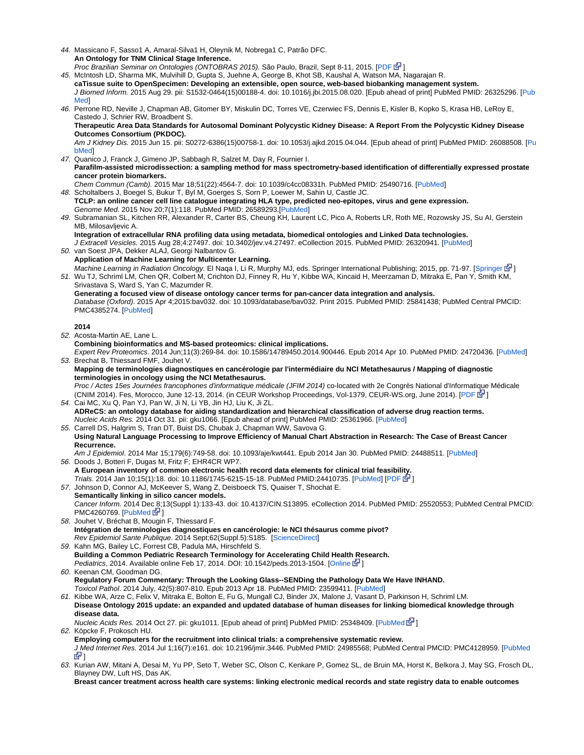44. Massicano F, Sasso1 A, Amaral-Silva1 H, Oleynik M, Nobrega1 C, Patrão DFC. **An Ontology for TNM Clinical Stage Inference.**

Proc Brazilian Seminar on Ontologies (ONTOBRAS 2015). São Paulo, Brazil, Sept 8-11, 2015. [\[PDF](http://ceur-ws.org/Vol-1442/paper_6.pdf) E [\]](http://www.cancer.gov/policies/linking)

- 45. McIntosh LD, Sharma MK, Mulvihill D, Gupta S, Juehne A, George B, Khot SB, Kaushal A, Watson MA, Nagarajan R. **caTissue suite to OpenSpecimen: Developing an extensible, open source, web-based biobanking management system.** J Biomed Inform. 2015 Aug 29. pii: S1532-0464(15)00188-4. doi: 10.1016/j.jbi.2015.08.020. [Epub ahead of print] PubMed PMID: 26325296. [[Pub](http://www.ncbi.nlm.nih.gov/pubmed/26325296) **Med**
- 46. Perrone RD, Neville J, Chapman AB, Gitomer BY, Miskulin DC, Torres VE, Czerwiec FS, Dennis E, Kisler B, Kopko S, Krasa HB, LeRoy E, Castedo J, Schrier RW, Broadbent S.

**Therapeutic Area Data Standards for Autosomal Dominant Polycystic Kidney Disease: A Report From the Polycystic Kidney Disease Outcomes Consortium (PKDOC).**

Am J Kidney Dis. 2015 Jun 15. pii: S0272-6386(15)00758-1. doi: 10.1053/j.ajkd.2015.04.044. [Epub ahead of print] PubMed PMID: 26088508. [\[Pu](http://www.ncbi.nlm.nih.gov/pubmed/26088508) [bMed\]](http://www.ncbi.nlm.nih.gov/pubmed/26088508)

- 47. Quanico J, Franck J, Gimeno JP, Sabbagh R, Salzet M, Day R, Fournier I. **Parafilm-assisted microdissection: a sampling method for mass spectrometry-based identification of differentially expressed prostate cancer protein biomarkers.** Chem Commun (Camb). 2015 Mar 18;51(22):4564-7. doi: 10.1039/c4cc08331h. PubMed PMID: 25490716. [[PubMed\]](http://www.ncbi.nlm.nih.gov/pubmed/25490716)
- 48. Scholtalbers J, Boegel S, Bukur T, Byl M, Goerges S, Sorn P, Loewer M, Sahin U, Castle JC. **TCLP: an online cancer cell line catalogue integrating HLA type, predicted neo-epitopes, virus and gene expression.** Genome Med. 2015 Nov 20;7(1):118. PubMed PMID: 26589293.[[PubMed\]](http://www.ncbi.nlm.nih.gov/pubmed/26589293)
- 49. Subramanian SL, Kitchen RR, Alexander R, Carter BS, Cheung KH, Laurent LC, Pico A, Roberts LR, Roth ME, Rozowsky JS, Su AI, Gerstein MB, Milosavljevic A.

**Integration of extracellular RNA profiling data using metadata, biomedical ontologies and Linked Data technologies.** J Extracell Vesicles. 2015 Aug 28;4:27497. doi: 10.3402/jev.v4.27497. eCollection 2015. PubMed PMID: 26320941. [\[PubMed](http://www.ncbi.nlm.nih.gov/pubmed/26320941)]

50. van Soest JPA, Dekker ALAJ, Georgi Nalbantov G. **Application of Machine Learning for Multicenter Learning.** Machine Learning in Radiation Oncology. El Naqa I, Li R, Murphy MJ, eds. [Springer](http://dx.doi.org/10.1007/978-3-319-18305-3_6) International Publishing; 2015, pp. 71-97. [Springer E<sup>1</sup>[\]](http://www.cancer.gov/policies/linking)

51. Wu TJ, Schriml LM, Chen QR, Colbert M, Crichton DJ, Finney R, Hu Y, Kibbe WA, Kincaid H, Meerzaman D, Mitraka E, Pan Y, Smith KM, Srivastava S, Ward S, Yan C, Mazumder R. **Generating a focused view of disease ontology cancer terms for pan-cancer data integration and analysis.** Database (Oxford). 2015 Apr 4;2015:bav032. doi: 10.1093/database/bav032. Print 2015. PubMed PMID: 25841438; PubMed Central PMCID: PMC4385274. [\[PubMed](http://www.ncbi.nlm.nih.gov/pubmed/25841438)]

# **2014**

52. Acosta-Martin AE, Lane L.

53. Brechat B, Thiessard FMF, Jouhet V. **Combining bioinformatics and MS-based proteomics: clinical implications.** Expert Rev Proteomics. 2014 Jun;11(3):269-84. doi: 10.1586/14789450.2014.900446. Epub 2014 Apr 10. PubMed PMID: 24720436. [[PubMed\]](http://www.ncbi.nlm.nih.gov/pubmed/24720436)

**Mapping de terminologies diagnostiques en cancérologie par l'intermédiaire du NCI Metathesaurus / Mapping of diagnostic terminologies in oncology using the NCI Metathesaurus.** Proc / Actes 15es Journées francophones d'informatique médicale (JFIM 2014) co-located with 2e Congrès National d'Informatique Médicale (CNIM 2014). Fes, Morocco, June 12-13, 2014. (in CEUR Workshop Proceedings, Vol-1379, CEUR-WS.org, June 2014). [[PDF](http://ceur-ws.org/Vol-1379/paper-04.pdf)  $\mathbb{E}^1$ ]

54. Cai MC, Xu Q, Pan YJ, Pan W, Ji N, Li YB, Jin HJ, Liu K, Ji ZL. **ADReCS: an ontology database for aiding standardization and hierarchical classification of adverse drug reaction terms.** Nucleic Acids Res. 2014 Oct 31. pii: gku1066. [Epub ahead of print] PubMed PMID: 25361966. [[PubMed](http://www.ncbi.nlm.nih.gov/pubmed/25361966)]

#### 55. Carrell DS, Halgrim S, Tran DT, Buist DS, Chubak J, Chapman WW, Savova G. **Using Natural Language Processing to Improve Efficiency of Manual Chart Abstraction in Research: The Case of Breast Cancer Recurrence.**

56. Doods J, Botteri F, Dugas M, Fritz F; EHR4CR WP7. Am J Epidemiol. 2014 Mar 15;179(6):749-58. doi: 10.1093/aje/kwt441. Epub 2014 Jan 30. PubMed PMID: 24488511. [[PubMed\]](http://www.ncbi.nlm.nih.gov/pubmed/24488511)

- 57. Johnson D, Connor AJ, McKeever S, Wang Z, Deisboeck TS, Quaiser T, Shochat E. **A European inventory of common electronic health record data elements for clinical trial feasibility.** Trials. 2014 Jan 10;15(1):18. doi: 10.1186/1745-6215-15-18. PubMed PMID:24410735. [[PubMed](http://www.ncbi.nlm.nih.gov/pubmed/24410735)] [[PDF](http://www.trialsjournal.com/content/pdf/1745-6215-15-18.pdf) ]
- 58. Jouhet V, Bréchat B, Mougin F, Thiessard F. **Semantically linking in silico cancer models.** Cancer Inform. 2014 Dec 8;13(Suppl 1):133-43. doi: 10.4137/CIN.S13895. eCollection 2014. PubMed PMID: 25520553; PubMed Central PMCID: PMC4260769.  $[PubMed <sup>2</sup>]$  $[PubMed <sup>2</sup>]$  $[PubMed <sup>2</sup>]$
- 59. Kahn MG, Bailey LC, Forrest CB, Padula MA, Hirschfeld S. **Intégration de terminologies diagnostiques en cancérologie: le NCI thésaurus comme pivot?** Rev Epidemiol Sante Publique. 2014 Sept;62(Suppl.5):S185. [\[ScienceDirect\]](http://www.sciencedirect.com/science/article/pii/S0398762014003964)
- 60. Keenan CM, Goodman DG. **Building a Common Pediatric Research Terminology for Accelerating Child Health Research.** Pediatrics, 2014. Available online Feb 17, 2014. DOI: 10.1542/peds.2013-1504. [\[Online](http://pediatrics.aappublications.org/content/early/2014/02/11/peds.2013-1504) **for**]
- **Regulatory Forum Commentary: Through the Looking Glass--SENDing the Pathology Data We Have INHAND.** Toxicol Pathol. 2014 July, 42(5):807-810. Epub 2013 Apr 18. PubMed PMID: 23599411. [[PubMed\]](http://www.ncbi.nlm.nih.gov/pubmed/23599411)
- 61. Kibbe WA, Arze C, Felix V, Mitraka E, Bolton E, Fu G, Mungall CJ, Binder JX, Malone J, Vasant D, Parkinson H, Schriml LM. **Disease Ontology 2015 update: an expanded and updated database of human diseases for linking biomedical knowledge through disease data.**

62. Köpcke F, Prokosch HU. Nucleic Acids Res. 2014 Oct 27. pii: gku1011. [Epub ahead of print] [PubMed](http://www.ncbi.nlm.nih.gov/pubmed/25348409) PMID: 25348409. [PubMed R ] **Employing computers for the recruitment into clinical trials: a comprehensive systematic review.** J Med Internet Res. 2014 Jul 1;16(7):e161. doi: 10.2196/jmir.3446. PubMed PMID: 24985568; PubMed Central PMCID: PMC4128959. [\[PubMed](http://www.ncbi.nlm.nih.gov/pubmed/24985568)

63. Kurian AW, Mitani A, Desai M, Yu PP, Seto T, Weber SC, Olson C, Kenkare P, Gomez SL, de Bruin MA, Horst K, Belkora J, May SG, Frosch DL, 31 Blayney DW, Luft HS, Das AK.

**Breast cancer treatment across health care systems: linking electronic medical records and state registry data to enable outcomes**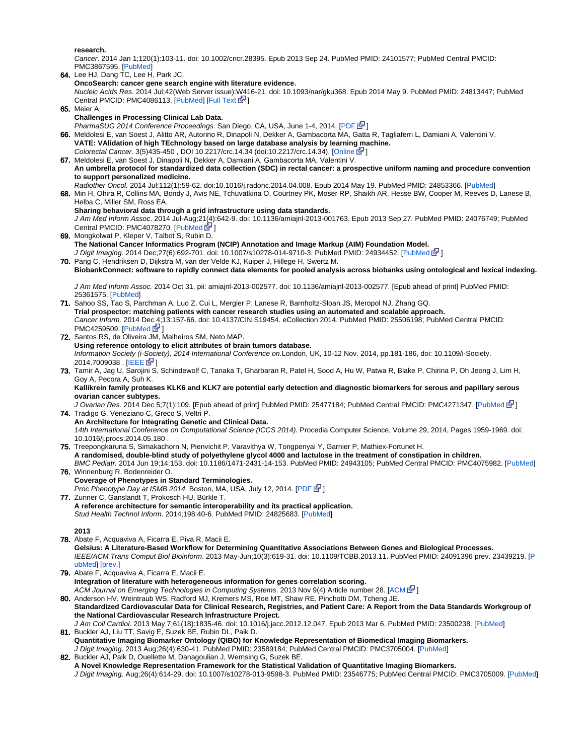**research.**

Cancer. 2014 Jan 1;120(1):103-11. doi: 10.1002/cncr.28395. Epub 2013 Sep 24. PubMed PMID: 24101577; PubMed Central PMCID: PMC3867595. [\[PubMed](http://www.ncbi.nlm.nih.gov/pubmed/24101577)]

- 64. Lee HJ, Dang TC, Lee H, Park JC. 65. Meier A. **OncoSearch: cancer gene search engine with literature evidence.** Nucleic Acids Res. 2014 Jul;42(Web Server issue):W416-21. doi: 10.1093/nar/gku368. Epub 2014 May 9. PubMed PMID: 24813447; PubMed Central PMCID: PMC4086113. [[PubMed\]](http://www.ncbi.nlm.nih.gov/pubmed/24813447) [[Full Text](http://nar.oxfordjournals.org/content/early/2014/05/09/nar.gku368.full)  $\mathbb{F}$ ]
- **Challenges in Processing Clinical Lab Data.**
- PharmaSUG 2014 Conference Proceedings. San Diego, CA, USA, June 1-4, 2014. [[PDF](http://pharmasug.org/proceedings/2014/IB/PharmaSUG-2014-IB01.pdf) E<sup>1</sup>]
- **66.** Meldolesi E, van Soest J, Alitto AR, Autorino R, Dinapoli N, Dekker A, Gambacorta MA, Gatta R, Tagliaferri L, Damiani A, Valentini V. **VATE: VAlidation of high TEchnology based on large database analysis by learning machine.** Colorectal Cancer. 3(5)435-450 , DOI 10.2217/crc.14.34 (doi:10.2217/crc.14.34). [\[Online](http://www.futuremedicine.com/doi/abs/10.2217/crc.14.34?journalCode=crc) [\]](http://www.cancer.gov/policies/linking)
- 67. Meldolesi E, van Soest J, Dinapoli N, Dekker A, Damiani A, Gambacorta MA, Valentini V. **An umbrella protocol for standardized data collection (SDC) in rectal cancer: a prospective uniform naming and procedure convention to support personalized medicine.**
- 68. Min H, Ohira R, Collins MA, Bondy J, Avis NE, Tchuvatkina O, Courtney PK, Moser RP, Shaikh AR, Hesse BW, Cooper M, Reeves D, Lanese B, Radiother Oncol. 2014 Jul;112(1):59-62. doi:10.1016/j.radonc.2014.04.008. Epub 2014 May 19. PubMed PMID: 24853366. [[PubMed](http://www.ncbi.nlm.nih.gov/pubmed/24853366)] Helba C, Miller SM, Ross EA.
- **Sharing behavioral data through a grid infrastructure using data standards.** J Am Med Inform Assoc. 2014 Jul-Aug;21(4):642-9. doi: 10.1136/amiajnl-2013-001763. Epub 2013 Sep 27. PubMed PMID: 24076749; PubMed
- Central PMCID: PMC4078270. [[PubMed](http://www.ncbi.nlm.nih.gov/pubmed/24076749)  $\bar{C}$ ]
- 69. Mongkolwat P, Kleper V, Talbot S, Rubin D. **The National Cancer Informatics Program (NCIP) Annotation and Image Markup (AIM) Foundation Model.** J Digit Imaging. 2014 Dec;27(6):692-701. doi: 10.1007/s10278-014-9710-3. [PubMed](http://www.ncbi.nlm.nih.gov/pubmed/24934452) PMID: 24934452. [PubMed [4]]
- 70. Pang C, Hendriksen D, Dijkstra M, van der Velde KJ, Kuiper J, Hillege H, Swertz M. **BiobankConnect: software to rapidly connect data elements for pooled analysis across biobanks using ontological and lexical indexing.**

J Am Med Inform Assoc. 2014 Oct 31. pii: amiajnl-2013-002577. doi: 10.1136/amiajnl-2013-002577. [Epub ahead of print] PubMed PMID: 25361575. [[PubMed\]](http://www.ncbi.nlm.nih.gov/pubmed/25361575)

- 71. Sahoo SS, Tao S, Parchman A, Luo Z, Cui L, Mergler P, Lanese R, Barnholtz-Sloan JS, Meropol NJ, Zhang GQ. 72. Santos RS, de Oliveira JM, Malheiros SM, Neto MAP. **Trial prospector: matching patients with cancer research studies using an automated and scalable approach.** Cancer Inform. 2014 Dec 4;13:157-66. doi: 10.4137/CIN.S19454. eCollection 2014. PubMed PMID: 25506198; PubMed Central PMCID: PMC4259509. [\[PubMed](http://www.ncbi.nlm.nih.gov/pubmed/25506198)  $\vec{S}$ [\]](http://www.cancer.gov/policies/linking)
- **Using reference ontology to elicit attributes of brain tumors database.** Information Society (i-Society), 2014 International Conference on.London, UK, 10-12 Nov. 2014, pp.181-186, doi: 10.1109/i-Society. 2014.7009038 . [\[IEEE](http://ieeexplore.ieee.org/xpls/abs_all.jsp?arnumber=7009038) G<sup>D</sup>]
- 73. Tamir A, Jag U, Sarojini S, Schindewolf C, Tanaka T, Gharbaran R, Patel H, Sood A, Hu W, Patwa R, Blake P, Chirina P, Oh Jeong J, Lim H, Goy A, Pecora A, Suh K.

**Kallikrein family proteases KLK6 and KLK7 are potential early detection and diagnostic biomarkers for serous and papillary serous ovarian cancer subtypes.**

74. Tradigo G, Veneziano C, Greco S, Veltri P. J Ovarian Res. 2014 Dec 5;7(1):109. [Epub ahead of print] PubMed PMID: 25477184; PubMed Central PMCID: PMC4271347. [\[PubMed](http://www.ncbi.nlm.nih.gov/pubmed/25477184)  $\mathbb{F}$ [\]](http://www.cancer.gov/policies/linking)

- **An Architecture for Integrating Genetic and Clinical Data.** 14th International Conference on Computational Science (ICCS 2014). Procedia Computer Science, Volume 29, 2014, Pages 1959-1969. doi: 10.1016/j.procs.2014.05.180 .
- 75. Treepongkaruna S, Simakachorn N, Pienvichit P, Varavithya W, Tongpenyai Y, Garnier P, Mathiex-Fortunet H. 76. Winnenburg R, Bodenreider O. **A randomised, double-blind study of polyethylene glycol 4000 and lactulose in the treatment of constipation in children.** BMC Pediatr. 2014 Jun 19;14:153. doi: 10.1186/1471-2431-14-153. PubMed PMID: 24943105; PubMed Central PMCID: PMC4075982. [[PubMed\]](http://www.ncbi.nlm.nih.gov/pubmed/24943105)
- **Coverage of Phenotypes in Standard Terminologies.** Proc Phenotype Day at ISMB 2014. Boston, MA, USA, July 12, 2014. [[PDF](http://phenoday2014.bio-lark.org/pdf/5.pdf) & [\]](http://www.cancer.gov/policies/linking)
- 77. Zunner C, Ganslandt T, Prokosch HU, Bürkle T. **A reference architecture for semantic interoperability and its practical application.** Stud Health Technol Inform. 2014;198:40-6. PubMed PMID: 24825683. [[PubMed\]](http://www.ncbi.nlm.nih.gov/pubmed/24825683)

**2013**

- 78. Abate F, Acquaviva A, Ficarra E, Piva R, Macii E. **Gelsius: A Literature-Based Workflow for Determining Quantitative Associations Between Genes and Biological Processes.** IEEE/ACM Trans Comput Biol Bioinform. 2013 May-Jun;10(3):619-31. doi: 10.1109/TCBB.2013.11. PubMed PMID: 24091396 prev. 23439219. [\[P](http://www.ncbi.nlm.nih.gov/pubmed/24091396) [ubMed\]](http://www.ncbi.nlm.nih.gov/pubmed/24091396) [\[prev.\]](http://www.ncbi.nlm.nih.gov/pubmed/23439219)
- 79. Abate F, Acquaviva A, Ficarra E, Macii E. **Integration of literature with heterogeneous information for genes correlation scoring.** [ACM](http://dl.acm.org/citation.cfm?id=2504728) Journal on Emerging Technologies in Computing Systems. 2013 Nov 9(4) Article number 28. [ACM EP[\]](http://www.cancer.gov/policies/linking)
- 80. Anderson HV, Weintraub WS, Radford MJ, Kremers MS, Roe MT, Shaw RE, Pinchotti DM, Tcheng JE. **Standardized Cardiovascular Data for Clinical Research, Registries, and Patient Care: A Report from the Data Standards Workgroup of the National Cardiovascular Research Infrastructure Project.** J Am Coll Cardiol. 2013 May 7;61(18):1835-46. doi: 10.1016/j.jacc.2012.12.047. Epub 2013 Mar 6. PubMed PMID: 23500238. [[PubMed](http://www.ncbi.nlm.nih.gov/pubmed/23500238)]
- 81. Buckler AJ, Liu TT, Savig E, Suzek BE, Rubin DL, Paik D. **Quantitative Imaging Biomarker Ontology (QIBO) for Knowledge Representation of Biomedical Imaging Biomarkers.** J Digit Imaging. 2013 Aug;26(4):630-41. PubMed PMID: 23589184; PubMed Central PMCID: PMC3705004. [\[PubMed](http://www.ncbi.nlm.nih.gov/pubmed/23589184)]

82. Buckler AJ, Paik D, Ouellette M, Danagoulian J, Wernsing G, Suzek BE. **A Novel Knowledge Representation Framework for the Statistical Validation of Quantitative Imaging Biomarkers.** J Digit Imaging. Aug;26(4):614-29. doi: 10.1007/s10278-013-9598-3. PubMed PMID: 23546775; PubMed Central PMCID: PMC3705009. [\[PubMed](http://www.ncbi.nlm.nih.gov/pubmed/23546775)]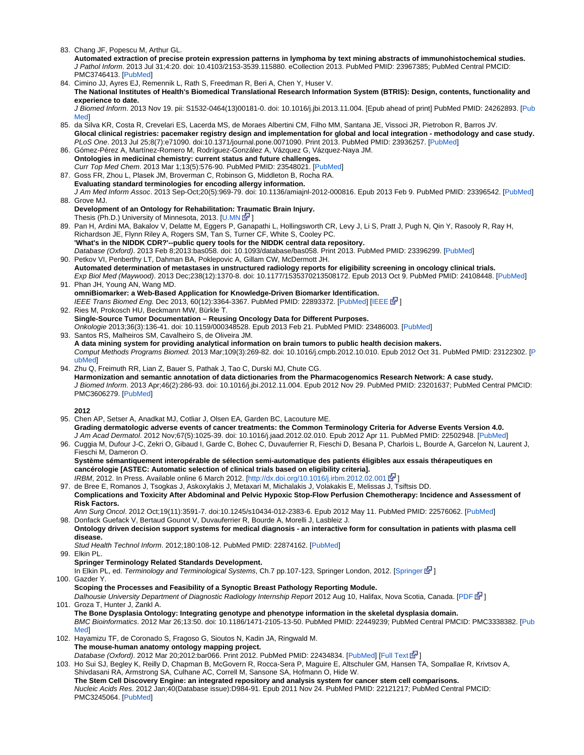83. Chang JF, Popescu M, Arthur GL.

**Automated extraction of precise protein expression patterns in lymphoma by text mining abstracts of immunohistochemical studies.** J Pathol Inform. 2013 Jul 31;4:20. doi: 10.4103/2153-3539.115880. eCollection 2013. PubMed PMID: 23967385; PubMed Central PMCID: PMC3746413. [\[PubMed](http://www.ncbi.nlm.nih.gov/pubmed/23967385)]

- 84. Cimino JJ, Ayres EJ, Remennik L, Rath S, Freedman R, Beri A, Chen Y, Huser V. **The National Institutes of Health's Biomedical Translational Research Information System (BTRIS): Design, contents, functionality and experience to date.** J Biomed Inform. 2013 Nov 19. pii: S1532-0464(13)00181-0. doi: 10.1016/j.jbi.2013.11.004. [Epub ahead of print] PubMed PMID: 24262893. [[Pub](http://www.ncbi.nlm.nih.gov/pubmed/24262893)
- 85. da Silva KR, Costa R, Crevelari ES, Lacerda MS, de Moraes Albertini CM, Filho MM, Santana JE, Vissoci JR, Pietrobon R, Barros JV. [Med\]](http://www.ncbi.nlm.nih.gov/pubmed/24262893) **Glocal clinical registries: pacemaker registry design and implementation for global and local integration - methodology and case study.**
- 86. Gómez-Pérez A, Martínez-Romero M, Rodríguez-González A, Vázquez G, Vázquez-Naya JM. PLoS One. 2013 Jul 25;8(7):e71090. doi:10.1371/journal.pone.0071090. Print 2013. PubMed PMID: 23936257. [\[PubMed](http://www.ncbi.nlm.nih.gov/pubmed/23936257)]
- **Ontologies in medicinal chemistry: current status and future challenges.** Curr Top Med Chem. 2013 Mar 1;13(5):576-90. PubMed PMID: 23548021. [\[PubMed](http://www.ncbi.nlm.nih.gov/pubmed/23548021)]
- 87. Goss FR, Zhou L, Plasek JM, Broverman C, Robinson G, Middleton B, Rocha RA. **Evaluating standard terminologies for encoding allergy information.** J Am Med Inform Assoc. 2013 Sep-Oct;20(5):969-79. doi: 10.1136/amiajnl-2012-000816. Epub 2013 Feb 9. PubMed PMID: 23396542. [[PubMed](http://www.ncbi.nlm.nih.gov/pubmed/23396542)]
- 88. Grove MJ.
- **Development of an Ontology for Rehabilitation: Traumatic Brain Injury.** Thesis (Ph.D.) University of Minnesota, 2013. [\[U.MN](http://conservancy.umn.edu/bitstream/159711/1/Grove_umn_0130E_14344.pdf)  $\mathbb{N}$ [\]](http://www.cancer.gov/policies/linking)
- 89. Pan H, Ardini MA, Bakalov V, Delatte M, Eggers P, Ganapathi L, Hollingsworth CR, Levy J, Li S, Pratt J, Pugh N, Qin Y, Rasooly R, Ray H, Richardson JE, Flynn Riley A, Rogers SM, Tan S, Turner CF, White S, Cooley PC. **'What's in the NIDDK CDR?'--public query tools for the NIDDK central data repository.** Database (Oxford). 2013 Feb 8;2013:bas058. doi: 10.1093/database/bas058. Print 2013. PubMed PMID: 23396299. [\[PubMed](http://www.ncbi.nlm.nih.gov/pubmed/23396299)]
- 90. Petkov VI, Penberthy LT, Dahman BA, Poklepovic A, Gillam CW, McDermott JH. 91. Phan JH, Young AN, Wang MD. **Automated determination of metastases in unstructured radiology reports for eligibility screening in oncology clinical trials.** Exp Biol Med (Maywood). 2013 Dec;238(12):1370-8. doi: 10.1177/1535370213508172. Epub 2013 Oct 9. PubMed PMID: 24108448. [\[PubMed](http://www.ncbi.nlm.nih.gov/pubmed/24108448)]
- **omniBiomarker: a Web-Based Application for Knowledge-Driven Biomarker Identification.** IEEE Trans Biomed Eng. Dec 2013, 60(12):3364-3367. PubMed PMID: 22893372. [\[PubMed](http://www.ncbi.nlm.nih.gov/pubmed/22893372)] [\[IEEE](http://ieeexplore.ieee.org/stamp/stamp.jsp?arnumber=6263287) E<sup>7</sup>]
- 92. Ries M, Prokosch HU, Beckmann MW, Bürkle T. **Single-Source Tumor Documentation – Reusing Oncology Data for Different Purposes.** Onkologie 2013;36(3):136-41. doi: 10.1159/000348528. Epub 2013 Feb 21. PubMed PMID: 23486003. [\[PubMed](http://www.ncbi.nlm.nih.gov/pubmed/23486003)]
- 93. Santos RS, Malheiros SM, Cavalheiro S, de Oliveira JM. **A data mining system for providing analytical information on brain tumors to public health decision makers.** Comput Methods Programs Biomed. 2013 Mar;109(3):269-82. doi: 10.1016/j.cmpb.2012.10.010. Epub 2012 Oct 31. PubMed PMID: 23122302. [\[P](http://www.ncbi.nlm.nih.gov/pubmed/23122302) [ubMed\]](http://www.ncbi.nlm.nih.gov/pubmed/23122302)
- 94. Zhu Q, Freimuth RR, Lian Z, Bauer S, Pathak J, Tao C, Durski MJ, Chute CG. **Harmonization and semantic annotation of data dictionaries from the Pharmacogenomics Research Network: A case study.** J Biomed Inform. 2013 Apr;46(2):286-93. doi: 10.1016/j.jbi.2012.11.004. Epub 2012 Nov 29. PubMed PMID: 23201637; PubMed Central PMCID: PMC3606279. [\[PubMed](http://www.ncbi.nlm.nih.gov/pubmed/23201637)]

**2012**

- 95. Chen AP, Setser A, Anadkat MJ, Cotliar J, Olsen EA, Garden BC, Lacouture ME. **Grading dermatologic adverse events of cancer treatments: the Common Terminology Criteria for Adverse Events Version 4.0.** J Am Acad Dermatol. 2012 Nov;67(5):1025-39. doi: 10.1016/j.jaad.2012.02.010. Epub 2012 Apr 11. PubMed PMID: 22502948. [[PubMed\]](http://www.ncbi.nlm.nih.gov/pubmed/22502948)
- 96. Cuggia M, Dufour J-C, Zekri O, Gibaud I, Garde C, Bohec C, Duvauferrier R, Fieschi D, Besana P, Charlois L, Bourde A, Garcelon N, Laurent J, Fieschi M, Dameron O.

**Système sémantiquement interopérable de sélection semi-automatique des patients éligibles aux essais thérapeutiques en cancérologie [ASTEC: Automatic selection of clinical trials based on eligibility criteria].**

IRBM, 2012. In Press. Available online 6 March 2012. [\[http://dx.doi.org/10.1016/j.irbm.2012.02.001](http://dx.doi.org/10.1016/j.irbm.2012.02.001)  $\mathbb{F}$ [\]](http://www.cancer.gov/policies/linking)

97. de Bree E, Romanos J, Tsogkas J, Askoxylakis J, Metaxari M, Michalakis J, Volakakis E, Melissas J, Tsiftsis DD. **Complications and Toxicity After Abdominal and Pelvic Hypoxic Stop-Flow Perfusion Chemotherapy: Incidence and Assessment of Risk Factors.**

98. Donfack Guefack V, Bertaud Gounot V, Duvauferrier R, Bourde A, Morelli J, Lasbleiz J. Ann Surg Oncol. 2012 Oct;19(11):3591-7. doi:10.1245/s10434-012-2383-6. Epub 2012 May 11. PubMed PMID: 22576062. [[PubMed](http://www.ncbi.nlm.nih.gov/pubmed/22576062)]

**Ontology driven decision support systems for medical diagnosis - an interactive form for consultation in patients with plasma cell disease.**

99. Elkin PL. Stud Health Technol Inform. 2012;180:108-12. PubMed PMID: 22874162. [[PubMed\]](http://www.ncbi.nlm.nih.gov/pubmed/22874162)

**Springer Terminology Related Standards Development.**

PMC3245064. [\[PubMed](http://www.ncbi.nlm.nih.gov/pubmed/22121217)]

- 100. Gazder Y. In Elkin PL, ed. Terminology and Terminological Systems, Ch.7 pp.107-123, [Springer](http://dx.doi.org/10.1007/978-1-4471-2816-8_7) London, 2012. [Springer  $\mathbb{F}$ [\]](http://www.cancer.gov/policies/linking)
- 101. Groza T, Hunter J, Zankl A. **Scoping the Processes and Feasibility of a Synoptic Breast Pathology Reporting Module.** Dalhousie University Department of Diagnostic Radiology Internship Report 2012 Aug 10, Halifax, Nova Scotia, Canada. [\[PDF](http://dalspace.library.dal.ca/bitstream/handle/10222/15495/GazderY-InternshipReport.pdf)  $\mathbb{F}$ [\]](http://www.cancer.gov/policies/linking) **The Bone Dysplasia Ontology: Integrating genotype and phenotype information in the skeletal dysplasia domain.**
	- BMC Bioinformatics. 2012 Mar 26;13:50. doi: 10.1186/1471-2105-13-50. PubMed PMID: 22449239; PubMed Central PMCID: PMC3338382. [\[Pub](http://www.ncbi.nlm.nih.gov/pubmed/22449239) [Med\]](http://www.ncbi.nlm.nih.gov/pubmed/22449239)
- 102. Hayamizu TF, de Coronado S, Fragoso G, Sioutos N, Kadin JA, Ringwald M. **The mouse-human anatomy ontology mapping project.**

Database (Oxford). 2012 Mar 20;2012:bar066. Print 2012. PubMed PMID: 22434834. [\[PubMed](http://www.ncbi.nlm.nih.gov/pubmed/22434834)] [\[Full Text](http://database.oxfordjournals.org/content/2012/bar066.full) E [\]](http://www.cancer.gov/policies/linking)

103. Ho Sui SJ, Begley K, Reilly D, Chapman B, McGovern R, Rocca-Sera P, Maguire E, Altschuler GM, Hansen TA, Sompallae R, Krivtsov A, Shivdasani RA, Armstrong SA, Culhane AC, Correll M, Sansone SA, Hofmann O, Hide W. **The Stem Cell Discovery Engine: an integrated repository and analysis system for cancer stem cell comparisons.** Nucleic Acids Res. 2012 Jan;40(Database issue):D984-91. Epub 2011 Nov 24. PubMed PMID: 22121217; PubMed Central PMCID: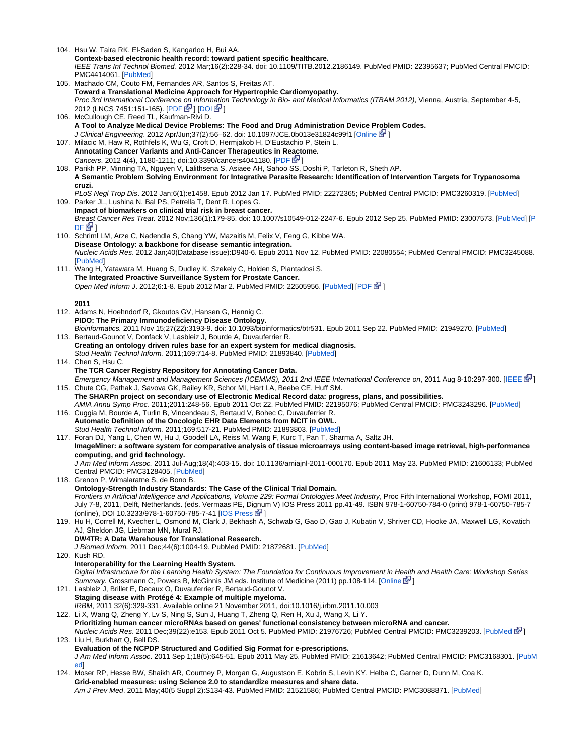104. Hsu W, Taira RK, El-Saden S, Kangarloo H, Bui AA. 105. Machado CM, Couto FM, Fernandes AR, Santos S, Freitas AT. 106. McCullough CE, Reed TL, Kaufman-Rivi D. 107. Milacic M, Haw R, Rothfels K, Wu G, Croft D, Hermjakob H, D'Eustachio P, Stein L. 108. Parikh PP, Minning TA, Nguyen V, Lalithsena S, Asiaee AH, Sahoo SS, Doshi P, Tarleton R, Sheth AP. 109. Parker JL, Lushina N, Bal PS, Petrella T, Dent R, Lopes G. 110. Schriml LM, Arze C, Nadendla S, Chang YW, Mazaitis M, Felix V, Feng G, Kibbe WA. 111. Wang H, Yatawara M, Huang S, Dudley K, Szekely C, Holden S, Piantadosi S. 112. Adams N, Hoehndorf R, Gkoutos GV, Hansen G, Hennig C. 113. Bertaud-Gounot V, Donfack V, Lasbleiz J, Bourde A, Duvauferrier R. 114. Chen S, Hsu C. 115. Chute CG, Pathak J, Savova GK, Bailey KR, Schor MI, Hart LA, Beebe CE, Huff SM. 116. Cuggia M, Bourde A, Turlin B, Vincendeau S, Bertaud V, Bohec C, Duvauferrier R. 117. Foran DJ, Yang L, Chen W, Hu J, Goodell LA, Reiss M, Wang F, Kurc T, Pan T, Sharma A, Saltz JH. 118. Grenon P, Wimalaratne S, de Bono B. 119. Hu H, Correll M, Kvecher L, Osmond M, Clark J, Bekhash A, Schwab G, Gao D, Gao J, Kubatin V, Shriver CD, Hooke JA, Maxwell LG, Kovatich 120. Kush RD. 121. Lasbleiz J, Brillet E, Decaux O, Duvauferrier R, Bertaud-Gounot V. 122. Li X, Wang Q, Zheng Y, Lv S, Ning S, Sun J, Huang T, Zheng Q, Ren H, Xu J, Wang X, Li Y. 123. Liu H, Burkhart Q, Bell DS. 124. Moser RP, Hesse BW, Shaikh AR, Courtney P, Morgan G, Augustson E, Kobrin S, Levin KY, Helba C, Garner D, Dunn M, Coa K. **Context-based electronic health record: toward patient specific healthcare.** IEEE Trans Inf Technol Biomed. 2012 Mar;16(2):228-34. doi: 10.1109/TITB.2012.2186149. PubMed PMID: 22395637; PubMed Central PMCID: PMC4414061. [\[PubMed](http://www.ncbi.nlm.nih.gov/pubmed/22395637)] **Toward a Translational Medicine Approach for Hypertrophic Cardiomyopathy.** Proc 3rd International Conference [on](http://www.cancer.gov/policies/linking) Inform[atio](http://www.cancer.gov/policies/linking)n Technology in Bio- and Medical Informatics (ITBAM 2012), Vienna, Austria, September 4-5, 2012 (LNCS 7451:151-165). [\[PDF](http://xldb.fc.ul.pt/xldb/publications/Machado.etal:TowardATranslational:2012_document.pdf) 아기 ] [\[DOI](http://dx.doi.org/10.1007/978-3-642-32395-9_12) 아기 **A Tool to Analyze Medical Device Problems: The Food and Drug Administration Device Problem Codes.** J Clinical Engineering. 2012 Apr/Jun;37(2):56–62. doi: 10.1097/JCE.0b013e31824c99f1 [[Online](http://journals.lww.com/jcejournal/Abstract/2012/04000/A_Tool_to_Analyze_Medical_Device_Problems__The.17.aspx) [\]](http://www.cancer.gov/policies/linking) **Annotating Cancer Variants and Anti-Cancer Therapeutics in Reactome.** Cancers. 2012 4(4), 1180-1211; doi:10.3390/cancers4041180. [\[PDF](http://www.mdpi.com/2072-6694/4/4/1180/pdf) G<sup>1</sup>] **A Semantic Problem Solving Environment for Integrative Parasite Research: Identification of Intervention Targets for Trypanosoma cruzi.** PLoS Negl Trop Dis. 2012 Jan;6(1):e1458. Epub 2012 Jan 17. PubMed PMID: 22272365; PubMed Central PMCID: PMC3260319. [\[PubMed](http://www.ncbi.nlm.nih.gov/pubmed/22272365)] **Impact of biomarkers on clinical trial risk in breast cancer.** Breast Cancer Res Treat. 2012 Nov;136(1):179-85. doi: 10.1007/s10549-012-2247-6. Epub 2012 Sep 25. PubMed PMID: 23007573. [\[PubMed](http://www.ncbi.nlm.nih.gov/pubmed/23007573)] [[P](http://www.springerlink.com/content/e28205u7n1528xhh/fulltext.pdf)  $DF \overline{B}$  $DF \overline{B}$ **Disease Ontology: a backbone for disease semantic integration.** Nucleic Acids Res. 2012 Jan;40(Database issue):D940-6. Epub 2011 Nov 12. PubMed PMID: 22080554; PubMed Central PMCID: PMC3245088. [\[PubMed](http://www.ncbi.nlm.nih.gov/pubmed/22080554)] **The Integrated Proactive Surveillance System for Prostate Cancer.** Open Med Inform J. 2012;6:1-8. Epub 2012 Mar 2. PubMed PMID: 22505956. [[PubMed\]](http://www.ncbi.nlm.nih.gov/pubmed/22505956) [[PDF](http://scholar.google.com/scholar_url?hl=en&q=http://benthamscience.com/open/tominfoj/articles/V006/1TOMINFOJ.pdf&sa=X&scisig=AAGBfm03Oe_tWscbEz_3Gsu397Rndvy8Pw&oi=scholaralrt) G<sup>1</sup>[\]](http://www.cancer.gov/policies/linking) **2011 PIDO: The Primary Immunodeficiency Disease Ontology.** Bioinformatics. 2011 Nov 15;27(22):3193-9. doi: 10.1093/bioinformatics/btr531. Epub 2011 Sep 22. PubMed PMID: 21949270. [\[PubMed](http://www.ncbi.nlm.nih.gov/pubmed/21949270)] **Creating an ontology driven rules base for an expert system for medical diagnosis.** Stud Health Technol Inform. 2011;169:714-8. PubMed PMID: 21893840. [[PubMed\]](http://www.ncbi.nlm.nih.gov/pubmed/21893840) **The TCR Cancer Registry Repository for Annotating Cancer Data.** Emergency Management and Management Sciences (ICEMMS), 2011 2nd IEEE International Conference on, 2011 Aug 8-10:297-300. [\[IEEE](http://ieeexplore.ieee.org/stamp/stamp.jsp?tp=&arnumber=6015680&isnumber=6015603) E<sup>1</sup>] **The SHARPn project on secondary use of Electronic Medical Record data: progress, plans, and possibilities.** AMIA Annu Symp Proc. 2011;2011:248-56. Epub 2011 Oct 22. PubMed PMID: 22195076; PubMed Central PMCID: PMC3243296. [[PubMed\]](http://www.ncbi.nlm.nih.gov/pubmed/22195076) **Automatic Definition of the Oncologic EHR Data Elements from NCIT in OWL.** Stud Health Technol Inform. 2011;169:517-21. PubMed PMID: 21893803. [[PubMed\]](http://www.ncbi.nlm.nih.gov/pubmed/21893803) **ImageMiner: a software system for comparative analysis of tissue microarrays using content-based image retrieval, high-performance computing, and grid technology.** J Am Med Inform Assoc. 2011 Jul-Aug;18(4):403-15. doi: 10.1136/amiajnl-2011-000170. Epub 2011 May 23. PubMed PMID: 21606133; PubMed Central PMCID: PMC3128405. [[PubMed\]](http://www.ncbi.nlm.nih.gov/pubmed/21606133) **Ontology-Strength Industry Standards: The Case of the Clinical Trial Domain.** Frontiers in Artificial Intelligence and Applications, Volume 229: Formal Ontologies Meet Industry, Proc Fifth International Workshop, FOMI 2011, July 7-8, 2011, Delft, Netherlands. (eds. Vermaas PE, Dignum V) IOS Press 2011 pp.41-49. ISBN 978-1-60750-784-0 (print) 978-1-60750-785-7 (online), DOI 10.3233/978-1-60750-785-7-41 [[IOS Press](http://ebooks.iospress.nl/publication/6498)  $\mathbb{F}$ [\]](http://www.cancer.gov/policies/linking) AJ, Sheldon JG, Liebman MN, Mural RJ. **DW4TR: A Data Warehouse for Translational Research.** J Biomed Inform. 2011 Dec;44(6):1004-19. PubMed PMID: 21872681. [[PubMed\]](http://www.ncbi.nlm.nih.gov/pubmed/21872681) **Interoperability for the Learning Health System.** Digital Infrastructure for the Learning Health System: The Foundation for Continuous Improvement in H[ealth](http://www.cancer.gov/policies/linking) and Health Care: Workshop Series Summary. Grossmann C, Powers B, McGinnis JM eds. Institute of Medicine (2011) pp.108-114. [\[Online](http://books.nap.edu/openbook.php?record_id=12912&page=108)  $\mathbb{F}$ ] **Staging disease with Protégé 4: Example of multiple myeloma.** IRBM, 2011 32(6):329-331. Available online 21 November 2011, doi:10.1016/j.irbm.2011.10.003 **Prioritizing human cancer microRNAs based on genes' functional consistency between microRNA and cancer.** Nucleic Acids Res. 2011 Dec;39(22):e153. Epub 2011 Oct 5. PubMed PMID: 21976726; PubMed Central PMCID: PMC3239203. [\[PubMed](http://www.ncbi.nlm.nih.gov/pubmed/21976726)  $\mathbb{F}$ [\]](http://www.cancer.gov/policies/linking) **Evaluation of the NCPDP Structured and Codified Sig Format for e-prescriptions.** J Am Med Inform Assoc. 2011 Sep 1;18(5):645-51. Epub 2011 May 25. PubMed PMID: 21613642; PubMed Central PMCID: PMC3168301. [[PubM](http://www.ncbi.nlm.nih.gov/pubmed/21613642) [ed](http://www.ncbi.nlm.nih.gov/pubmed/21613642)] **Grid-enabled measures: using Science 2.0 to standardize measures and share data.** Am J Prev Med. 2011 May;40(5 Suppl 2):S134-43. PubMed PMID: 21521586; PubMed Central PMCID: PMC3088871. [\[PubMed](http://www.ncbi.nlm.nih.gov/pubmed/21521586)]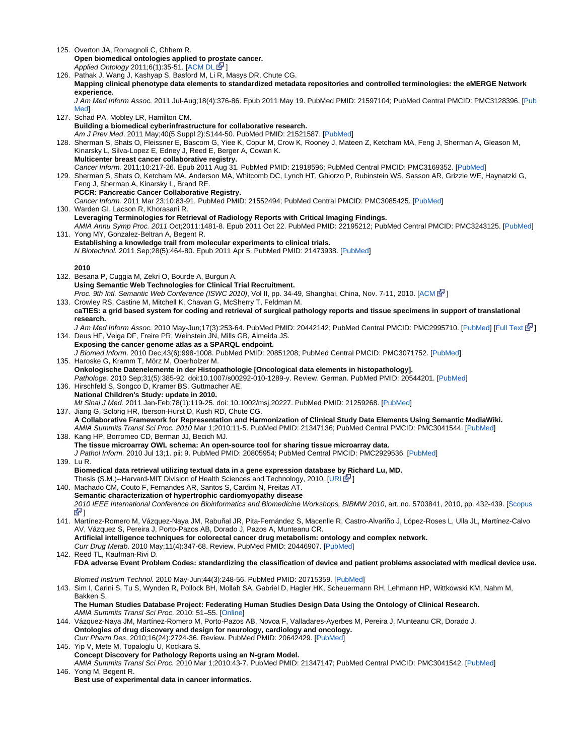| 125. Overton JA, Romagnoli C, Chhem R.                                                                                                                                                                                   |
|--------------------------------------------------------------------------------------------------------------------------------------------------------------------------------------------------------------------------|
| Open biomedical ontologies applied to prostate cancer.                                                                                                                                                                   |
| Applied Ontology 2011;6(1):35-51. [ACM DL E-1]<br>126. Pathak J, Wang J, Kashyap S, Basford M, Li R, Masys DR, Chute CG.                                                                                                 |
| Mapping clinical phenotype data elements to standardized metadata repositories and controlled terminologies: the eMERGE Network                                                                                          |
| experience.                                                                                                                                                                                                              |
| J Am Med Inform Assoc. 2011 Jul-Aug;18(4):376-86. Epub 2011 May 19. PubMed PMID: 21597104; PubMed Central PMCID: PMC3128396. [Pub                                                                                        |
| <b>Med</b>                                                                                                                                                                                                               |
| 127. Schad PA, Mobley LR, Hamilton CM.                                                                                                                                                                                   |
| Building a biomedical cyberinfrastructure for collaborative research.                                                                                                                                                    |
| Am J Prev Med. 2011 May;40(5 Suppl 2):S144-50. PubMed PMID: 21521587. [PubMed]<br>128. Sherman S, Shats O, Fleissner E, Bascom G, Yiee K, Copur M, Crow K, Rooney J, Mateen Z, Ketcham MA, Feng J, Sherman A, Gleason M, |
| Kinarsky L, Silva-Lopez E, Edney J, Reed E, Berger A, Cowan K.                                                                                                                                                           |
| Multicenter breast cancer collaborative registry.                                                                                                                                                                        |
| Cancer Inform. 2011;10:217-26. Epub 2011 Aug 31. PubMed PMID: 21918596; PubMed Central PMCID: PMC3169352. [PubMed]                                                                                                       |
| 129. Sherman S, Shats O, Ketcham MA, Anderson MA, Whitcomb DC, Lynch HT, Ghiorzo P, Rubinstein WS, Sasson AR, Grizzle WE, Haynatzki G,                                                                                   |
| Feng J, Sherman A, Kinarsky L, Brand RE.<br>PCCR: Pancreatic Cancer Collaborative Registry.                                                                                                                              |
| Cancer Inform. 2011 Mar 23;10:83-91. PubMed PMID: 21552494; PubMed Central PMCID: PMC3085425. [PubMed]                                                                                                                   |
| 130. Warden GI, Lacson R, Khorasani R.                                                                                                                                                                                   |
| Leveraging Terminologies for Retrieval of Radiology Reports with Critical Imaging Findings.                                                                                                                              |
| AMIA Annu Symp Proc. 2011 Oct;2011:1481-8. Epub 2011 Oct 22. PubMed PMID: 22195212; PubMed Central PMCID: PMC3243125. [PubMed]                                                                                           |
| 131. Yong MY, Gonzalez-Beltran A. Begent R.                                                                                                                                                                              |
| Establishing a knowledge trail from molecular experiments to clinical trials.<br>N Biotechnol. 2011 Sep: 28(5): 464-80. Epub 2011 Apr 5. PubMed PMID: 21473938. [PubMed]                                                 |
|                                                                                                                                                                                                                          |
| 2010                                                                                                                                                                                                                     |
| 132. Besana P, Cuggia M, Zekri O, Bourde A, Burgun A.                                                                                                                                                                    |
| Using Semantic Web Technologies for Clinical Trial Recruitment.                                                                                                                                                          |
| Proc. 9th Intl. Semantic Web Conference (ISWC 2010), Vol II, pp. 34-49, Shanghai, China, Nov. 7-11, 2010. [ACM E ]                                                                                                       |
| 133. Crowley RS, Castine M, Mitchell K, Chavan G, McSherry T, Feldman M.<br>caTIES: a grid based system for coding and retrieval of surgical pathology reports and tissue specimens in support of translational          |
| research.                                                                                                                                                                                                                |
| J Am Med Inform Assoc. 2010 May-Jun;17(3):253-64. PubMed PMID: 20442142; PubMed Central PMCID: PMC2995710. [PubMed] [Full Text R ]                                                                                       |
| 134. Deus HF, Veiga DF, Freire PR, Weinstein JN, Mills GB, Almeida JS.                                                                                                                                                   |
| Exposing the cancer genome atlas as a SPARQL endpoint.                                                                                                                                                                   |
| J Biomed Inform. 2010 Dec;43(6):998-1008. PubMed PMID: 20851208; PubMed Central PMCID: PMC3071752. [PubMed]<br>135. Haroske G, Kramm T, Mörz M, Oberholzer M.                                                            |
| Onkologische Datenelemente in der Histopathologie [Oncological data elements in histopathology].                                                                                                                         |
| Pathologe. 2010 Sep;31(5):385-92. doi:10.1007/s00292-010-1289-y. Review. German. PubMed PMID: 20544201. [PubMed]                                                                                                         |
| 136. Hirschfeld S, Songco D, Kramer BS, Guttmacher AE.                                                                                                                                                                   |
| National Children's Study: update in 2010.                                                                                                                                                                               |
| Mt Sinai J Med. 2011 Jan-Feb;78(1):119-25. doi: 10.1002/msj.20227. PubMed PMID: 21259268. [PubMed]<br>137. Jiang G, Solbrig HR, Iberson-Hurst D, Kush RD, Chute CG.                                                      |
| A Collaborative Framework for Representation and Harmonization of Clinical Study Data Elements Using Semantic MediaWiki.                                                                                                 |
| AMIA Summits Transl Sci Proc. 2010 Mar 1;2010:11-5. PubMed PMID: 21347136; PubMed Central PMCID: PMC3041544. [PubMed]                                                                                                    |
| 138. Kang HP, Borromeo CD, Berman JJ, Becich MJ.                                                                                                                                                                         |
| The tissue microarray OWL schema: An open-source tool for sharing tissue microarray data.                                                                                                                                |
| J Pathol Inform. 2010 Jul 13;1. pii: 9. PubMed PMID: 20805954; PubMed Central PMCID: PMC2929536. [PubMed]<br>139. Lu R.                                                                                                  |
| Biomedical data retrieval utilizing textual data in a gene expression database by Richard Lu, MD.                                                                                                                        |
| Thesis (S.M.)--Harvard-MIT Division of Health Sciences and Technology, 2010. [URI EV]                                                                                                                                    |
| 140. Machado CM, Couto F, Fernandes AR, Santos S, Cardim N, Freitas AT.                                                                                                                                                  |
| Semantic characterization of hypertrophic cardiomyopathy disease                                                                                                                                                         |
| 2010 IEEE International Conference on Bioinformatics and Biomedicine Workshops, BIBMW 2010, art. no. 5703841, 2010, pp. 432-439. [Scopus<br>6기                                                                           |
| 141. Martínez-Romero M, Vázquez-Naya JM, Rabuñal JR, Pita-Fernández S, Macenlle R, Castro-Alvariño J, López-Roses L, Ulla JL, Martínez-Calvo                                                                             |
| AV, Vázquez S, Pereira J, Porto-Pazos AB, Dorado J, Pazos A, Munteanu CR.                                                                                                                                                |
| Artificial intelligence techniques for colorectal cancer drug metabolism: ontology and complex network.                                                                                                                  |
| Curr Drug Metab. 2010 May;11(4):347-68. Review. PubMed PMID: 20446907. [PubMed]                                                                                                                                          |
| 142. Reed TL, Kaufman-Rivi D.                                                                                                                                                                                            |
| FDA adverse Event Problem Codes: standardizing the classification of device and patient problems associated with medical device use.                                                                                     |
| Biomed Instrum Technol. 2010 May-Jun:44(3):248-56. PubMed PMID: 20715359. [PubMed]                                                                                                                                       |
| 143. Sim I, Carini S, Tu S, Wynden R, Pollock BH, Mollah SA, Gabriel D, Hagler HK, Scheuermann RH, Lehmann HP, Wittkowski KM, Nahm M,                                                                                    |
| Bakken S.                                                                                                                                                                                                                |
| The Human Studies Database Project: Federating Human Studies Design Data Using the Ontology of Clinical Research.                                                                                                        |
| AMIA Summits Transl Sci Proc. 2010: 51-55. [Online]<br>144. Vázquez-Naya JM, Martínez-Romero M, Porto-Pazos AB, Novoa F, Valladares-Ayerbes M, Pereira J, Munteanu CR, Dorado J.                                         |
| Ontologies of drug discovery and design for neurology, cardiology and oncology.                                                                                                                                          |
| Curr Pharm Des. 2010;16(24):2724-36. Review. PubMed PMID: 20642429. [PubMed]                                                                                                                                             |
| 145. Yip V, Mete M, Topaloglu U, Kockara S.                                                                                                                                                                              |
| Concept Discovery for Pathology Reports using an N-gram Model.<br>AMIA Summits Transl Sci Proc. 2010 Mar 1;2010:43-7. PubMed PMID: 21347147; PubMed Central PMCID: PMC3041542. [PubMed]                                  |
| 146. Yong M, Begent R.                                                                                                                                                                                                   |
| Best use of experimental data in cancer informatics.                                                                                                                                                                     |
|                                                                                                                                                                                                                          |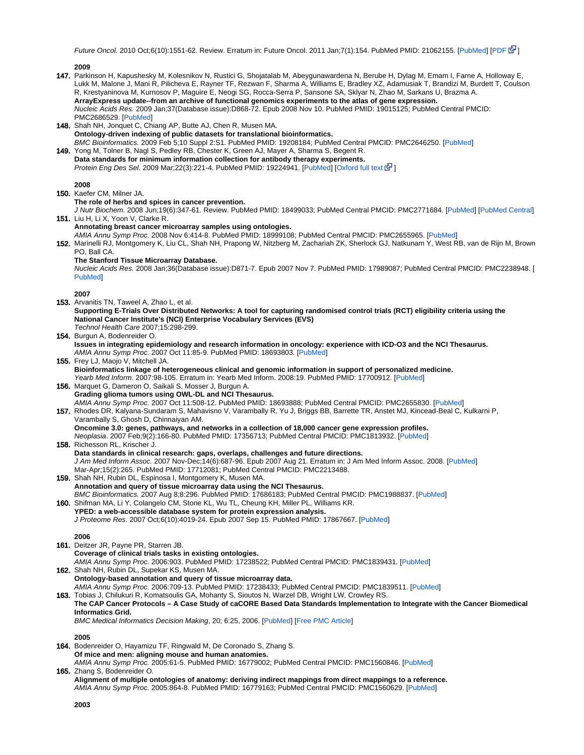Future Oncol. 2010 Oct;6(10):1551-62. Review. Erratum in: Future Oncol. 2011 Jan;7(1):154. PubMed PMID: 21062155. [[PubMed\]](http://www.ncbi.nlm.nih.gov/pubmed/21062155) [\[PDF](http://www.futuremedicine.com/doi/pdf/10.2217/fon.10.108) E<sup>3</sup>[\]](http://www.cancer.gov/policies/linking)

147. Parkinson H, Kapushesky M, Kolesnikov N, Rustici G, Shojatalab M, Abeygunawardena N, Berube H, Dylag M, Emam I, Farne A, Holloway E, 148. Shah NH, Jonquet C, Chiang AP, Butte AJ, Chen R, Musen MA. 149. Yong M, Tolner B, Nagl S, Pedley RB, Chester K, Green AJ, Mayer A, Sharma S, Begent R. 150. Kaefer CM, Milner JA. 151. Liu H, Li X, Yoon V, Clarke R. 152. Marinelli RJ, Montgomery K, Liu CL, Shah NH, Prapong W, Nitzberg M, Zachariah ZK, Sherlock GJ, Natkunam Y, West RB, van de Rijn M, Brown 153. Arvanitis TN, Taweel A, Zhao L, et al. 154. Burgun A, Bodenreider O. 155. Frey LJ, Maojo V, Mitchell JA. 156. Marquet G, Dameron O, Saikali S, Mosser J, Burgun A. 157. Rhodes DR, Kalyana-Sundaram S, Mahavisno V, Varambally R, Yu J, Briggs BB, Barrette TR, Anstet MJ, Kincead-Beal C, Kulkarni P, 158. Richesson RL, Krischer J. 159. Shah NH, Rubin DL, Espinosa I, Montgomery K, Musen MA. 160. Shifman MA, Li Y, Colangelo CM, Stone KL, Wu TL, Cheung KH, Miller PL, Williams KR. 161. Deitzer JR, Payne PR, Starren JB. 162. Shah NH, Rubin DL, Supekar KS, Musen MA. 163. Tobias J, Chilukuri R, Komatsoulis GA, Mohanty S, Sioutos N, Warzel DB, Wright LW, Crowley RS. 164. Bodenreider O, Hayamizu TF, Ringwald M, De Coronado S, Zhang S. 165. Zhang S, Bodenreider O. **2009** Lukk M, Malone J, Mani R, Pilicheva E, Rayner TF, Rezwan F, Sharma A, Williams E, Bradley XZ, Adamusiak T, Brandizi M, Burdett T, Coulson R, Krestyaninova M, Kurnosov P, Maguire E, Neogi SG, Rocca-Serra P, Sansone SA, Sklyar N, Zhao M, Sarkans U, Brazma A. **ArrayExpress update--from an archive of functional genomics experiments to the atlas of gene expression.** Nucleic Acids Res. 2009 Jan;37(Database issue):D868-72. Epub 2008 Nov 10. PubMed PMID: 19015125; PubMed Central PMCID: PMC2686529. [\[PubMed](http://www.ncbi.nlm.nih.gov/pubmed/19015125)] **Ontology-driven indexing of public datasets for translational bioinformatics.** BMC Bioinformatics. 2009 Feb 5;10 Suppl 2:S1. PubMed PMID: 19208184; PubMed Central PMCID: PMC2646250. [[PubMed](http://www.ncbi.nlm.nih.gov/pubmed/19208184)] **Data standards for minimum information collection for antibody therapy experiments.** Protein Eng Des Sel. 2009 Mar;22(3):221-4. PubMed PMID: 19224941. [[PubMed\]](http://www.ncbi.nlm.nih.gov/pubmed/19224941) [\[Oxford full text](http://peds.oxfordjournals.org/content/22/3/221.long) E<sup>T</sup>] **2008 The role of herbs and spices in cancer prevention.** J Nutr Biochem. 2008 Jun;19(6):347-61. Review. PubMed PMID: 18499033; PubMed Central PMCID: PMC2771684. [\[PubMed](http://www.ncbi.nlm.nih.gov/pubmed/18499033)] [[PubMed Central\]](http://www.ncbi.nlm.nih.gov/corehtml/query/egifs/http:--www.pubmedcentral.nih.gov-corehtml-pmc-pmcgifs-pubmed-pmc-MS.gif) **Annotating breast cancer microarray samples using ontologies.** AMIA Annu Symp Proc. 2008 Nov 6:414-8. PubMed PMID: 18999108; PubMed Central PMCID: PMC2655965. [[PubMed\]](http://www.ncbi.nlm.nih.gov/pubmed/18999108) PO, Ball CA. **The Stanford Tissue Microarray Database.** Nucleic Acids Res. 2008 Jan;36(Database issue):D871-7. Epub 2007 Nov 7. PubMed PMID: 17989087; PubMed Central PMCID: PMC2238948. [ [PubMed\]](http://www.ncbi.nlm.nih.gov/pubmed/17989087) **2007 Supporting E-Trials Over Distributed Networks: A tool for capturing randomised control trials (RCT) eligibility criteria using the National Cancer Institute's (NCI) Enterprise Vocabulary Services (EVS)** Technol Health Care 2007;15:298-299. **Issues in integrating epidemiology and research information in oncology: experience with ICD-O3 and the NCI Thesaurus.** AMIA Annu Symp Proc. 2007 Oct 11:85-9. PubMed PMID: 18693803. [[PubMed\]](http://www.ncbi.nlm.nih.gov/pubmed/18693803) **Bioinformatics linkage of heterogeneous clinical and genomic information in support of personalized medicine.** Yearb Med Inform. 2007:98-105. Erratum in: Yearb Med Inform. 2008:19. PubMed PMID: 17700912. [\[PubMed](http://www.ncbi.nlm.nih.gov/pubmed/17700912)] **Grading glioma tumors using OWL-DL and NCI Thesaurus.** AMIA Annu Symp Proc. 2007 Oct 11:508-12. PubMed PMID: 18693888; PubMed Central PMCID: PMC2655830. [[PubMed](http://www.ncbi.nlm.nih.gov/pubmed/18693888)] Varambally S, Ghosh D, Chinnaiyan AM. **Oncomine 3.0: genes, pathways, and networks in a collection of 18,000 cancer gene expression profiles.** Neoplasia. 2007 Feb;9(2):166-80. PubMed PMID: 17356713; PubMed Central PMCID: PMC1813932. [\[PubMed](http://www.ncbi.nlm.nih.gov/pubmed/17356713)] **Data standards in clinical research: gaps, overlaps, challenges and future directions.** J Am Med Inform Assoc. 2007 Nov-Dec;14(6):687-96. Epub 2007 Aug 21. Erratum in: J Am Med Inform Assoc. 2008. [[PubMed\]](http://www.ncbi.nlm.nih.gov/pubmed/17712081) Mar-Apr;15(2):265. PubMed PMID: 17712081; PubMed Central PMCID: PMC2213488. **Annotation and query of tissue microarray data using the NCI Thesaurus.** BMC Bioinformatics. 2007 Aug 8;8:296. PubMed PMID: 17686183; PubMed Central PMCID: PMC1988837. [[PubMed\]](http://www.ncbi.nlm.nih.gov/pubmed/17686183) **YPED: a web-accessible database system for protein expression analysis.** J Proteome Res. 2007 Oct;6(10):4019-24. Epub 2007 Sep 15. PubMed PMID: 17867667. [[PubMed\]](http://www.ncbi.nlm.nih.gov/pubmed/17867667) **2006 Coverage of clinical trials tasks in existing ontologies.** AMIA Annu Symp Proc. 2006:903. PubMed PMID: 17238522; PubMed Central PMCID: PMC1839431. [[PubMed](http://www.ncbi.nlm.nih.gov/pubmed/17238522)] **Ontology-based annotation and query of tissue microarray data.** AMIA Annu Symp Proc. 2006:709-13. PubMed PMID: 17238433; PubMed Central PMCID: PMC1839511. [\[PubMed](http://www.ncbi.nlm.nih.gov/pubmed/17238433)] **The CAP Cancer Protocols – A Case Study of caCORE Based Data Standards Implementation to Integrate with the Cancer Biomedical Informatics Grid.** BMC Medical Informatics Decision Making, 20; 6:25, 2006. [[PubMed\]](http://www.ncbi.nlm.nih.gov/pubmed/16787533) [\[Free PMC Article](http://www.ncbi.nlm.nih.gov/pmc/articles/PMC1524939/?tool=pubmed)] **2005 Of mice and men: aligning mouse and human anatomies.** AMIA Annu Symp Proc. 2005:61-5. PubMed PMID: 16779002; PubMed Central PMCID: PMC1560846. [[PubMed\]](http://www.ncbi.nlm.nih.gov/pubmed/16779002) **Alignment of multiple ontologies of anatomy: deriving indirect mappings from direct mappings to a reference.**

AMIA Annu Symp Proc. 2005:864-8. PubMed PMID: 16779163; PubMed Central PMCID: PMC1560629. [\[PubMed](http://www.ncbi.nlm.nih.gov/pubmed/16779163)]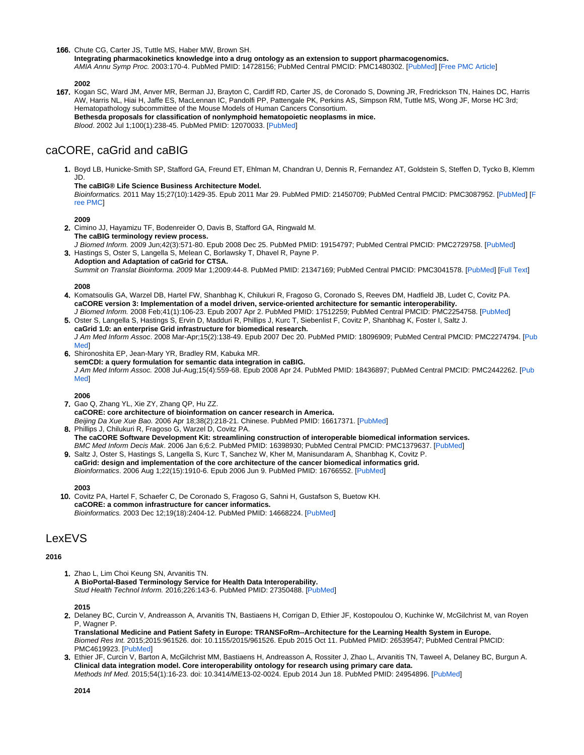166. Chute CG, Carter JS, Tuttle MS, Haber MW, Brown SH.

**Integrating pharmacokinetics knowledge into a drug ontology as an extension to support pharmacogenomics.** AMIA Annu Symp Proc. 2003:170-4. PubMed PMID: 14728156; PubMed Central PMCID: PMC1480302. [\[PubMed](http://www.ncbi.nlm.nih.gov/pubmed/14728156)] [\[Free PMC Article](http://www.ncbi.nlm.nih.gov/pmc/articles/pmid/14728156/?tool=pubmed)]

# **2002**

167. Kogan SC, Ward JM, Anver MR, Berman JJ, Brayton C, Cardiff RD, Carter JS, de Coronado S, Downing JR, Fredrickson TN, Haines DC, Harris AW, Harris NL, Hiai H, Jaffe ES, MacLennan IC, Pandolfi PP, Pattengale PK, Perkins AS, Simpson RM, Tuttle MS, Wong JF, Morse HC 3rd; Hematopathology subcommittee of the Mouse Models of Human Cancers Consortium. **Bethesda proposals for classification of nonlymphoid hematopoietic neoplasms in mice.** Blood. 2002 Jul 1;100(1):238-45. PubMed PMID: 12070033. [[PubMed\]](http://www.ncbi.nlm.nih.gov/pubmed/12070033)

# <span id="page-10-0"></span>caCORE, caGrid and caBIG

1. Boyd LB, Hunicke-Smith SP, Stafford GA, Freund ET, Ehlman M, Chandran U, Dennis R, Fernandez AT, Goldstein S, Steffen D, Tycko B, Klemm JD.

#### **The caBIG® Life Science Business Architecture Model.**

Bioinformatics. 2011 May 15;27(10):1429-35. Epub 2011 Mar 29. PubMed PMID: 21450709; PubMed Central PMCID: PMC3087952. [\[PubMed](http://www.ncbi.nlm.nih.gov/pubmed/21450709)] [\[F](http://www.ncbi.nlm.nih.gov/pubmed/21450709) [ree PMC\]](http://www.ncbi.nlm.nih.gov/pubmed/21450709)

## **2009**

- 2. Cimino JJ, Hayamizu TF, Bodenreider O, Davis B, Stafford GA, Ringwald M. **The caBIG terminology review process.**
- 3. Hastings S, Oster S, Langella S, Melean C, Borlawsky T, Dhavel R, Payne P. J Biomed Inform. 2009 Jun;42(3):571-80. Epub 2008 Dec 25. PubMed PMID: 19154797; PubMed Central PMCID: PMC2729758. [\[PubMed](http://www.ncbi.nlm.nih.gov/pubmed/19154797)] **Adoption and Adaptation of caGrid for CTSA.** Summit on Translat Bioinforma. 2009 Mar 1;2009:44-8. PubMed PMID: 21347169; PubMed Central PMCID: PMC3041578. [\[PubMed](http://www.ncbi.nlm.nih.gov/pubmed/21347169)] [[Full Text](http://www.ncbi.nlm.nih.gov/pmc/articles/pmid/21347169/?tool=pubmed)]

#### **2008**

- 4. Komatsoulis GA, Warzel DB, Hartel FW, Shanbhag K, Chilukuri R, Fragoso G, Coronado S, Reeves DM, Hadfield JB, Ludet C, Covitz PA. **caCORE version 3: Implementation of a model driven, service-oriented architecture for semantic interoperability.** J Biomed Inform. 2008 Feb;41(1):106-23. Epub 2007 Apr 2. PubMed PMID: 17512259; PubMed Central PMCID: PMC2254758. [\[PubMed](http://www.ncbi.nlm.nih.gov/pubmed/17512259)]
- 5. Oster S, Langella S, Hastings S, Ervin D, Madduri R, Phillips J, Kurc T, Siebenlist F, Covitz P, Shanbhag K, Foster I, Saltz J. **caGrid 1.0: an enterprise Grid infrastructure for biomedical research.** J Am Med Inform Assoc. 2008 Mar-Apr;15(2):138-49. Epub 2007 Dec 20. PubMed PMID: 18096909; PubMed Central PMCID: PMC2274794. [\[Pub](http://www.ncbi.nlm.nih.gov/pubmed/18096909) [Med\]](http://www.ncbi.nlm.nih.gov/pubmed/18096909)
- 6. Shironoshita EP, Jean-Mary YR, Bradley RM, Kabuka MR. **semCDI: a query formulation for semantic data integration in caBIG.** J Am Med Inform Assoc. 2008 Jul-Aug;15(4):559-68. Epub 2008 Apr 24. PubMed PMID: 18436897; PubMed Central PMCID: PMC2442262. [[Pub](http://www.ncbi.nlm.nih.gov/pubmed/18436897) [Med\]](http://www.ncbi.nlm.nih.gov/pubmed/18436897)

### **2006**

- 7. Gao Q, Zhang YL, Xie ZY, Zhang QP, Hu ZZ. 8. Phillips J, Chilukuri R, Fragoso G, Warzel D, Covitz PA. **caCORE: core architecture of bioinformation on cancer research in America.** Beijing Da Xue Xue Bao. 2006 Apr 18;38(2):218-21. Chinese. PubMed PMID: 16617371. [[PubMed\]](http://www.ncbi.nlm.nih.gov/pubmed/16617371)
- 9. Saltz J, Oster S, Hastings S, Langella S, Kurc T, Sanchez W, Kher M, Manisundaram A, Shanbhag K, Covitz P. **The caCORE Software Development Kit: streamlining construction of interoperable biomedical information services.** BMC Med Inform Decis Mak. 2006 Jan 6;6:2. PubMed PMID: 16398930; PubMed Central PMCID: PMC1379637. [[PubMed\]](http://www.ncbi.nlm.nih.gov/pubmed/16398930)
- **caGrid: design and implementation of the core architecture of the cancer biomedical informatics grid.** Bioinformatics. 2006 Aug 1;22(15):1910-6. Epub 2006 Jun 9. PubMed PMID: 16766552. [\[PubMed](http://www.ncbi.nlm.nih.gov/pubmed/16766552)]

# **2003**

10. Covitz PA, Hartel F, Schaefer C, De Coronado S, Fragoso G, Sahni H, Gustafson S, Buetow KH. **caCORE: a common infrastructure for cancer informatics.** Bioinformatics. 2003 Dec 12;19(18):2404-12. PubMed PMID: 14668224. [[PubMed\]](http://www.ncbi.nlm.nih.gov/pubmed/14668224)

# <span id="page-10-1"></span>**LexEVS**

#### **2016**

1. Zhao L, Lim Choi Keung SN, Arvanitis TN. **A BioPortal-Based Terminology Service for Health Data Interoperability.** Stud Health Technol Inform. 2016;226:143-6. PubMed PMID: 27350488. [[PubMed\]](https://www.ncbi.nlm.nih.gov/pubmed/27350488)

# **2015**

2. Delaney BC, Curcin V, Andreasson A, Arvanitis TN, Bastiaens H, Corrigan D, Ethier JF, Kostopoulou O, Kuchinke W, McGilchrist M, van Royen P. Wagner P.

**Translational Medicine and Patient Safety in Europe: TRANSFoRm--Architecture for the Learning Health System in Europe.** Biomed Res Int. 2015;2015:961526. doi: 10.1155/2015/961526. Epub 2015 Oct 11. PubMed PMID: 26539547; PubMed Central PMCID: PMC4619923. [\[PubMed](http://www.ncbi.nlm.nih.gov/pubmed/26539547)]

3. Ethier JF, Curcin V, Barton A, McGilchrist MM, Bastiaens H, Andreasson A, Rossiter J, Zhao L, Arvanitis TN, Taweel A, Delaney BC, Burgun A. **Clinical data integration model. Core interoperability ontology for research using primary care data.** Methods Inf Med. 2015;54(1):16-23. doi: 10.3414/ME13-02-0024. Epub 2014 Jun 18. PubMed PMID: 24954896. [\[PubMed](http://www.ncbi.nlm.nih.gov/pubmed/24954896)]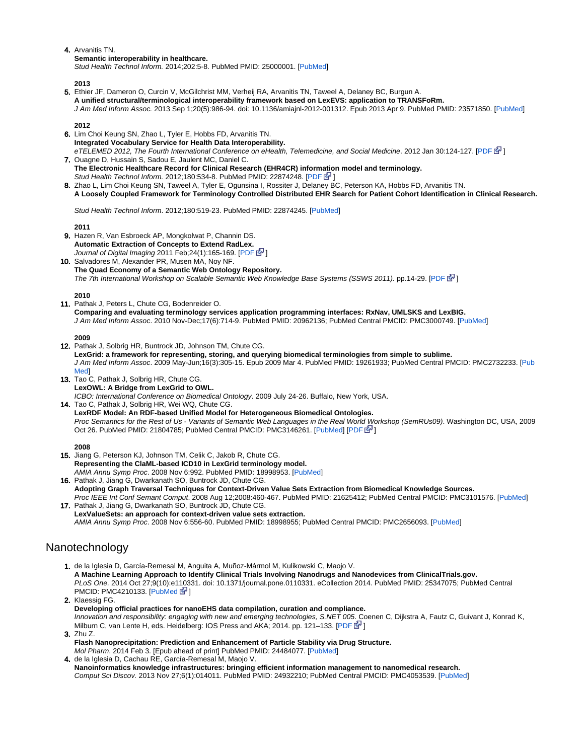# 4. Arvanitis TN.

**Semantic interoperability in healthcare.**

Stud Health Technol Inform. 2014;202:5-8. PubMed PMID: 25000001. [\[PubMed](https://www.ncbi.nlm.nih.gov/pubmed/25000001)]

# **2013**

5. Ethier JF, Dameron O, Curcin V, McGilchrist MM, Verheij RA, Arvanitis TN, Taweel A, Delaney BC, Burgun A. **A unified structural/terminological interoperability framework based on LexEVS: application to TRANSFoRm.** J Am Med Inform Assoc. 2013 Sep 1;20(5):986-94. doi: 10.1136/amiajnl-2012-001312. Epub 2013 Apr 9. PubMed PMID: 23571850. [\[PubMed](http://www.ncbi.nlm.nih.gov/pubmed/23571850)]

# **2012**

- 6. Lim Choi Keung SN, Zhao L, Tyler E, Hobbs FD, Arvanitis TN. **Integrated Vocabulary Service for Health Data Interoperability.** eTELEMED 2012, The Fourth International Conference on eHealth, Telemedicine, and Social Medicine. 2012 Jan 30:124-127. [\[PDF](http://www.thinkmind.org/download.php?articleid=etelemed_2012_5_50_40213)  $\mathbb{F}$ [\]](http://www.cancer.gov/policies/linking)
- 7. Ouagne D, Hussain S, Sadou E, Jaulent MC, Daniel C. **The Electronic Healthcare Record for Clinical Research (EHR4CR) information model and terminology.** Stud Health Technol Inform. 2012;180:534-8. PubMed PMID: 22874248. [[PDF](http://www.ncbi.nlm.nih.gov/pubmed/22874248) **N** ]
- 8. Zhao L, Lim Choi Keung SN, Taweel A, Tyler E, Ogunsina I, Rossiter J, Delaney BC, Peterson KA, Hobbs FD, Arvanitis TN. **A Loosely Coupled Framework for Terminology Controlled Distributed EHR Search for Patient Cohort Identification in Clinical Research.**

Stud Health Technol Inform. 2012;180:519-23. PubMed PMID: 22874245. [[PubMed\]](http://www.ncbi.nlm.nih.gov/pubmed/22874245)

# **2011**

- 9. Hazen R, Van Esbroeck AP, Mongkolwat P, Channin DS. **Automatic Extraction of Concepts to Extend RadLex.** Journal of Digital Imaging 2011 Feb; 24(1): 165-169. [[PDF](http://www.springerlink.com/content/p889312g07534661/)  $\mathbb{F}$ [\]](http://www.cancer.gov/policies/linking)
- 10. Salvadores M, Alexander PR, Musen MA, Noy NF. **The Quad Economy of a Semantic Web Ontology Repository.** The 7th International Workshop on Scalable Semantic Web Knowledge Base Systems (SSWS 2011). pp.14-29. [[PDF](http://iswc2011.semanticweb.org/fileadmin/iswc/Papers/Workshops/SSWS/Salvadores-et-all-SSWS2011.pdf) E<sup>1</sup>[\]](http://www.cancer.gov/policies/linking)

# **2010**

11. Pathak J, Peters L, Chute CG, Bodenreider O. **Comparing and evaluating terminology services application programming interfaces: RxNav, UMLSKS and LexBIG.** J Am Med Inform Assoc. 2010 Nov-Dec;17(6):714-9. PubMed PMID: 20962136; PubMed Central PMCID: PMC3000749. [[PubMed\]](http://www.ncbi.nlm.nih.gov/pubmed/20962136)

# **2009**

- 12. Pathak J, Solbrig HR, Buntrock JD, Johnson TM, Chute CG. **LexGrid: a framework for representing, storing, and querying biomedical terminologies from simple to sublime.** J Am Med Inform Assoc. 2009 May-Jun;16(3):305-15. Epub 2009 Mar 4. PubMed PMID: 19261933; PubMed Central PMCID: PMC2732233. [\[Pub](http://www.ncbi.nlm.nih.gov/pubmed/19261933) [Med\]](http://www.ncbi.nlm.nih.gov/pubmed/19261933)
- 13. Tao C, Pathak J, Solbrig HR, Chute CG. **LexOWL: A Bridge from LexGrid to OWL.**

14. Tao C, Pathak J, Solbrig HR, Wei WQ, Chute CG. ICBO: International Conference on Biomedical Ontology. 2009 July 24-26. Buffalo, New York, USA.

**LexRDF Model: An RDF-based Unified Model for Heterogeneous Biomedical Ontologies.** Proc Semantics for the Rest of Us - Variants of Semantic Web Languages in the Real Worl[d W](http://www.cancer.gov/policies/linking)orkshop (SemRUs09). Washington DC, USA, 2009 Oct 26. PubMed PMID: 21804785; PubMed Central PMCID: PMC3146261. [\[PubMed](http://www.ncbi.nlm.nih.gov/pubmed/21804785)] [[PDF](http://ceur-ws.org/Vol-521/paper2.pdf) 图]

# **2008**

- 15. Jiang G, Peterson KJ, Johnson TM, Celik C, Jakob R, Chute CG. **Representing the ClaML-based ICD10 in LexGrid terminology model.** AMIA Annu Symp Proc. 2008 Nov 6:992. PubMed PMID: 18998953. [[PubMed\]](http://www.ncbi.nlm.nih.gov/pubmed/18998953)
- 16. Pathak J, Jiang G, Dwarkanath SO, Buntrock JD, Chute CG. **Adopting Graph Traversal Techniques for Context-Driven Value Sets Extraction from Biomedical Knowledge Sources.** Proc IEEE Int Conf Semant Comput. 2008 Aug 12;2008:460-467. PubMed PMID: 21625412; PubMed Central PMCID: PMC3101576. [[PubMed\]](http://www.ncbi.nlm.nih.gov/pubmed/21625412)
- 17. Pathak J, Jiang G, Dwarkanath SO, Buntrock JD, Chute CG. **LexValueSets: an approach for context-driven value sets extraction.** AMIA Annu Symp Proc. 2008 Nov 6:556-60. PubMed PMID: 18998955; PubMed Central PMCID: PMC2656093. [\[PubMed\]](http://www.ncbi.nlm.nih.gov/pubmed/18998955)

# <span id="page-11-0"></span>Nanotechnology

- 1. de la Iglesia D, García-Remesal M, Anguita A, Muñoz-Mármol M, Kulikowski C, Maojo V. **A Machine Learning Approach to Identify Clinical Trials Involving Nanodrugs and Nanodevices from ClinicalTrials.gov.** PLoS One. 2014 Oct 27;9(10):e110331. doi: 10.1371/journal.pone.0110331. eCollection 2014. PubMed PMID: 25347075; PubMed Central PMCID: PMC4210133. [\[PubMed](http://www.ncbi.nlm.nih.gov/pubmed/25347075)  $\bar{S}$ ]
- 2. Klaessig FG. 3. Zhu Z. **Developing official practices for nanoEHS data compilation, curation and compliance.** Innovation and responsibility: engaging with new and emerging technologies, S.NET 005. Coenen C, Dijkstra A, Fautz C, Guivant J, Konrad K, Milburn C, van Lente H, eds. Heidelberg: IOS Press and AKA; 2014. pp. 121–133. [\[PDF](http://www.thesnet.net/wp-content/uploads/13developing_aka_s.net005.pdf) G<sup>1</sup>]
	- **Flash Nanoprecipitation: Prediction and Enhancement of Particle Stability via Drug Structure.** Mol Pharm. 2014 Feb 3. [Epub ahead of print] PubMed PMID: 24484077. [[PubMed\]](http://www.ncbi.nlm.nih.gov/pubmed/24484077)
- 4. de la Iglesia D, Cachau RE, García-Remesal M, Maojo V. **Nanoinformatics knowledge infrastructures: bringing efficient information management to nanomedical research.** Comput Sci Discov. 2013 Nov 27;6(1):014011. PubMed PMID: 24932210; PubMed Central PMCID: PMC4053539. [[PubMed\]](http://www.ncbi.nlm.nih.gov/pubmed/24932210)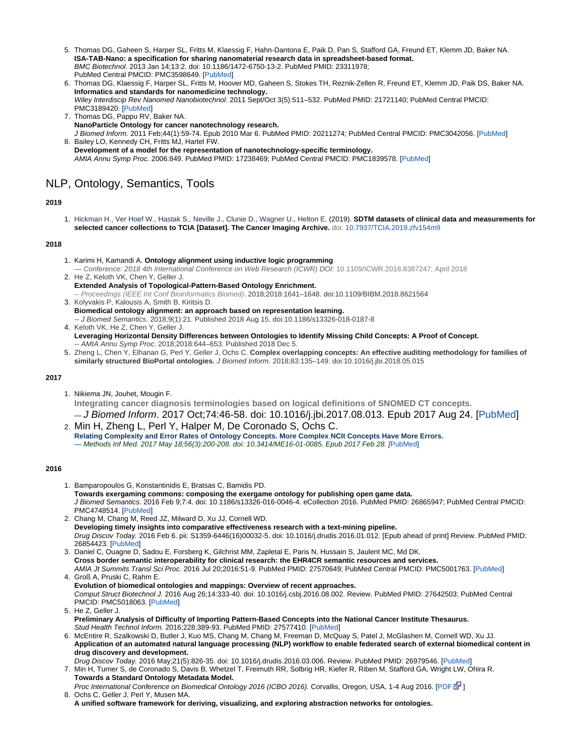- 5. Thomas DG, Gaheen S, Harper SL, Fritts M, Klaessig F, Hahn-Dantona E, Paik D, Pan S, Stafford GA, Freund ET, Klemm JD, Baker NA. **ISA-TAB-Nano: a specification for sharing nanomaterial research data in spreadsheet-based format.** BMC Biotechnol. 2013 Jan 14;13:2. doi: 10.1186/1472-6750-13-2. PubMed PMID: 23311978; PubMed Central PMCID: PMC3598649. [[PubMed\]](http://www.ncbi.nlm.nih.gov/pubmed/23311978)
- 6. Thomas DG, Klaessig F, Harper SL, Fritts M, Hoover MD, Gaheen S, Stokes TH, Reznik-Zellen R, Freund ET, Klemm JD, Paik DS, Baker NA. **Informatics and standards for nanomedicine technology.** Wiley Interdiscip Rev Nanomed Nanobiotechnol. 2011 Sept/Oct 3(5):511–532. PubMed PMID: 21721140; PubMed Central PMCID: PMC3189420. [\[PubMed](http://www.ncbi.nlm.nih.gov/pubmed/21721140)]
- 7. Thomas DG, Pappu RV, Baker NA. 8. Bailey LO, Kennedy CH, Fritts MJ, Hartel FW. **NanoParticle Ontology for cancer nanotechnology research.** J Biomed Inform. 2011 Feb;44(1):59-74. Epub 2010 Mar 6. PubMed PMID: 20211274; PubMed Central PMCID: PMC3042056. [\[PubMed](http://www.ncbi.nlm.nih.gov/pubmed/20211274)]
- **Development of a model for the representation of nanotechnology-specific terminology.** AMIA Annu Symp Proc. 2006:849. PubMed PMID: 17238469; PubMed Central PMCID: PMC1839578. [[PubMed](http://www.ncbi.nlm.nih.gov/pubmed/17238469)]

# <span id="page-12-0"></span>NLP, Ontology, Semantics, Tools

# **2019**

1. Hickman H., Ver Hoef W., Hastak S., Neville J., Clunie D., Wagner U., Helton E. (2019). **SDTM datasets of clinical data and measurements for selected cancer collections to TCIA [Dataset]. The Cancer Imaging Archive.** doi: [10.7937/TCIA.2019.zfv154m9](https://doi.org/10.7937/TCIA.2019.zfv154m9)

# **2018**

- 1. Karimi H, Kamandi A. **Ontology alignment using inductive logic programming** — Conference: 2018 4th International Conference on Web Research (ICWR) DOI: 10.1109/ICWR.2018.8387247, April 2018
- 2. He Z, Keloth VK, Chen Y, Geller J. **[Extended Analysis of Topological-Pattern-Based Ontology Enrichment.](https://www.ncbi.nlm.nih.gov/pmc/articles/PMC6402505/)** -- Proceedings (IEEE Int Conf Bioinformatics Biomed). 2018;2018:1641–1648. doi:10.1109/BIBM.2018.8621564
- 3. Kolyvakis P, Kalousis A, Smith B, Kiritsis D. **[Biomedical ontology alignment: an approach based on representation learning.](https://www.ncbi.nlm.nih.gov/pmc/articles/PMC6094585/)** -- J Biomed Semantics. 2018;9(1):21. Published 2018 Aug 15. doi:10.1186/s13326-018-0187-8
- 4. Keloth VK, He Z, Chen Y, Geller J. **L[everaging Horizontal Density Differences between Ontologies to Identify Missing Child Concepts: A Proof of Concept](https://www.ncbi.nlm.nih.gov/pmc/articles/PMC6371323/).** -- AMIA Annu Symp Proc. 2018;2018:644–653. Published 2018 Dec 5.
- 5. Zheng L, Chen Y, Elhanan G, Perl Y, Geller J, Ochs C. **Complex overlapping concepts: An effective auditing methodology for families of similarly structured BioPortal ontologies.** J Biomed Inform. 2018;83:135–149. doi:10.1016/j.jbi.2018.05.015

## **2017**

1. Nikiema JN, Jouhet, Mougin F.

**Integrating cancer diagnosis terminologies based on logical definitions of SNOMED CT concepts.** — J Biomed Inform. 2017 Oct;74:46-58. doi: 10.1016/j.jbi.2017.08.013. Epub 2017 Aug 24. [\[PubMed](https://www.ncbi.nlm.nih.gov/pubmed/28844750)]

2. Min H, Zheng L, Perl Y, Halper M, De Coronado S, Ochs C. **Relating Complexity and Error Rates of Ontology Concepts. More Complex NCIt Concepts Have More Errors.** — Methods Inf Med. 2017 May 18;56(3):200-208. doi: 10.3414/ME16-01-0085. Epub 2017 Feb 28. [[PubMed](https://www.ncbi.nlm.nih.gov/pubmed/28244549)]

#### **2016**

- 1. Bamparopoulos G, Konstantinidis E, Bratsas C, Bamidis PD. **Towards exergaming commons: composing the exergame ontology for publishing open game data.** J Biomed Semantics. 2016 Feb 9;7:4. doi: 10.1186/s13326-016-0046-4. eCollection 2016. PubMed PMID: 26865947; PubMed Central PMCID: PMC4748514. [\[PubMed](http://www.ncbi.nlm.nih.gov/pubmed/26865947)]
- 2. Chang M, Chang M, Reed JZ, Milward D, Xu JJ, Cornell WD. **Developing timely insights into comparative effectiveness research with a text-mining pipeline.** Drug Discov Today. 2016 Feb 6. pii: S1359-6446(16)00032-5. doi: 10.1016/j.drudis.2016.01.012. [Epub ahead of print] Review. PubMed PMID: 26854423. [[PubMed\]](http://www.ncbi.nlm.nih.gov/pubmed/26854423)
- 3. Daniel C, Ouagne D, Sadou E, Forsberg K, Gilchrist MM, Zapletal E, Paris N, Hussain S, Jaulent MC, Md DK. **Cross border semantic interoperability for clinical research: the EHR4CR semantic resources and services.** AMIA Jt Summits Transl Sci Proc. 2016 Jul 20;2016:51-9. PubMed PMID: 27570649; PubMed Central PMCID: PMC5001763. [[PubMed\]](https://www.ncbi.nlm.nih.gov/pubmed/27570649)
- 4. Groß A, Pruski C, Rahm E. **Evolution of biomedical ontologies and mappings: Overview of recent approaches.** Comput Struct Biotechnol J. 2016 Aug 26;14:333-40. doi: 10.1016/j.csbj.2016.08.002. Review. PubMed PMID: 27642503; PubMed Central PMCID: PMC5018063. [\[PubMed](https://www.ncbi.nlm.nih.gov/pubmed/27642503)]
- 5. He Z, Geller J. **Preliminary Analysis of Difficulty of Importing Pattern-Based Concepts into the National Cancer Institute Thesaurus.** Stud Health Technol Inform. 2016;228:389-93. PubMed PMID: 27577410. [[PubMed\]](http://www.ncbi.nlm.nih.gov/pubmed/27577410)
- 6. McEntire R, Szalkowski D, Butler J, Kuo MS, Chang M, Chang M, Freeman D, McQuay S, Patel J, McGlashen M, Cornell WD, Xu JJ. **Application of an automated natural language processing (NLP) workflow to enable federated search of external biomedical content in drug discovery and development.**
- 7. Min H, Turner S, de Coronado S, Davis B, Whetzel T, Freimuth RR, Solbrig HR, Kiefer R, Riben M, Stafford GA, Wright LW, Ohira R. Drug Discov Today. 2016 May;21(5):826-35. doi: 10.1016/j.drudis.2016.03.006. Review. PubMed PMID: 26979546. [[PubMed\]](https://www.ncbi.nlm.nih.gov/pubmed/26979546) **Towards a Standard Ontology Metadata Model.**
- 8. Ochs C, Geller J, Perl Y, Musen MA. Proc International Conference on Biomedical Ontology 2016 (ICBO 2016). Corvallis, Oregon, USA, 1-4 Aug 2016. [\[PDF](http://ceur-ws.org/Vol-1747/IT505_ICBO2016.pdf) [ $\mathbb{F}$ [\]](http://www.cancer.gov/policies/linking)
- **A unified software framework for deriving, visualizing, and exploring abstraction networks for ontologies.**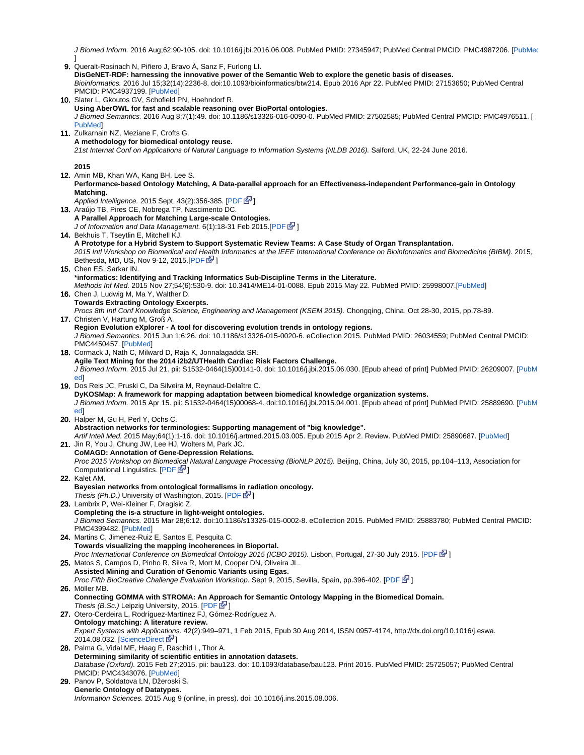J Biomed Inform. 2016 Aug;62:90-105. doi: 10.1016/j.jbi.2016.06.008. PubMed PMID: 27345947; PubMed Central PMCID: PMC4987206. [[PubMed](https://www.ncbi.nlm.nih.gov/pubmed/27345947)

9. Queralt-Rosinach N, Piñero J, Bravo À, Sanz F, Furlong LI. 10. Slater L, Gkoutos GV, Schofield PN, Hoehndorf R. 11. Zulkarnain NZ, Meziane F, Crofts G. 12. Amin MB, Khan WA, Kang BH, Lee S. 13. Araújo TB, Pires CE, Nobrega TP, Nascimento DC. 14. Bekhuis T, Tseytlin E, Mitchell KJ. 15. Chen ES, Sarkar IN. 16. Chen J, Ludwig M, Ma Y, Walther D. 17. Christen V, Hartung M, Groß A. 18. Cormack J, Nath C, Milward D, Raja K, Jonnalagadda SR. 19. Dos Reis JC, Pruski C, Da Silveira M, Reynaud-Delaître C. 20. Halper M, Gu H, Perl Y, Ochs C. 21. Jin R, You J, Chung JW, Lee HJ, Wolters M, Park JC. 22. Kalet AM. 23. Lambrix P, Wei-Kleiner F, Dragisic Z. 24. Martins C, Jimenez-Ruiz E, Santos E, Pesquita C. 25. Matos S, Campos D, Pinho R, Silva R, Mort M, Cooper DN, Oliveira JL. 26. Möller MB. 27. Otero-Cerdeira L, Rodríguez-Martínez FJ, Gómez-Rodríguez A. 28. Palma G, Vidal ME, Haag E, Raschid L, Thor A. 29. Panov P, Soldatova LN, Džeroski S. ] **DisGeNET-RDF: harnessing the innovative power of the Semantic Web to explore the genetic basis of diseases.** Bioinformatics. 2016 Jul 15;32(14):2236-8. doi:10.1093/bioinformatics/btw214. Epub 2016 Apr 22. PubMed PMID: 27153650; PubMed Central PMCID: PMC4937199. [\[PubMed](http://www.ncbi.nlm.nih.gov/pubmed/27153650)] **Using AberOWL for fast and scalable reasoning over BioPortal ontologies.** J Biomed Semantics. 2016 Aug 8;7(1):49. doi: 10.1186/s13326-016-0090-0. PubMed PMID: 27502585; PubMed Central PMCID: PMC4976511. [ [PubMed\]](https://www.ncbi.nlm.nih.gov/pubmed/27502585) **A methodology for biomedical ontology reuse.** 21st Internat Conf on Applications of Natural Language to Information Systems (NLDB 2016). Salford, UK, 22-24 June 2016. **2015 Performance-based Ontology Matching, A Data-parallel approach for an Effectiveness-independent Performance-gain in Ontology Matching.** Applied Intelligence. 2015 Sept, 43(2):356-385. [[PDF](http://uclab.khu.ac.kr/resources/publication/J_200.pdf)  $\mathbb{F}$ [\]](http://www.cancer.gov/policies/linking) **A Parallel Approach for Matching Large-scale Ontologies.** J of Information and Data Management. 6(1):18-31 Feb 2015.[[PDF](https://seer.lcc.ufmg.br/index.php/jidm/article/view/882) & 1 **A Prototype for a Hybrid System to Support Systematic Review Teams: A Case Study of Organ Transplantation.** 2015 Intl Workshop on Biomedical and Health Informatics at the IEEE International Conference on Bioinformatics and Biomedicine (BIBM). 2015, Bethesda, MD, US, Nov 9-12, 2015.[[PDF](http://www.researchgate.net/profile/Tanja_Bekhuis/publication/282615598_A_Prototype_for_a_Hybrid_System_to_Support_Systematic_Review_Teams_A_Case_Study_of_Organ_Transplantation/links/56146d9a08ae4ce3cc63c176.pdf)  $\mathbb{F}$ ] **\*informatics: Identifying and Tracking Informatics Sub-Discipline Terms in the Literature.** Methods Inf Med. 2015 Nov 27;54(6):530-9. doi: 10.3414/ME14-01-0088. Epub 2015 May 22. PubMed PMID: 25998007.[\[PubMed](http://www.ncbi.nlm.nih.gov/pubmed/25998007)] **Towards Extracting Ontology Excerpts.** Procs 8th Intl Conf Knowledge Science, Engineering and Management (KSEM 2015). Chongqing, China, Oct 28-30, 2015, pp.78-89. **Region Evolution eXplorer - A tool for discovering evolution trends in ontology regions.** J Biomed Semantics. 2015 Jun 1;6:26. doi: 10.1186/s13326-015-0020-6. eCollection 2015. PubMed PMID: 26034559; PubMed Central PMCID: PMC4450457. [\[PubMed](http://www.ncbi.nlm.nih.gov/pubmed/26034559)] **Agile Text Mining for the 2014 i2b2/UTHealth Cardiac Risk Factors Challenge.** J Biomed Inform. 2015 Jul 21. pii: S1532-0464(15)00141-0. doi: 10.1016/j.jbi.2015.06.030. [Epub ahead of print] PubMed PMID: 26209007. [\[PubM](http://www.ncbi.nlm.nih.gov/pubmed/26209007) [ed](http://www.ncbi.nlm.nih.gov/pubmed/26209007)] **DyKOSMap: A framework for mapping adaptation between biomedical knowledge organization systems.** J Biomed Inform. 2015 Apr 15. pii: S1532-0464(15)00068-4. doi:10.1016/j.jbi.2015.04.001. [Epub ahead of print] PubMed PMID: 25889690. [\[PubM](http://www.ncbi.nlm.nih.gov/pubmed/25889690) [ed](http://www.ncbi.nlm.nih.gov/pubmed/25889690)] **Abstraction networks for terminologies: Supporting management of "big knowledge".** Artif Intell Med. 2015 May;64(1):1-16. doi: 10.1016/j.artmed.2015.03.005. Epub 2015 Apr 2. Review. PubMed PMID: 25890687. [\[PubMed](http://www.ncbi.nlm.nih.gov/pubmed/25890687)] **CoMAGD: Annotation of Gene-Depression Relations.** Proc 2015 Workshop on Biomedical Natural Language Processing (BioNLP 2015). Beijing, China, July 30, 2015, pp.104–113, Association for Computational Linguistics. [[PDF](http://www.aclweb.org/anthology/W/W15/W15-38.pdf) & **Bayesian networks from ontological formalisms in radiation oncology.** Thesis (Ph.D.) University of Washington, 2015. [\[PDF](ttps://ont2bn.radonc.washington.edu/amkalet-apps/Ont2BNapp/uwthesisAKalet.pdf)  $\mathbb{F}$ [\]](http://www.cancer.gov/policies/linking) **Completing the is-a structure in light-weight ontologies.** J Biomed Semantics. 2015 Mar 28;6:12. doi:10.1186/s13326-015-0002-8. eCollection 2015. PubMed PMID: 25883780; PubMed Central PMCID: PMC4399482. [\[PubMed](http://www.ncbi.nlm.nih.gov/pubmed/25883780)] **Towards visualizing the mapping incoherences in Bioportal.** Proc International Conference on Biomedical Ontology 2015 (ICBO 2015). Lisbon, Portugal, 27-30 July 2015. [\[PDF](http://www.cs.ox.ac.uk/files/6655/paper_ISWC_BioPortal.pdf) 图[\]](http://www.cancer.gov/policies/linking) **Assisted Mining and Curation of Genomic Variants using Egas.** Proc Fifth BioCreative Challenge Evaluation Workshop. Sept 9, 2015, Sevilla, Spain, pp.396-402. [\[PDF](http://www.biocreative.org/media/store/files/2015/IAT_egas_2.pdf) & ] **Connecting GOMMA with STROMA: An Approach for Semantic Ontology Mapping in the Biomedical Domain.** Thesis (B.Sc.) Leipzig University, 2015. [\[PDF](http://lips.informatik.uni-leipzig.de/files/bachelorthesis_moeller.pdf)  $\mathbb{S}^1$ [\]](http://www.cancer.gov/policies/linking) **Ontology matching: A literature review.** Expert Systems with Applications. 42(2):949–971, 1 Feb 2015, Epub 30 Aug 2014, ISSN 0957-4174, http://dx.doi.org/10.1016/j.eswa. 2014.08.032. [[ScienceDirect](http://www.sciencedirect.com/science/article/pii/S0957417414005144) **[\]](http://www.cancer.gov/policies/linking) Determining similarity of scientific entities in annotation datasets.** Database (Oxford). 2015 Feb 27;2015. pii: bau123. doi: 10.1093/database/bau123. Print 2015. PubMed PMID: 25725057; PubMed Central PMCID: PMC4343076. [\[PubMed](http://www.ncbi.nlm.nih.gov/pubmed/25725057)] **Generic Ontology of Datatypes.** Information Sciences. 2015 Aug 9 (online, in press). doi: 10.1016/j.ins.2015.08.006.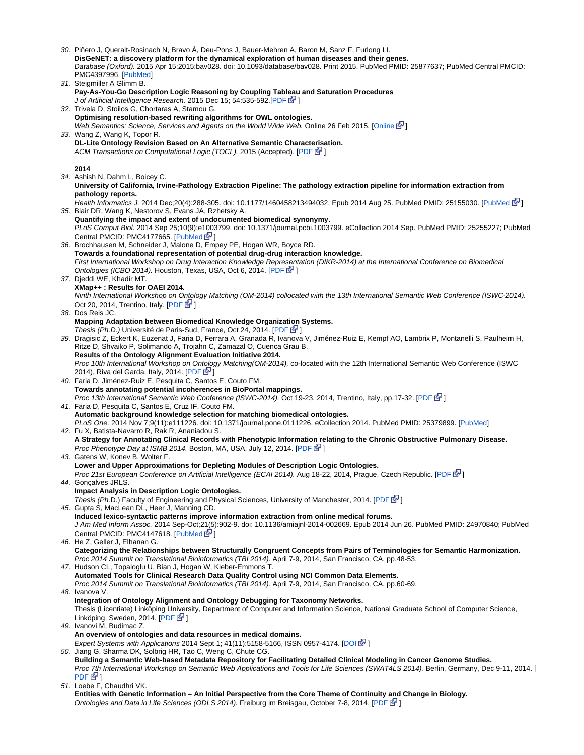30. Piñero J, Queralt-Rosinach N, Bravo À, Deu-Pons J, Bauer-Mehren A, Baron M, Sanz F, Furlong LI. 31. Steigmiller A Glimm B. 32. Trivela D, Stoilos G, Chortaras A, Stamou G. 33. Wang Z, Wang K, Topor R. 34. Ashish N, Dahm L, Boicey C. 35. Blair DR, Wang K, Nestorov S, Evans JA, Rzhetsky A. 36. Brochhausen M, Schneider J, Malone D, Empey PE, Hogan WR, Boyce RD. 37. Djeddi WE, Khadir MT. 38. Dos Reis JC. 39. Dragisic Z, Eckert K, Euzenat J, Faria D, Ferrara A, Granada R, Ivanova V, Jiménez-Ruiz E, Kempf AO, Lambrix P, Montanelli S, Paulheim H, 40. Faria D, Jiménez-Ruiz E, Pesquita C, Santos E, Couto FM. 41. Faria D, Pesquita C, Santos E, Cruz IF, Couto FM. 42. Fu X, Batista-Navarro R, Rak R, Ananiadou S. 43. Gatens W, Konev B, Wolter F. 44. Gonçalves JRLS. 45. Gupta S, MacLean DL, Heer J, Manning CD. 46. He Z, Geller J, Elhanan G. 47. Hudson CL, Topaloglu U, Bian J, Hogan W, Kieber-Emmons T. 48. Ivanova V. 49. Ivanovi M, Budimac Z. 50. Jiang G, Sharma DK, Solbrig HR, Tao C, Weng C, Chute CG. 51. Loebe F, Chaudhri VK. **DisGeNET: a discovery platform for the dynamical exploration of human diseases and their genes.** Database (Oxford). 2015 Apr 15;2015:bav028. doi: 10.1093/database/bav028. Print 2015. PubMed PMID: 25877637; PubMed Central PMCID: PMC4397996. [\[PubMed](http://www.ncbi.nlm.nih.gov/pubmed/25877637)] **Pay-As-You-Go Description Logic Reasoning by Coupling Tableau and Saturation Procedures** J of Artificial Intelligence Research. 2015 Dec 15; 54:535-592.[[PDF](http://www.jair.org/media/4897/live-4897-9009-jair.pdf)  $\bar{S}$ ] **Optimising resolution-based rewriting algorithms for OWL ontologies.** Web Semantics: Science, Services and Agents on the World Wide Web. [Online](http://dx.doi.org/10.1016/j.websem.2015.02.001) 26 Feb 2015. [Online Later] **DL-Lite Ontology Revision Based on An Alternative Semantic Characterisation.** ACM Transactions on Computational Logic (TOCL). 2015 (Accepted). [\[PDF](http://tocl.acm.org/accepted/wang-wang_DL.pdf)  $\bar{S}$ [\]](http://www.cancer.gov/policies/linking) **2014 University of California, Irvine-Pathology Extraction Pipeline: The pathology extraction pipeline for information extraction from pathology reports.** Health Informatics J. 2014 Dec;20(4):288-305. doi: 10.1177/1460458213494032. Epub 2014 Aug 25. PubMed PMID: 25155030. [\[PubMed](http://www.ncbi.nlm.nih.gov/pubmed/25155030) 图[\]](http://www.cancer.gov/policies/linking) **Quantifying the impact and extent of undocumented biomedical synonymy.** PLoS Comput Biol. 2014 Sep 25;10(9):e1003799. doi: 10.1371/journal.pcbi.1003799. eCollection 2014 Sep. PubMed PMID: 25255227; PubMed Central PMCID: PMC4177665. [[PubMed](http://www.ncbi.nlm.nih.gov/pubmed/25255227)  $\mathbb{Z}$ ] **Towards a foundational representation of potential drug-drug interaction knowledge.** First International Workshop on Drug Interaction Knowledge Representation (DIKR-2014) at the International Conference on Biomedical Ontologies (ICBO 2014). Houston, Texas, USA, Oct 6, 2014. [[PDF](http://jodischneider.com/pubs/dikr2014.pdf) & ] **XMap++ : Results for OAEI 2014.** Ninth International Workshop on Ontology Matching (OM-2014) collocated with the 13th International Semantic Web Conference (ISWC-2014). Oct 20, 2014, Trentino, Italy.  $[PDF \ \n\mathbb{F}^2]$  $[PDF \ \n\mathbb{F}^2]$  $[PDF \ \n\mathbb{F}^2]$  $[PDF \ \n\mathbb{F}^2]$ **Mapping Adaptation between Biomedical Knowledge Organizat[ion](http://www.cancer.gov/policies/linking) Systems.** Thesis (Ph.D.) Université de Paris-Sud, France, Oct 24, 2014. [[PDF](http://www.theses.fr/2014PA112231/abes/VD2_DOS_REIS_JULIO_CESAR_24102014.pdf)  $\mathbb{F}$ ] Ritze D, Shvaiko P, Solimando A, Trojahn C, Zamazal O, Cuenca Grau B. **Results of the Ontology Alignment Evaluation Initiative 2014.** Proc 10th International Workshop on Ontology Matching(OM-2014), co-located with the 12th International Semantic Web Conference (ISWC 2014), Riva del Garda, Italy, 2014.  $[PDF \mathbb{F}^1]$  $[PDF \mathbb{F}^1]$ **Towards annotating potential incoherences in BioPortal mappings.** Proc 13th International Semantic Web Conference (ISWC-2014). Oct 19-23, 2014, Trentino, Italy, pp.17-32. [[PDF](http://www.cs.ox.ac.uk/files/6655/paper_ISWC_BioPortal.pdf)  $\mathbb{F}$ ] **Automatic background knowledge selection for matching biomedical ontologies.** PLoS One. 2014 Nov 7;9(11):e111226. doi: 10.1371/journal.pone.0111226. eCollection 2014. PubMed PMID: 25379899. [[PubMed\]](http://www.ncbi.nlm.nih.gov/pubmed/25379899) **A Strategy for Annotating Clinical Records with Phenotypic Information relating to the Chronic Obstructive Pulmonary Disease.** Proc Phenotype Day at ISMB 2014. Boston, MA, USA, July 12, 2014. [[PDF](http://phenoday2014.bio-lark.org/pdf/1.pdf)  $\mathbb{F}$ [\]](http://www.cancer.gov/policies/linking) **Lower and Upper Approximations for Depleting Modules of Description Logic Ontologies.** Proc 21st European Conference on Artificial Intelligence (ECAI 2014). Aug 18-22, 2014, Prague, Czech Republic. [\[PDF](http://cgi.csc.liv.ac.uk/~wgatens/papers/ecai.pdf) [P [\]](http://www.cancer.gov/policies/linking) **Impact Analysis in Description Logic Ontologies.** Thesis (Ph.D.) Faculty of Engineering and Physical Sciences, University of Manchester, 2014. [[PDF](http://www.rsgoncalves.com/files/2014_thesis.pdf) 图] **Induced lexico-syntactic patterns improve information extraction from online medical forums.** J Am Med Inform Assoc. 2014 Sep-Oct;21(5):902-9. doi: 10.1136/amiajnl-2014-002669. Epub 2014 Jun 26. PubMed PMID: 24970840; PubMed Central PMCID: PMC4147618. [[PubMed](http://www.ncbi.nlm.nih.gov/pubmed/24970840) LP] **Categorizing the Relationships between Structurally Congruent Concepts from Pairs of Terminologies for Semantic Harmonization.** Proc 2014 Summit on Translational Bioinformatics (TBI 2014). April 7-9, 2014, San Francisco, CA, pp.48-53. **Automated Tools for Clinical Research Data Quality Control using NCI Common Data Elements.** Proc 2014 Summit on Translational Bioinformatics (TBI 2014). April 7-9, 2014, San Francisco, CA, pp.60-69. **Integration of Ontology Alignment and Ontology Debugging for Taxonomy Networks.** Thesis (Licentiate) Linköping University, Department of Computer and Information Science, National Graduate School of Computer Science, Linköping, Sweden, 2014. [\[PDF](http://www.diva-portal.org/smash/get/diva2:692621/FULLTEXT01.pdf) & ] **An overview of ontologies and data resources in medical domains.** Expert Systems with Applications 2014 Sept 1; 41(11):5158-5166, ISSN 0957-4174. [[DOI](http://dx.doi.org/10.1016/j.eswa.2014.02.045)  $\mathbb{F}$ [\]](http://www.cancer.gov/policies/linking) **Building a Semantic Web-based Metadata Repository for Facilitating Detailed Clinical Modeling in Cancer Genome Studies.** Proc 7th International Workshop on Semantic Web Applications and Tools for Life Sciences (SWAT4LS 2014). Berlin, Germany, Dec 9-11, 2014. [  $PDF$  $\Phi$ <sup>1</sup> **Entities with Genetic Information – An Initial Perspective from the Core Theme of Continuity and Change in Biology.** Ontologies and Data in Life Sciences (ODLS 2014). Freiburg im Breisgau, October 7-8, 2014. [[PDF](http://www.onto-med.de/obml/ws2014/odls2014report.pdf) G<sup>1</sup>[\]](http://www.cancer.gov/policies/linking)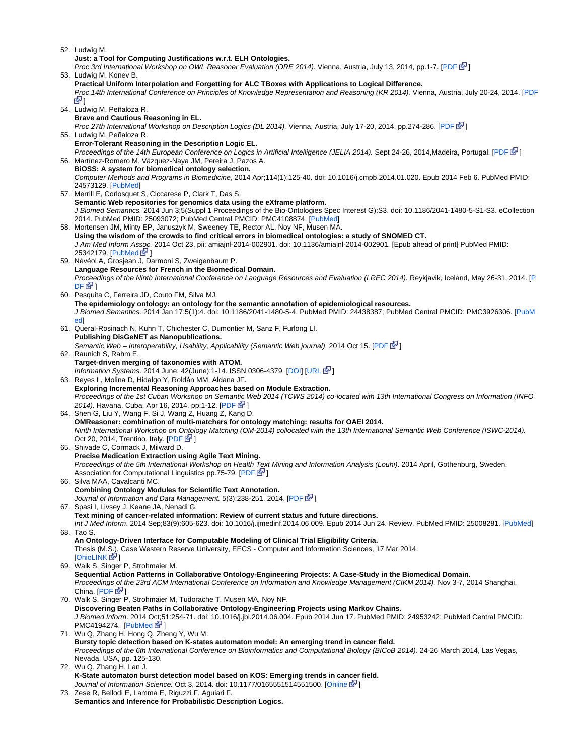52. Ludwig M.

53. Ludwig M, Konev B. 54. Ludwig M, Peñaloza R. 55. Ludwig M, Peñaloza R. 56. Martínez-Romero M, Vázquez-Naya JM, Pereira J, Pazos A. 57. Merrill E, Corlosquet S, Ciccarese P, Clark T, Das S. 58. Mortensen JM, Minty EP, Januszyk M, Sweeney TE, Rector AL, Noy NF, Musen MA. 59. Névéol A, Grosjean J, Darmoni S, Zweigenbaum P. 60. Pesquita C, Ferreira JD, Couto FM, Silva MJ. 61. Queral-Rosinach N, Kuhn T, Chichester C, Dumontier M, Sanz F, Furlong LI. 62. Raunich S, Rahm E. 63. Reyes L, Molina D, Hidalgo Y, Roldán MM, Aldana JF. 64. Shen G, Liu Y, Wang F, Si J, Wang Z, Huang Z, Kang D. 65. Shivade C, Cormack J, Milward D. 66. Silva MAA, Cavalcanti MC. 67. Spasi I, Livsey J, Keane JA, Nenadi G. 68. Tao S. 69. Walk S, Singer P, Strohmaier M. 70. Walk S, Singer P, Strohmaier M, Tudorache T, Musen MA, Noy NF. 71. Wu Q, Zhang H, Hong Q, Zheng Y, Wu M. 72. Wu Q, Zhang H, Lan J. 73. Zese R, Bellodi E, Lamma E, Riguzzi F, Aguiari F. **Just: a Tool for Computing Justifications w.r.t. ELH Ontologies.** Proc 3rd International Workshop on OWL Reasoner Evaluation (ORE 2014). Vienna, Austria, July 13, 2014, pp.1-7. [\[PDF](http://ceur-ws.org/Vol-1207/paper_2.pdf)  $\mathbb{F}$ ] **Practical Uniform Interpolation and Forgetting for ALC TBoxes with Applications to Logical Difference.** Proc 14th International Conference on Principles of Knowledge Representation and Reasoning (KR 2014). Vienna, Austria, July 20-24, 2014. [[PDF](http://lat.inf.tu-dresden.de/research/papers/2014/LuKo-KR-2014.pdf) 6기 **Brave and Cautious Reasoning in EL.** Proc 27th International Workshop on Description Logics (DL 2014). Vienna, Austria, July 17-20, 2014, pp.274-286. [[PDF](http://ceur-ws.org/Vol-1193/paper_8.pdf) 图] **Error-Tolerant Reasoning in the Description Logic EL.** Proceedings of the 14th European Conference on Logics in Artificial Intelligence (JELIA 2014). Sept 24-26, 2014, Madeira, Portugal. [\[PDF](http://lat.inf.tu-dresden.de/research/papers/2014/LuPe-JELIA14.pdf) [P [\]](http://www.cancer.gov/policies/linking)] **BiOSS: A system for biomedical ontology selection.** Computer Methods and Programs in Biomedicine, 2014 Apr;114(1):125-40. doi: 10.1016/j.cmpb.2014.01.020. Epub 2014 Feb 6. PubMed PMID: 24573129. [[PubMed\]](http://www.ncbi.nlm.nih.gov/pubmed/24573129) **Semantic Web repositories for genomics data using the eXframe platform.** J Biomed Semantics. 2014 Jun 3;5(Suppl 1 Proceedings of the Bio-Ontologies Spec Interest G):S3. doi: 10.1186/2041-1480-5-S1-S3. eCollection 2014. PubMed PMID: 25093072; PubMed Central PMCID: PMC4108874. [\[PubMed](http://www.ncbi.nlm.nih.gov/pubmed/25093072)] **Using the wisdom of the crowds to find critical errors in biomedical ontologies: a study of SNOMED CT.** J Am Med Inform As[soc](http://www.cancer.gov/policies/linking). 2014 Oct 23. pii: amiajnl-2014-002901. doi: 10.1136/amiajnl-2014-002901. [Epub ahead of print] PubMed PMID: 25342179. [[PubMed](http://www.ncbi.nlm.nih.gov/pubmed/25342179)  $\mathbb{Z}^1$ ] **Language Resources for French in the Biomedical Domain.** Proceedings of the Ninth International Conference on Language Resources and Evaluation (LREC 2014). Reykjavik, Iceland, May 26-31, 2014. [[P](http://www.lrec-conf.org/proceedings/lrec2014/pdf/604_Paper.pdf)  $DF$  $\Phi$ **The epidemiology ontology: an ontology for the semantic annotation of epidemiological resources.** J Biomed Semantics. 2014 Jan 17;5(1):4. doi: 10.1186/2041-1480-5-4. PubMed PMID: 24438387; PubMed Central PMCID: PMC3926306. [[PubM](http://www.ncbi.nlm.nih.gov/pubmed/24438387) [ed](http://www.ncbi.nlm.nih.gov/pubmed/24438387)] **Publishing DisGeNET as Nanopublications.** Semantic Web – Interoperability, Usability, Applicability (Semantic Web journal). 2014 Oct 15. [\[PDF](http://www.semantic-web-journal.net/system/files/swj879.pdf) G<sup>3</sup>[\]](http://www.cancer.gov/policies/linking) **Target-driven merging of taxonomies with ATOM.** Information Systems. 2014 June; 42(June):1-14. ISSN 0306-4379. [\[DOI\]](http://dx.doi.org/10.1016/j.is.2013.11.001) [[URL](http://www.sciencedirect.com/science/article/pii/S0306437913001488) EV[\]](http://www.cancer.gov/policies/linking) **Exploring Incremental Reasoning Approaches based on Module Extraction.** Proceedings of the 1st Cuban Workshop on Semantic Web 2014 (TCWS 2014) co-located with 13th International Congress on Information (INFO 2014). Havana, Cuba, Apr 16, 2014, pp.1-12. [\[PDF](http://ceur-ws.org/Vol-1219/paper1.pdf) [P[\]](http://www.cancer.gov/policies/linking) **OMReasoner: combination of multi-matchers for ontology matching: results for OAEI 2014.** Ninth International Workshop on Ontology Matching (OM-2014) collocated with the 13th International Semantic Web Conference (ISWC-2014). Oct 20, 2014, Trentino, Italy.  $[PDF \ \n\mathbb{F}^2]$  $[PDF \ \n\mathbb{F}^2]$  $[PDF \ \n\mathbb{F}^2]$  $[PDF \ \n\mathbb{F}^2]$ **Precise Medication Extraction using Agile Text Mining.** Proceedings of the 5th International Workshop on Health [Tex](http://www.cancer.gov/policies/linking)t Mining and Information Analysis (Louhi). 2014 April, Gothenburg, Sweden, Association for Computational Linguistics pp.75-79. [[PDF](http://www.aclweb.org/anthology/W14-1111)  $\mathbb{F}$ ] **Combining Ontology Modules for Scientific Text Annotation.** Journal of Information and Data Management. 5(3):238-251, 2014. [\[PDF](https://seer.lcc.ufmg.br/index.php/jidm/article/view/724/630) & [\]](http://www.cancer.gov/policies/linking) **Text mining of cancer-related information: Review of current status and future directions.** Int J Med Inform. 2014 Sep;83(9):605-623. doi: 10.1016/j.ijmedinf.2014.06.009. Epub 2014 Jun 24. Review. PubMed PMID: 25008281. [\[PubMed](http://www.ncbi.nlm.nih.gov/pubmed/25008281)] **An Ontology-Driven Interface for Computable Modeling of Clinical Trial Eligibility Criteria.** Thesis (M.S.), Case Western Reserve University, EECS - Computer and Information Sciences, 17 Mar 2014.  $[OhioLINK \mathbb{E}^{\mathcal{U}}]$  $[OhioLINK \mathbb{E}^{\mathcal{U}}]$ **Sequential Action Patterns in Collaborative Ontology-Engineering Projects: A Case-Study in the Biomedical Domain.** Proceedings of the 23rd ACM International Conference on Information and Knowledge Management (CIKM 2014). Nov 3-7, 2014 Shanghai, China.  $[PDF \mathbb{F}^1]$  $[PDF \mathbb{F}^1]$  $[PDF \mathbb{F}^1]$  $[PDF \mathbb{F}^1]$ **Discovering Beaten Paths in Collaborative Ontology-Engineering Projects using Markov Chains.** J Biomed Inform. 2014 Oct;51:254-71. doi: 10.1016/j.jbi.2014.06.004. Epub 2014 Jun 17. PubMed PMID: 24953242; PubMed Central PMCID: PMC4194274. [\[PubMed](http://www.ncbi.nlm.nih.gov/pubmed/24953242)  $\mathbb{F}'$ [\]](http://www.cancer.gov/policies/linking) **Bursty topic detection based on K-states automaton model: An emerging trend in cancer field.** Proceedings of the 6th International Conference on Bioinformatics and Computational Biology (BICoB 2014). 24-26 March 2014, Las Vegas, Nevada, USA, pp. 125-130. **K-State automaton burst detection model based on KOS: Emerging trends in cancer field.** Journal of Information Science. Oct 3, 2014. doi: 10.1177/0165551514551500. [[Online](http://jis.sagepub.com/content/early/2014/09/26/0165551514551500.abstract) ] **Semantics and Inference for Probabilistic Description Logics.**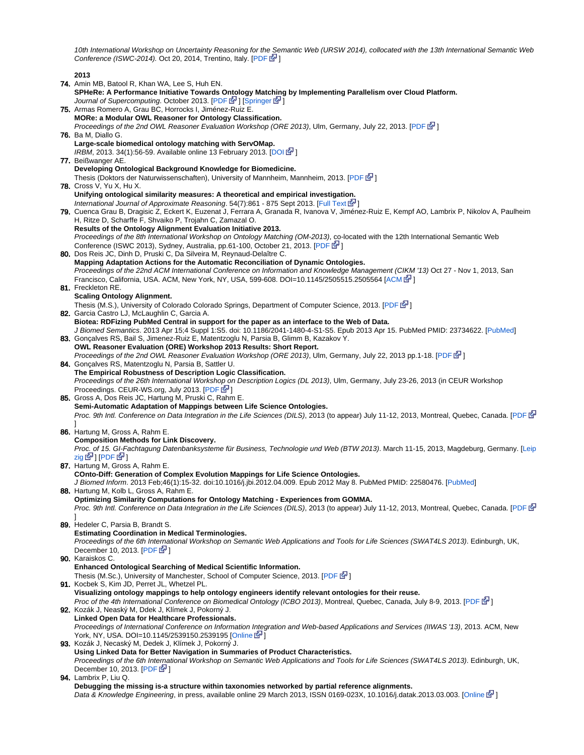10th International Workshop on Uncertainty Reasoning for the Semantic Web (URSW 2014), collocated with the 13th International Semantic Web Conference (ISWC-2014). Oct 20, 2014, Trentino, Italy.  $[PDF]$  $[PDF]$  $[PDF]$ 

**2013**

74. Amin MB, Batool R, Khan WA, Lee S, Huh EN. 75. Armas Romero A, Grau BC, Horrocks I, Jiménez-Ruiz E. 76. Ba M, Diallo G. 77. Beißwanger AE. 78. Cross V, Yu X, Hu X. 79. Cuenca Grau B, Dragisic Z, Eckert K, Euzenat J, Ferrara A, Granada R, Ivanova V, Jiménez-Ruiz E, Kempf AO, Lambrix P, Nikolov A, Paulheim 80. Dos Reis JC, Dinh D, Pruski C, Da Silveira M, Reynaud-Delaître C. 81. Freckleton RE. 82. Garcia Castro LJ, McLaughlin C, Garcia A. 83. Gonçalves RS, Bail S, Jimenez-Ruiz E, Matentzoglu N, Parsia B, Glimm B, Kazakov Y. 84. Gonçalves RS, Matentzoglu N, Parsia B, Sattler U. 85. Gross A, Dos Reis JC, Hartung M, Pruski C, Rahm E. 86. Hartung M, Gross A, Rahm E. 87. Hartung M, Gross A, Rahm E. 88. Hartung M, Kolb L, Gross A, Rahm E. 89. Hedeler C, Parsia B, Brandt S. 90. Karaiskos C. 91. Kocbek S, Kim JD, Perret JL, Whetzel PL. 92. Kozák J, Neaský M, Ddek J, Klímek J, Pokorný J. 93. Kozák J, Necaský M, Dedek J, Klímek J, Pokorný J. 94. Lambrix P, Liu Q. **SPHeRe: A Performance Initiative Towards Ontology Matching by Implementing Parallelism over Cloud Platform.** Journal of Supercomputing. October 2013. [[PDF](http://uclab.khu.ac.kr/resources/publication/J_164.pdf) Let ] [\[Springer](http://link.springer.com/article/10.1007/s11227-013-1037-1) Let [\]](http://www.cancer.gov/policies/linking) **MORe: a Modular OWL Reasoner for Ontology Classification.** Proceedings of the 2nd OWL Reasoner Evaluation Workshop (ORE 2013), Ulm, Germany, July 22, 2013. [[PDF](http://www.cs.ox.ac.uk/isg/conferences/ORE2013/paper_8.pdf)  $\mathbb{F}$ ] **Large-scale biomedical ontology matching with ServOMap.** IRBM, 2013. 34(1):56-59. Available online 13 February 2013. [[DOI](http://dx.doi.org/10.1016/j.irbm.2012.12.011)  $\mathbb{F}$ [\]](http://www.cancer.gov/policies/linking) **Developing Ontological Background Knowledge for Biomedicine.** Thesis (Doktors der Naturwissenschaften), University of Mannheim, Mannheim, 2013. [\[PDF](https://ub-madoc.bib.uni-mannheim.de/35191/1/dissertation_beisswanger.pdf) E<sup>1</sup>] **Unifying ontological similarity measures: A theoretical and empirical investigation.** International Journal of Approximate Reasoning. 54(7):861 - 875 Sept 2013. [\[Full Text](http://www.sciencedirect.com/science/article/pii/S0888613X13000637) E-[\]](http://www.cancer.gov/policies/linking) H, Ritze D, Scharffe F, Shvaiko P, Trojahn C, Zamazal O. **Results of the Ontology Alignment Evaluation Initiative 2013.** Proceedings of the 8th International Workshop on Ontology Matching (OM-2013), co-located with the 12th International Semantic Web Conference (ISWC 2013), Sydney, Australia, pp.61-100, October 21, 2013. [\[PDF](http://ceur-ws.org/Vol-1111/oaei13_paper0.pdf) B<sup>31</sup>[\]](http://www.cancer.gov/policies/linking) **Mapping Adaptation Actions for the Automatic Reconciliation of Dynamic Ontologies.** Proceedings of the 22nd ACM International Conference on Information and Knowledge Management (C[IKM](http://www.cancer.gov/policies/linking) '13) Oct 27 - Nov 1, 2013, San Francisco, California, USA. ACM, New York, NY, USA, 599-608. DOI=10.1145/2505515.2505564 [\[ACM](http://doi.acm.org/10.1145/2505515.2505564) E ] **Scaling Ontology Alignment.** Thesis (M.S.), University of Colorado Colorado Springs, Department of Computer Science, 2013. [\[PDF](http://www.cs.uccs.edu/%7Ejkalita/work/StudentResearch/FreckletonMSThesis2013.pdf) E<sup>1</sup>[\]](http://www.cancer.gov/policies/linking) **Biotea: RDFizing PubMed Central in support for the paper as an interface to the Web of Data.** J Biomed Semantics. 2013 Apr 15;4 Suppl 1:S5. doi: 10.1186/2041-1480-4-S1-S5. Epub 2013 Apr 15. PubMed PMID: 23734622. [\[PubMed](http://www.ncbi.nlm.nih.gov/pubmed/23734622)] **OWL Reasoner Evaluation (ORE) Workshop 2013 Results: Short Report.** Proceedings of the 2nd OWL Reasoner Evaluation Workshop (ORE 2013), Ulm, Germany, July 22, 2013 pp.1-18. [\[PDF](http://ceur-ws.org/Vol-1015/ore2013_report.pdf) [ $\mathbb{F}$ [\]](http://www.cancer.gov/policies/linking) **The Empirical Robustness of Description Logic Classification.** Proceedings of the 26th International Workshop on Description Logics (DL 2013), Ulm, Germany, July 23-26, 2013 (in CEUR Workshop Proceedings. CEUR-WS.org, July 2013. [\[PDF](http://ceur-ws.org/Vol-1014/paper_45.pdf) & [\]](http://www.cancer.gov/policies/linking) **Semi-Automatic Adaptation of Mappings between Life Science Ontologies.** Proc. 9th Intl. Conference on Data Integration in the Life Sciences (DILS), 2013 (to appear) July 11-12, 2013, Montreal, Quebec, Canada. [\[PDF](http://dbs.uni-leipzig.de/file/Semi-Automatic%20Adaptation%20of%20Mappings%20between%20Life%20Science%20Ontologies.pdf) & ] **Composition Methods for Link Discovery.** Proc. of 15. GI-Fachtagung Datenbanksysteme für Business, Technologie und Web (BTW 2013). March 11-15, 2013, Magdeburg, Germany. [\[Leip](http://dbs.uni-leipzig.de/de/publication/title/composition_methods_for_link_discovery) [zig](http://dbs.uni-leipzig.de/de/publication/title/composition_methods_for_link_discovery) @ ] [[PDF](http://dbs.uni-leipzig.de/file/linkcompose_btw_2013_final.pdf) @ ] **COnto-Diff: Generation of Complex Evolution Mappings for Life Science Ontologies.** J Biomed Inform. 2013 Feb;46(1):15-32. doi:10.1016/j.jbi.2012.04.009. Epub 2012 May 8. PubMed PMID: 22580476. [[PubMed](http://www.ncbi.nlm.nih.gov/pubmed/22580476)] **Optimizing Similarity Computations for Ontology Matching - Experiences from GOMMA.** Proc. 9th Intl. Conference on Data Integration in the Life Sciences (DILS), 2013 (to appear) July 11-12, 2013, Montreal, Quebec, Canada. [\[PDF](http://dbs.uni-leipzig.de/file/GPU_DILS_2013_Camera_Ready.pdf) & ] **Estimating Coordination in Medical Terminologies.** Proceedings of the 6th Int[erna](http://www.cancer.gov/policies/linking)tional Workshop on Semantic Web Applications and Tools for Life Sciences (SWAT4LS 2013). Edinburgh, UK, December 10, 2013.  $[PDF \ \n\mathbb{Z}^1]$  $[PDF \ \n\mathbb{Z}^1]$ **Enhanced Ontological Searching of Medical Scientific Information.** Thesis (M.Sc.), University of Manchester, School of Computer Science, 2013. [\[PDF](http://studentnet.cs.manchester.ac.uk/resources/library/thesis_abstracts/MSc13/FullText/Karaiskos-Christos-fulltext.pdf) & ] **Visualizing ontology mappings to help ontology engineers identify relevant ontologies for their reuse.** Proc of the 4th International Conference on Biomedical Ontology (ICBO 2013), Montreal, Quebec, Canada, July 8-9, 2013. [\[PDF](http://www.unbsj.ca/sase/csas/data/ws/icbo2013/papers/research/icbo2013_submission_49.pdf) [P[\]](http://www.cancer.gov/policies/linking)] **Linked Open Data for Healthcare Professionals.** Proceedings of International Conference on Information Integration and Web-based Applications and Services (IIWAS '13), 2013. ACM, New York, NY, USA. DOI=10.1145/2539150.2539195 [\[Online](http://doi.acm.org/10.1145/2539150.2539195) E-**Using Linked Data for Better Navigation in Summaries of Product Characteristics.** Proceedings of the 6th International Workshop on Semantic Web Applications and Tools for Life Sciences (SWAT4LS 2013). Edinburgh, UK, December 10, 2013.  $[PDF \ \n\mathbb{F}^2]$  $[PDF \ \n\mathbb{F}^2]$  $[PDF \ \n\mathbb{F}^2]$ **Debugging the missing is-a structure within taxonomies networked by partial reference alignments.** Data & Knowledge Engineering, in press, available online 29 March 2013, ISSN 0169-023X, 10.1016/j.datak.2013.03.003. [[Online](http://www.sciencedirect.com/science/article/pii/S0169023X13000347)  $\mathbb{F}$ [\]](http://www.cancer.gov/policies/linking)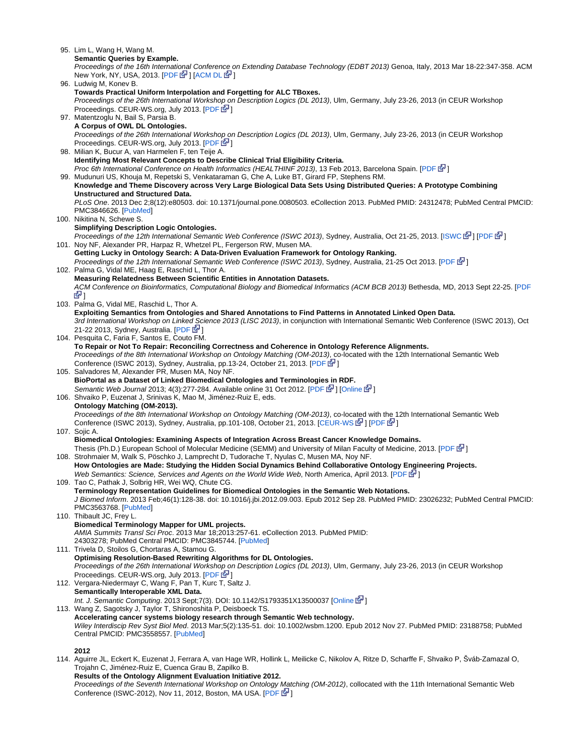95. Lim L, Wang H, Wang M. 96. Ludwig M, Konev B. 97. Matentzoglu N, Bail S, Parsia B. 98. Milian K, Bucur A, van Harmelen F, ten Teije A. 99. Mudunuri US, Khouja M, Repetski S, Venkataraman G, Che A, Luke BT, Girard FP, Stephens RM. 100. Nikitina N, Schewe S. 101. Noy NF, Alexander PR, Harpaz R, Whetzel PL, Fergerson RW, Musen MA. 102. Palma G, Vidal ME, Haag E, Raschid L, Thor A. 103. Palma G, Vidal ME, Raschid L, Thor A. 104. Pesquita C, Faria F, Santos E, Couto FM. 105. Salvadores M, Alexander PR, Musen MA, Noy NF. 106. Shvaiko P, Euzenat J, Srinivas K, Mao M, Jiménez-Ruiz E, eds. 107. Sojic A. 108. Strohmaier M, Walk S, Pöschko J, Lamprecht D, Tudorache T, Nyulas C, Musen MA, Noy NF. 109. Tao C, Pathak J, Solbrig HR, Wei WQ, Chute CG. 110. Thibault JC, Frey L. 111. Trivela D, Stoilos G, Chortaras A, Stamou G. 112. Vergara-Niedermayr C, Wang F, Pan T, Kurc T, Saltz J. 113. Wang Z, Sagotsky J, Taylor T, Shironoshita P, Deisboeck TS. 114. Aguirre JL, Eckert K, Euzenat J, Ferrara A, van Hage WR, Hollink L, Meilicke C, Nikolov A, Ritze D, Scharffe F, Shvaiko P, Šváb-Zamazal O, **Semantic Queries by Example.** Proceedings of the 16th Internati[ona](http://www.cancer.gov/policies/linking)l Conference on Extending Database Technology (EDBT 2013) Genoa, Italy, 2013 Mar 18-22:347-358. ACM New York, NY, USA, 2013.  $[PDF \&]$  $[PDF \&]$  $[PDF \&]$  $[PDF \&]$   $[ACM \&]$ **Towards Practical Uniform Interpolation and Forgetting for ALC TBoxes.** Proceedings of the 26th International Workshop on Description Logics (DL 2013), Ulm, Germany, July 23-26, 2013 (in CEUR Workshop Proceedings. CEUR-WS.org, July 2013. [\[PDF](http://lat.inf.tu-dresden.de/research/papers/2013/LuKo-DL-2013.pdf)  $\mathbb{F}$ [\]](http://www.cancer.gov/policies/linking) **A Corpus of OWL DL Ontologies.** Proceedings of the 26th International Worksh[op o](http://www.cancer.gov/policies/linking)n Description Logics (DL 2013), Ulm, Germany, July 23-26, 2013 (in CEUR Workshop Proceedings. CEUR-WS.org, July 2013. [\[PDF](http://ceur-ws.org/Vol-1014/paper_59.pdf) & **Identifying Most Relevant Concepts to Describe Clinical Trial Eligibility Criteria.** Proc 6th International Conference on Health Informatics (HEALTHINF 2013), 13 Feb 2013, Barcelona Spain. [\[PDF](https://www.researchgate.net/publication/235946645_Identifying_most_relevant_concepts_to_describe_clinical_trial_eligibility_criteria/file/60b7d5149dcdb2f942.pdf) [P] **Knowledge and Theme Discovery across Very Large Biological Data Sets Using Distributed Queries: A Prototype Combining Unstructured and Structured Data.** PLoS One. 2013 Dec 2;8(12):e80503. doi: 10.1371/journal.pone.0080503. eCollection 2013. PubMed PMID: 24312478; PubMed Central PMCID: PMC3846626. [\[PubMed](http://www.ncbi.nlm.nih.gov/pubmed/24312478)] **Simplifying Description Logic Ontologies.** Proceedings of the 12th International Semantic Web Conference (ISWC 2013), Sydney, Australia, Oct 21-25, 2013. [\[ISWC](http://data.semanticweb.org/conference/iswc/2013/proceedings-1/paper-26) M [\]](http://www.cancer.gov/policies/linking) [\[PDF](https://github.com/lidingpku/iswc-archive/raw/master/paper/iswc-2013/82180401-simplifying-description-logic-ontologies.pdf) M ] **Getting Lucky in Ontology Search: A Data-Driven Evaluation Framework for Ontology Ranking.** Proceedings of the 12th International Semantic Web Conference (ISWC 2013), Sydney, Australia, 21-25 Oct 2013. [\[PDF](http://www.stanford.edu/%7Enatalya/papers/iswc2013_bpSearch.pdf)  $\mathbb{F}$ ] **Measuring Relatedness Between Scientific Entities in Annotation Datasets.** ACM Conference on Bioinformatics, Computational Biology and Biomedical Informatics (ACM BCB 2013) Bethesda, MD, 2013 Sept 22-25. [[PDF](http://dbs.uni-leipzig.de/file/acmbcb2013_submission_123.pdf) ा फि **Exploiting Semantics from Ontologies and Shared Annotations to Find Patterns in Annotated Linked Open Data.** 3rd International Workshop on Linked Science 2013 (LISC 2013), in conjunction with International Semantic Web Conference (ISWC 2013), Oct 21-22 2013, Sydney, Australia. [[PDF](http://ldc.usb.ve/%7Egpalma/papers/paperLISC2013.pdf) [4] **To Repair or Not To Repair: Reconciling Correctness and Coherence in Ontology Reference Alignments.** Proceedings of the 8th International Workshop on Ontology Matching (OM-2013), co-located with the 12th International Semantic Web Conference (ISWC 2013), Sydney, Australia, pp.13-24, October 21, 2013. [[PDF](http://ceur-ws.org/Vol-1111/om2013_Tpaper2.pdf) & [\]](http://www.cancer.gov/policies/linking) **BioPortal as a Dataset of Linked Biomedical Ontologies and Terminologie[s in](http://www.cancer.gov/policies/linking) RDF.** Semantic Web Journal 2013; 4(3):277-284. Available online 31 Oct 2012. [\[PDF](http://www.semantic-web-journal.net/sites/default/files/swj278_4.pdf) L<sup>ap</sup> ] [\[Online](http://iospress.metapress.com/content/4mut1t3p76662806/?p=554fa16e20074e95aa8c251b47a4faa3&pi=0) Lap [\]](http://www.cancer.gov/policies/linking) **Ontology Matching (OM-2013).** Proceedings of the 8th International Workshop on Ontology Matching (OM-2013), co-located with the 12th International Semantic Web Conference (ISWC 2013), Sydney, Australia, pp.101-108, October 21, 2013. [\[CEUR-WS](http://ceur-ws.org/Vol-1111/) 图 [\]](http://www.cancer.gov/policies/linking) [\[PDF](http://disi.unitn.it/%7Ep2p/OM-2013/om2013_proceedings.pdf) 图 ] **Biomedical Ontologies: Examining Aspects of Integration Across Breast Cancer Knowledge Domains.** Thesis (Ph.D.) European School of Molecular Medicine (SEMM) and University of Milan Faculty of Medicine, 2013. [[PDF](http://air.unimi.it/bitstream/2434/218887/2/phd_unimi_R07960.pdf)  $\mathbb{F}$ [\]](http://www.cancer.gov/policies/linking) **How Ontologies are Made: Studying the Hidden Social Dynamics Behind Collaborative Ontology Engineering Projects.** Web Semantics: Science, Services and Agents on the World Wide Web, North America, April 2013. [[PDF](http://mx1.websemanticsjournal.org/index.php/ps/article/download/333/341) [Nev[\]](http://www.cancer.gov/policies/linking)] **Terminology Representation Guidelines for Biomedical Ontologies in the Semantic Web Notations.** J Biomed Inform. 2013 Feb;46(1):128-38. doi: 10.1016/j.jbi.2012.09.003. Epub 2012 Sep 28. PubMed PMID: 23026232; PubMed Central PMCID: PMC3563768. [\[PubMed](http://www.ncbi.nlm.nih.gov/pubmed/23026232)] **Biomedical Terminology Mapper for UML projects.** AMIA Summits Transl Sci Proc. 2013 Mar 18;2013:257-61. eCollection 2013. PubMed PMID: 24303278; PubMed Central PMCID: PMC3845744. [\[PubMed](http://www.ncbi.nlm.nih.gov/pubmed/24303278)] **Optimising Resolution-Based Rewriting Algorithms for DL Ontologies.** Proceedings of the 26th International Workshop on Description Logics (DL 2013), Ulm, Germany, July 23-26, 2013 (in CEUR Workshop Proceedings. CEUR-WS.org, July 2013. [\[PDF](http://ceur-ws.org/Vol-1014/paper_74.pdf) E-[\]](http://www.cancer.gov/policies/linking) **Semantically Interoperable XML Data.** Int. J. Semantic Computing. 2013 Sept;7(3). DOI: 10.1142/S1793351X13500037 [\[Online](http://www.worldscientific.com/doi/abs/10.1142/S1793351X13500037) 图[\]](http://www.cancer.gov/policies/linking) **Accelerating cancer systems biology research through Semantic Web technology.** Wiley Interdiscip Rev Syst Biol Med. 2013 Mar;5(2):135-51. doi: 10.1002/wsbm.1200. Epub 2012 Nov 27. PubMed PMID: 23188758; PubMed Central PMCID: PMC3558557. [[PubMed\]](http://www.ncbi.nlm.nih.gov/pubmed/23188758) **2012**

Trojahn C, Jiménez-Ruiz E, Cuenca Grau B, Zapilko B. **Results of the Ontology Alignment Evaluation Initiative 2012.** Proceedings of the Seventh International Workshop on Ontology Matching (OM-2012), collocated with the 11th International Semantic Web

Conference (ISWC-2012), Nov 11, 2012, Boston, MA USA. [\[PDF](http://ceur-ws.org/Vol-946/om2012_proceedings.pdf#page=83) 图[\]](http://www.cancer.gov/policies/linking)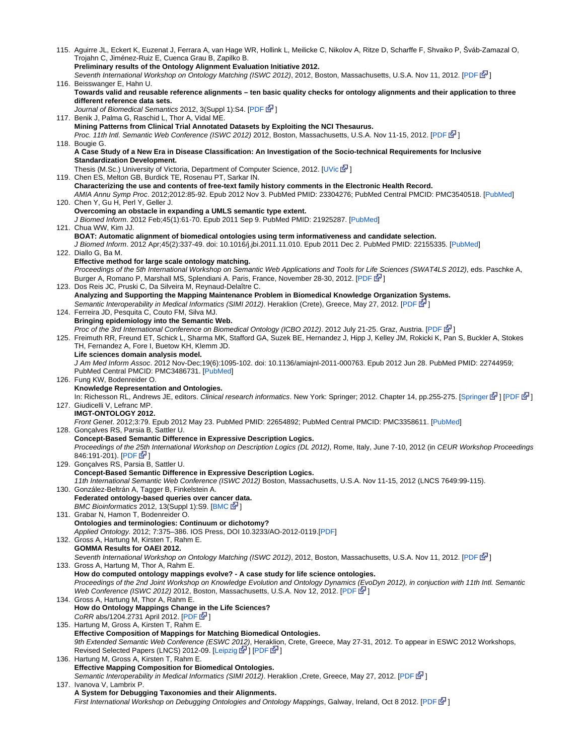| 115. Aguirre JL, Eckert K, Euzenat J, Ferrara A, van Hage WR, Hollink L, Meilicke C, Nikolov A, Ritze D, Scharffe F, Shvaiko P, Sváb-Zamazal O,<br>Trojahn C, Jiménez-Ruiz E, Cuenca Grau B, Zapilko B. |
|---------------------------------------------------------------------------------------------------------------------------------------------------------------------------------------------------------|
| Preliminary results of the Ontology Alignment Evaluation Initiative 2012.                                                                                                                               |
| Seventh International Workshop on Ontology Matching (ISWC 2012), 2012, Boston, Massachusetts, U.S.A. Nov 11, 2012. [PDF & 1                                                                             |
| 116. Beisswanger E, Hahn U.                                                                                                                                                                             |
| Towards valid and reusable reference alignments – ten basic quality checks for ontology alignments and their application to three<br>different reference data sets.                                     |
| Journal of Biomedical Semantics 2012, 3(Suppl 1):S4. [PDF & ]                                                                                                                                           |
| 117. Benik J, Palma G, Raschid L, Thor A, Vidal ME.                                                                                                                                                     |
| Mining Patterns from Clinical Trial Annotated Datasets by Exploiting the NCI Thesaurus.                                                                                                                 |
| Proc. 11th Intl. Semantic Web Conference (ISWC 2012) 2012, Boston, Massachusetts, U.S.A. Nov 11-15, 2012. [PDF E-<br>118. Bougie G.                                                                     |
| A Case Study of a New Era in Disease Classification: An Investigation of the Socio-technical Requirements for Inclusive                                                                                 |
| <b>Standardization Development.</b>                                                                                                                                                                     |
| Thesis (M.Sc.) University of Victoria, Department of Computer Science, 2012. [UVic EV]<br>119. Chen ES, Melton GB, Burdick TE, Rosenau PT, Sarkar IN.                                                   |
| Characterizing the use and contents of free-text family history comments in the Electronic Health Record.                                                                                               |
| AMIA Annu Symp Proc. 2012;2012:85-92. Epub 2012 Nov 3. PubMed PMID: 23304276; PubMed Central PMCID: PMC3540518. [PubMed]                                                                                |
| 120. Chen Y, Gu H, Perl Y, Geller J.                                                                                                                                                                    |
| Overcoming an obstacle in expanding a UMLS semantic type extent.<br>J Biomed Inform. 2012 Feb;45(1):61-70. Epub 2011 Sep 9. PubMed PMID: 21925287. [PubMed]                                             |
| 121. Chua WW, Kim JJ.                                                                                                                                                                                   |
| BOAT: Automatic alignment of biomedical ontologies using term informativeness and candidate selection.                                                                                                  |
| J Biomed Inform. 2012 Apr:45(2):337-49. doi: 10.1016/j.jbi.2011.11.010. Epub 2011 Dec 2. PubMed PMID: 22155335. [PubMed]<br>122. Diallo G, Ba M.                                                        |
| Effective method for large scale ontology matching.                                                                                                                                                     |
| Proceedings of the 5th International Workshop on Semantic Web Applications and Tools for Life Sciences (SWAT4LS 2012), eds. Paschke A,                                                                  |
| Burger A, Romano P, Marshall MS, Splendiani A. Paris, France, November 28-30, 2012. [PDF E <sup>3</sup> ]<br>123. Dos Reis JC, Pruski C, Da Silveira M, Reynaud-Delaître C.                             |
| Analyzing and Supporting the Mapping Maintenance Problem in Biomedical Knowledge Organization Systems.                                                                                                  |
| Semantic Interoperability in Medical Informatics (SIMI 2012). Heraklion (Crete), Greece, May 27, 2012. [PDF & ]                                                                                         |
| 124. Ferreira JD, Pesquita C, Couto FM, Silva MJ.                                                                                                                                                       |
| Bringing epidemiology into the Semantic Web.<br>Proc of the 3rd International Conference on Biomedical Ontology (ICBO 2012). 2012 July 21-25. Graz, Austria. [PDF N                                     |
| 125. Freimuth RR, Freund ET, Schick L, Sharma MK, Stafford GA, Suzek BE, Hernandez J, Hipp J, Kelley JM, Rokicki K, Pan S, Buckler A, Stokes                                                            |
| TH, Fernandez A, Fore I, Buetow KH, Klemm JD.                                                                                                                                                           |
| Life sciences domain analysis model.<br>J Am Med Inform Assoc. 2012 Nov-Dec;19(6):1095-102. doi: 10.1136/amiajnl-2011-000763. Epub 2012 Jun 28. PubMed PMID: 22744959;                                  |
| PubMed Central PMCID: PMC3486731. [PubMed]                                                                                                                                                              |
| 126. Fung KW, Bodenreider O.                                                                                                                                                                            |
| Knowledge Representation and Ontologies.<br>In: Richesson RL, Andrews JE, editors. Clinical research informatics. New York: Springer; 2012. Chapter 14, pp.255-275. [Springer M ] [PDF M ]              |
| 127. Giudicelli V, Lefranc MP.                                                                                                                                                                          |
| <b>IMGT-ONTOLOGY 2012.</b>                                                                                                                                                                              |
| Front Genet. 2012;3:79. Epub 2012 May 23. PubMed PMID: 22654892; PubMed Central PMCID: PMC3358611. [PubMed]<br>128. Gonçalves RS, Parsia B, Sattler U.                                                  |
| <b>Concept-Based Semantic Difference in Expressive Description Logics.</b>                                                                                                                              |
| Proceedings of the 25th International Workshop on Description Logics (DL 2012), Rome, Italy, June 7-10, 2012 (in CEUR Workshop Proceedings                                                              |
| 846:191-201) [PDF G <sup>J</sup> ]<br>129. Gonçalves RS, Parsia B, Sattler U.                                                                                                                           |
| <b>Concept-Based Semantic Difference in Expressive Description Logics.</b>                                                                                                                              |
| 11th International Semantic Web Conference (ISWC 2012) Boston, Massachusetts, U.S.A. Nov 11-15, 2012 (LNCS 7649:99-115).                                                                                |
| 130. González-Beltrán A, Tagger B, Finkelstein A.<br>Federated ontology-based queries over cancer data.                                                                                                 |
| BMC Bioinformatics 2012, 13(Suppl 1):S9. [BMC G ]                                                                                                                                                       |
| 131. Grabar N, Hamon T, Bodenreider O.                                                                                                                                                                  |
| Ontologies and terminologies: Continuum or dichotomy?<br>Applied Ontology. 2012; 7:375–386. IOS Press, DOI 10.3233/AO-2012-0119. [PDF]                                                                  |
| 132. Gross A, Hartung M, Kirsten T, Rahm E.                                                                                                                                                             |
| <b>GOMMA Results for OAEI 2012.</b>                                                                                                                                                                     |
| Seventh International Workshop on Ontology Matching (ISWC 2012), 2012, Boston, Massachusetts, U.S.A. Nov 11, 2012. [PDF & 1]<br>133. Gross A, Hartung M, Thor A, Rahm E.                                |
| How do computed ontology mappings evolve? - A case study for life science ontologies.                                                                                                                   |
| Proceedings of the 2nd Joint Workshop on Knowledge Evolution and Ontology Dynamics (EvoDyn 2012), in conjuction with 11th Intl. Semantic                                                                |
| Web Conference (ISWC 2012) 2012, Boston, Massachusetts, U.S.A. Nov 12, 2012. [PDF [2]                                                                                                                   |
| 134. Gross A, Hartung M, Thor A, Rahm E.<br>How do Ontology Mappings Change in the Life Sciences?                                                                                                       |
| CoRR abs/1204.2731 April 2012. [PDF & ]                                                                                                                                                                 |
| 135. Hartung M, Gross A, Kirsten T, Rahm E.                                                                                                                                                             |
| Effective Composition of Mappings for Matching Biomedical Ontologies.<br>9th Extended Semantic Web Conference (ESWC 2012), Heraklion, Crete, Greece, May 27-31, 2012. To appear in ESWC 2012 Workshops, |
| Revised Selected Papers (LNCS) 2012-09. [Leipzig & ] [PDF & ]                                                                                                                                           |
| 136. Hartung M, Gross A, Kirsten T, Rahm E.                                                                                                                                                             |
| <b>Effective Mapping Composition for Biomedical Ontologies.</b>                                                                                                                                         |
| Semantic Interoperability in Medical Informatics (SIMI 2012). Heraklion , Crete, Greece, May 27, 2012. [PDF E <sup>1</sup> ]<br>137. Ivanova V, Lambrix P.                                              |
| A System for Debugging Taxonomies and their Alignments.                                                                                                                                                 |
| First International Workshop on Debugging Ontologies and Ontology Mappings, Galway, Ireland, Oct 8 2012. [PDF N                                                                                         |
|                                                                                                                                                                                                         |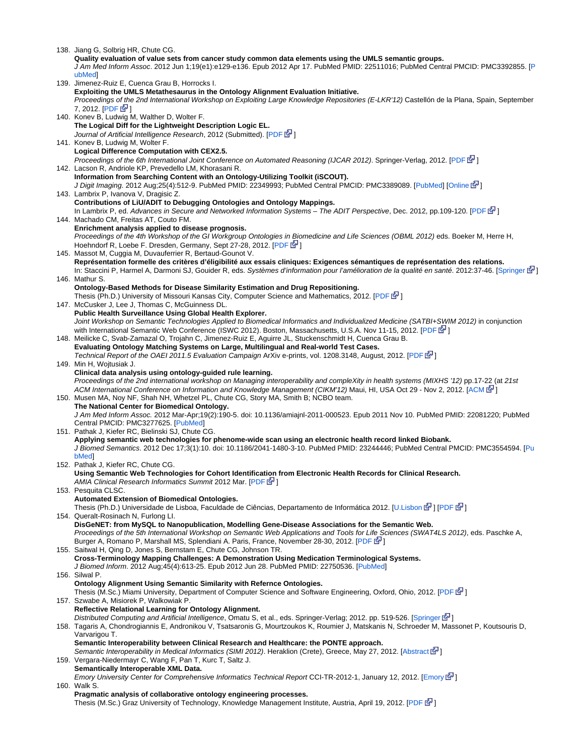138. Jiang G, Solbrig HR, Chute CG.

**Quality evaluation of value sets from cancer study common data elements using the UMLS semantic groups.** J Am Med Inform Assoc. 2012 Jun 1;19(e1):e129-e136. Epub 2012 Apr 17. PubMed PMID: 22511016; PubMed Central PMCID: PMC3392855. [[P](http://www.ncbi.nlm.nih.gov/pubmed/22511016) [ubMed\]](http://www.ncbi.nlm.nih.gov/pubmed/22511016)

139. Jimenez-Ruiz E, Cuenca Grau B, Horrocks I. 140. Konev B, Ludwig M, Walther D, Wolter F. 141. Konev B, Ludwig M, Wolter F. 142. Lacson R, Andriole KP, Prevedello LM, Khorasani R. 143. Lambrix P, Ivanova V, Dragisic Z. 144. Machado CM, Freitas AT, Couto FM. 145. Massot M, Cuggia M, Duvauferrier R, Bertaud-Gounot V. 146. Mathur S. 147. McCusker J, Lee J, Thomas C, McGuinness DL. 148. Meilicke C, Svab-Zamazal O, Trojahn C, Jimenez-Ruiz E, Aguirre JL, Stuckenschmidt H, Cuenca Grau B. 149. Min H, Wojtusiak J. 150. Musen MA, Noy NF, Shah NH, Whetzel PL, Chute CG, Story MA, Smith B; NCBO team. 151. Pathak J, Kiefer RC, Bielinski SJ, Chute CG. 152. Pathak J, Kiefer RC, Chute CG. 153. Pesquita CLSC. 154. Queralt-Rosinach N, Furlong LI. 155. Saitwal H, Qing D, Jones S, Bernstam E, Chute CG, Johnson TR. 156. Silwal P. 157. Szwabe A, Misiorek P, Walkowiak P. 158. Tagaris A, Chondrogiannis E, Andronikou V, Tsatsaronis G, Mourtzoukos K, Roumier J, Matskanis N, Schroeder M, Massonet P, Koutsouris D, 159. Vergara-Niedermayr C, Wang F, Pan T, Kurc T, Saltz J. 160. Walk S. **Exploiting the UMLS Metathesaurus in the Ontology Alignment Evaluation Initiative.** Proceedings o[f th](http://www.cancer.gov/policies/linking)e 2nd International Workshop on Exploiting Large Knowledge Repositories (E-LKR'12) Castellón de la Plana, Spain, September  $7.2012.$  [\[PDF](http://ceur-ws.org/Vol-882/elkr_atsf_2012_paper9.pdf)  $\vec{B}$ ] **The Logical Diff for the Lightweight Description Logic EL.** Journal of Artificial Intelligence Research, 2012 (Submitted). [\[PDF](http://www.csc.liv.ac.uk/%7Efrank/publ/diff2011.pdf) & ] **Logical Difference Computation with CEX2.5.** Proceedings of the 6th International Joint Conference on Automated Reasoning (IJCAR 2012). Springer-Verlag, 2012. [\[PDF](http://www.csc.liv.ac.uk/%7Efrank/publ/system12.pdf)  $\mathbb{F}$ [\]](http://www.cancer.gov/policies/linking) **Information from Searching Content with an Ontology-Utilizing Toolkit (iSCOUT).** J Digit Imaging. 2012 Aug;25(4):512-9. PubMed PMID: 22349993; PubMed Central PMCID: PMC3389089. [\[PubMed](http://www.ncbi.nlm.nih.gov/pubmed/22349993)] [\[Online](http://dx.doi.org/10.1007/s10278-012-9463-9) 配[\]](http://www.cancer.gov/policies/linking) **Contributions of LiU/ADIT to Debugging Ontologies and Ontology Mappings.** In Lambrix P, ed. Advances in Secure and Networked Information Systems – The ADIT Perspective, Dec. 2012, pp.109-120. [[PDF](http://liu.diva-portal.org/smash/get/diva2:573657/FULLTEXT04)  $\mathbb{F}$ [\]](http://www.cancer.gov/policies/linking) **Enrichment analysis applied to disease prognosis.** Proceedings of the 4th Workshop of the GI Workgroup Ontologies in [Bio](http://www.cancer.gov/policies/linking)medicine and Life Sciences (OBML 2012) eds. Boeker M, Herre H, Hoehndorf R, Loebe F. Dresden, Germany, Sept 27-28, 2012. [[PDF](http://www.onto-med.de/obml/ws2012/obml2012report.pdf)  $\mathbb{F}^1$ ] **Représentation formelle des critères d'éligibilité aux essais cliniques: Exigences sémantiques de représentation des relations.** In: Staccini P, Harmel A, Darmoni SJ, Gouider R, eds. Systèmes d'information pour l'amélioration de la qualité en santé. 2012:37-46. [\[Springer](http://www.springerlink.com/content/r41m82h6r8v06224/)  $\mathbb{N}$ ] **Ontology-Based Methods for Disease Similarity Estimation and Drug Repositioning.** Thesis (Ph.D.) University of Missouri Kansas City, Computer Science and Mathematics, 2012. [[PDF](https://mospace.umsystem.edu/xmlui/bitstream/handle/10355/15588/MathurOntBasMet.pdf) EP] **Public Health Surveillance Using Global Health Explorer.** Joint Workshop on Semantic Technologies Applied to Biomedical Informatics and Individualized Medicine (SATBI+SWIM 2012) in conjunction with International Semantic Web Conference (ISWC 2012). Boston, Massachusetts, U.S.A. Nov 11-15, 2012. [\[PDF](http://nadir.uc3m.es/satbi+swim2012/papers/p1.pdf)  $\mathbb{F}$ [\]](http://www.cancer.gov/policies/linking) **Evaluating Ontology Matching Systems on Large, Multilingual and Real-world Test Cases.** Technical Report of the OAEI 2011.5 Evaluation Campaign ArXiv e-prints, vol. 1208.3148, August, 2012. [\[PDF](http://arxiv.org/pdf/1208.3148)  $\mathbb{F}$ [\]](http://www.cancer.gov/policies/linking) **Clinical data analysis using ontology-guided rule learning.** Proceedings of the 2nd international workshop on Managing interoperability and compleXity in health systems (MIXHS '12) pp.17-22 (at 21st ACM International Conference on Information and Knowledge Management (CIKM'12) Maui, HI, USA Oct 29 - Nov 2, 2012. [\[ACM](http://dl.acm.org/citation.cfm?id=2389676) E [\]](http://www.cancer.gov/policies/linking) **The National Center for Biomedical Ontology.** J Am Med Inform Assoc. 2012 Mar-Apr;19(2):190-5. doi: 10.1136/amiajnl-2011-000523. Epub 2011 Nov 10. PubMed PMID: 22081220; PubMed Central PMCID: PMC3277625. [[PubMed\]](http://www.ncbi.nlm.nih.gov/pubmed/22081220) **Applying semantic web technologies for phenome-wide scan using an electronic health record linked Biobank.** J Biomed Semantics. 2012 Dec 17;3(1):10. doi: 10.1186/2041-1480-3-10. PubMed PMID: 23244446; PubMed Central PMCID: PMC3554594. [\[Pu](http://www.ncbi.nlm.nih.gov/pubmed/23244446) **bMed Using Semantic Web Technologies for Cohort Identification from Electronic Health Records for Clinical Research.** AMIA Clinical Research Informatics Summit 2012 Mar. [\[PDF](http://informatics.mayo.edu/LCD/images/e/e9/AMIA-CRI-2012-LCD-CameraReady-V1.pdf) <sup>[\]](http://www.cancer.gov/policies/linking)</sup>] **Automated Extension of Biomedical Ontologies.** Thesis (Ph.D.) Universidade de Lisboa, Faculdade de Ciências, Departamento de Informática 2012. [\[U.Lisbon](http://repositorio.ul.pt/handle/10451/7133) © ] [[PDF](http://repositorio.ul.pt/bitstream/10451/7133/1/ulsd_RE1197_td.pdf) ۞ ] **DisGeNET: from MySQL to Nanopublication, Modelling Gene-Disease Associations for the Semantic Web.** Proceedings of the 5th International Workshop on Semantic Web Applications and Tools for Life Sciences (SWAT4LS 2012), eds. Paschke A, Burger A, Romano P, Marshall MS, Splendiani A. Paris, France, November 28-30, 2012. [\[PDF](http://ceur-ws.org/Vol-952/paper_46.pdf) EP[\]](http://www.cancer.gov/policies/linking) **Cross-Terminology Mapping Challenges: A Demonstration Using Medication Terminological Systems.** J Biomed Inform. 2012 Aug;45(4):613-25. Epub 2012 Jun 28. PubMed PMID: 22750536. [[PubMed\]](http://www.ncbi.nlm.nih.gov/pubmed/22750536) **Ontology Alignment Using Semantic Similarity with Refernce Ontologies.** Thesis (M.Sc.) Miami University, Department of Computer Science and Software Engineering, Oxford, Ohio, 2012. [\[PDF](http://etd.ohiolink.edu/send-pdf.cgi/Silwal%20Pramit.pdf?miami1357171995)  $\mathbb{F}$ [\]](http://www.cancer.gov/policies/linking) **Reflective Relational Learning for Ontology Alignment.** Distributed Computing and Artificial Intelligence, Omatu S, et al., eds. [Springer](http://www.springerlink.com/content/q23051588u747587/)-Verlag; 2012. pp. 519-526. [Springer N Varvarigou T. **Semantic Interoperability between Clinical Research and Healthcare: the PONTE approach.** Semantic Interoperability in Medical Informatics (SIMI 2012). Heraklion (Crete), Greece, May 27, 2012. [\[Abstract](https://www.cetic.be/Semantic-Interoperability-between)  $\mathbb{F}$ [\]](http://www.cancer.gov/policies/linking) **Semantically Interoperable XML Data.** [Emory](http://confluence.cci.emory.edu:8090/download/attachments/4033450/CCI-TR-2012-1.pdf) University Center for Comprehensive Informatics Technical Report CCI-TR-2012-1, January 12, 2012. [Emory  $\mathbb{F}$ ] **Pragmatic analysis of collaborative ontology engineering processes.** Thesis (M.Sc.) Graz University of Technology, Knowledge Management Institute, Austria, April 19, 2012. [[PDF](http://markusstrohmaier.info/documents/theses/swalk-MT.pdf) [N]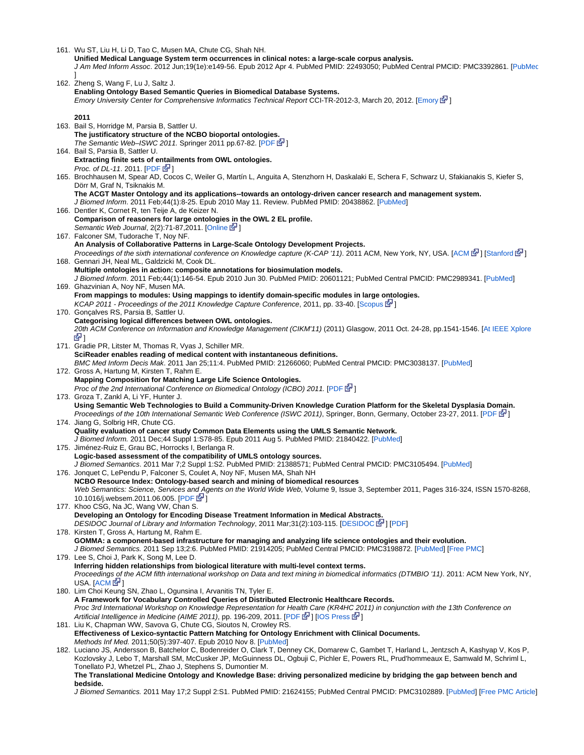161. Wu ST, Liu H, Li D, Tao C, Musen MA, Chute CG, Shah NH.

**Unified Medical Language System term occurrences in clinical notes: a large-scale corpus analysis.**

J Am Med Inform Assoc. 2012 Jun;19(1e):e149-56. Epub 2012 Apr 4. PubMed PMID: 22493050; PubMed Central PMCID: PMC3392861. [[PubMed](http://www.ncbi.nlm.nih.gov/pubmed/22493050) ]

162. Zheng S, Wang F, Lu J, Saltz J. 163. Bail S, Horridge M, Parsia B, Sattler U. 164. Bail S, Parsia B, Sattler U. 165. Brochhausen M, Spear AD, Cocos C, Weiler G, Martín L, Anguita A, Stenzhorn H, Daskalaki E, Schera F, Schwarz U, Sfakianakis S, Kiefer S, 166. Dentler K, Cornet R, ten Teije A, de Keizer N. 167. Falconer SM, Tudorache T, Noy NF. 168. Gennari JH, Neal ML, Galdzicki M, Cook DL. 169. Ghazvinian A, Noy NF, Musen MA. 170. Gonçalves RS, Parsia B, Sattler U. 171. Gradie PR, Litster M, Thomas R, Vyas J, Schiller MR. 172. Gross A, Hartung M, Kirsten T, Rahm E. 173. Groza T, Zankl A, Li YF, Hunter J. 174. Jiang G, Solbrig HR, Chute CG. 175. Jiménez-Ruiz E, Grau BC, Horrocks I, Berlanga R. 176. Jonquet C, LePendu P, Falconer S, Coulet A, Noy NF, Musen MA, Shah NH 177. Khoo CSG, Na JC, Wang VW, Chan S. 178. Kirsten T, Gross A, Hartung M, Rahm E. 179. Lee S, Choi J, Park K, Song M, Lee D. 180. Lim Choi Keung SN, Zhao L, Ogunsina I, Arvanitis TN, Tyler E. 181. Liu K, Chapman WW, Savova G, Chute CG, Sioutos N, Crowley RS. 182. Luciano JS, Andersson B, Batchelor C, Bodenreider O, Clark T, Denney CK, Domarew C, Gambet T, Harland L, Jentzsch A, Kashyap V, Kos P, **Enabling Ontology Based Semantic Queries in Biomedical Database Systems.** Emory University Center for Comprehensive Informatics Technical Report CCI-TR-2012-3, March 20, 2012. [\[Emory](http://confluence.cci.emory.edu:8090/download/attachments/4033450/CCI-TR-2012-3.pdf) E<sup>T</sup>] **2011 The justificatory structure of the NCBO bioportal ontologie[s.](http://www.cancer.gov/policies/linking)** The Semantic Web–ISWC 2011. Springer 2011 pp.67-82.  $[PDF]$  $[PDF]$  $[PDF]$ **Extracting finite sets of entailments from OWL ontologies.** *Proc.* of *DL-11.* 2011.  $[PDF \⊂>1]$  $[PDF \⊂>1]$ Dörr M, Graf N, Tsiknakis M. **The ACGT Master Ontology and its applications--towards an ontology-driven cancer research and management system.** J Biomed Inform. 2011 Feb;44(1):8-25. Epub 2010 May 11. Review. PubMed PMID: 20438862. [[PubMed\]](http://www.ncbi.nlm.nih.gov/pubmed/20438862) **Comparison of reasoners for large ontologies in the OWL 2 EL profile.** Semantic Web Journal, 2(2):71-87,2011. [\[Online](http://www.semantic-web-journal.net/content/comparison-reasoners-large-ontologies-owl-2-el-profile)  $\mathbb{Z}$ [\]](http://www.cancer.gov/policies/linking) **An Analysis of Collaborative Patterns in Large-Scale Ontology Development Projects.** Proceedings of the sixth international conference on Knowledge capture (K-CAP '11). 2011 [ACM](http://dl.acm.org/citation.cfm?id=1999682), New York, NY, USA. [ACM  $\mathbb{F}$ [\]](http://www.cancer.gov/policies/linking) [\[Stanford](http://web.stanford.edu/%7Enatalya/papers/p25-falconer.pdf)  $\mathbb{F}$ ] **Multiple ontologies in action: composite annotations for biosimulation models.** J Biomed Inform. 2011 Feb;44(1):146-54. Epub 2010 Jun 30. PubMed PMID: 20601121; PubMed Central PMCID: PMC2989341. [[PubMed\]](http://www.ncbi.nlm.nih.gov/pubmed/20601121) **From mappings to modules: Using mappings to identify domain-specific modules in large ontologies.** KCAP 2011 - Proceedings of the 2011 Knowledge Capture Conference, 2011, pp. 33-40. [[Scopus](http://www.scopus.com/inward/record.url?eid=2-s2.0-79960276657&partnerID=40&md5=89ee8ee5dc29c216c12b55745959a1c4) E<sup>1</sup>[\]](http://www.cancer.gov/policies/linking) **Categorising logical differences between OWL ontologies.** 20th ACM Conference on Information and Knowledge Management (CIKM'11) (2011) Glasgow, 2011 Oct. 24-28, pp.1541-1546. [\[At IEEE Xplore](http://ieeexplore.ieee.org/xpls/abs_all.jsp?arnumber=5999163&tag=1) **M** 1 **SciReader enables reading of medical content with instantaneous definitions.** BMC Med Inform Decis Mak. 2011 Jan 25;11:4. PubMed PMID: 21266060; PubMed Central PMCID: PMC3038137. [\[PubMed](http://www.ncbi.nlm.nih.gov/pubmed/21266060)] **Mapping Composition for Matching Large Life Science Ontologies.** Proc of the 2nd International Conference on Biomedical Ontology (ICBO) 2011. [[PDF](http://dbs.uni-leipzig.de/file/Mapping%20Composition%20for%20Matching%20Large%20Life%20Science%20Ontologies.pdf) & [\]](http://www.cancer.gov/policies/linking) **Using Semantic Web Technologies to Build a Community-Driven Knowledge Curation Platform for the Skeletal Dysplasia Domain.** Proceedings of the 10th International Semantic Web Conference (ISWC 2011), Springer, Bonn, Germany, October 23-27, 2011. [\[PDF](http://iswc2011.semanticweb.org/fileadmin/iswc/Papers/In-Use/70320081.pdf) [N[\]](http://www.cancer.gov/policies/linking)] **Quality evaluation of cancer study Common Data Elements using the UMLS Semantic Network.** J Biomed Inform. 2011 Dec;44 Suppl 1:S78-85. Epub 2011 Aug 5. PubMed PMID: 21840422. [[PubMed\]](http://www.ncbi.nlm.nih.gov/pubmed/21840422) **Logic-based assessment of the compatibility of UMLS ontology sources.** J Biomed Semantics. 2011 Mar 7;2 Suppl 1:S2. PubMed PMID: 21388571; PubMed Central PMCID: PMC3105494. [[PubMed\]](http://www.ncbi.nlm.nih.gov/pubmed/21388571) **NCBO Resource Index: Ontology-based search and mining of biomedical resources** Web Semantics: Science, Services and Agents on the World Wide Web, Volume 9, Issue 3, September 2011, Pages 316-324, ISSN 1570-8268, 10.1016/j.websem.2011.06.005. [[PDF](https://hal.archives-ouvertes.fr/file/index/docid/622155/filename/Article-JWS11-ncbo.pdf) E<sup>1</sup>[\]](http://www.cancer.gov/policies/linking) **Developing an Ontology for Encoding Disease Treatment Information in Medical Abstracts.** [DESIDOC](http://publications.drdo.gov.in/ojs/index.php/djlit/article/view/862) Journal of Library and Information Technology, 2011 Mar;31(2):103-115. [DESIDOC PI] [[PDF\]](http://www.bioontology.org/sites/default/files/Developing%20an%20ontology%20for%20encoding%20disease%20treatment.pdf) **GOMMA: a component-based infrastructure for managing and analyzing life science ontologies and their evolution.** J Biomed Semantics. 2011 Sep 13;2:6. PubMed PMID: 21914205; PubMed Central PMCID: PMC3198872. [[PubMed\]](http://www.ncbi.nlm.nih.gov/pubmed/21914205) [\[Free PMC](http://www.ncbi.nlm.nih.gov/pubmed/21914205)] **Inferring hidden relationships from biological literature with multi-level context terms.** Proceedings of the ACM fifth international workshop on Data and text mining in biomedical informatics (DTMBIO '11). 2011: ACM New York, NY, USA. [[ACM](http://dl.acm.org/citation.cfm?id=2064704) G ] **A Framework for Vocabulary Controlled Queries of Distributed Electronic Healthcare Records.** Proc 3rd International Workshop on Knowledge Representation for Health Care (KR4HC 2011) in conjunction with the 13th Conference on Artificial Intelligence in Medicine (AIME 2011), pp. 196-209, 2011. [[PDF](http://www.sarahlck.co.uk/files/kr4hc2011.pdf)  $\mathbb{F}$ [\]](http://www.cancer.gov/policies/linking) [[IOS Press](http://booksonline.iospress.nl/Content/View.aspx?piid=31340)  $\mathbb{F}$ ] **Effectiveness of Lexico-syntactic Pattern Matching for Ontology Enrichment with Clinical Documents.** Methods Inf Med. 2011;50(5):397-407. Epub 2010 Nov 8. [\[PubMed](http://www.ncbi.nlm.nih.gov/pubmed/21057720)] Kozlovsky J, Lebo T, Marshall SM, McCusker JP, McGuinness DL, Ogbuji C, Pichler E, Powers RL, Prud'hommeaux E, Samwald M, Schriml L, Tonellato PJ, Whetzel PL, Zhao J, Stephens S, Dumontier M. **The Translational Medicine Ontology and Knowledge Base: driving personalized medicine by bridging the gap between bench and bedside.**

J Biomed Semantics. 2011 May 17;2 Suppl 2:S1. PubMed PMID: 21624155; PubMed Central PMCID: PMC3102889. [\[PubMed](http://www.ncbi.nlm.nih.gov/pubmed/21624155)] [\[Free PMC Article\]](http://www.ncbi.nlm.nih.gov/pubmed/21624155)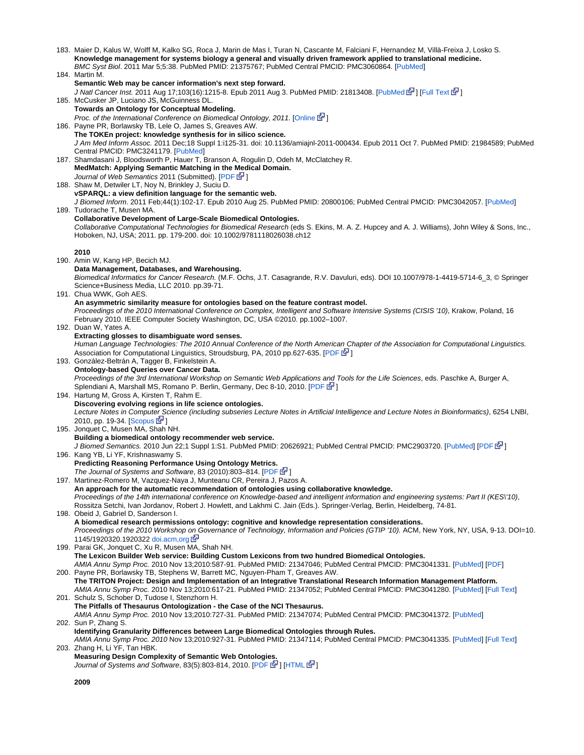| 183. Maier D, Kalus W, Wolff M, Kalko SG, Roca J, Marin de Mas I, Turan N, Cascante M, Falciani F, Hernandez M, Villà-Freixa J, Losko S.<br>Knowledge management for systems biology a general and visually driven framework applied to translational medicine.<br>BMC Syst Biol. 2011 Mar 5;5:38. PubMed PMID: 21375767; PubMed Central PMCID: PMC3060864. [PubMed] |
|----------------------------------------------------------------------------------------------------------------------------------------------------------------------------------------------------------------------------------------------------------------------------------------------------------------------------------------------------------------------|
| 184. Martin M.<br>Semantic Web may be cancer information's next step forward.                                                                                                                                                                                                                                                                                        |
| J Natl Cancer Inst. 2011 Aug 17;103(16):1215-8. Epub 2011 Aug 3. PubMed PMID: 21813408. [PubMed & ] [Full Text & ]                                                                                                                                                                                                                                                   |
| 185. McCusker JP, Luciano JS, McGuinness DL.<br>Towards an Ontology for Conceptual Modeling.                                                                                                                                                                                                                                                                         |
| Proc. of the International Conference on Biomedical Ontology, 2011. [Online Sal]                                                                                                                                                                                                                                                                                     |
| 186. Payne PR, Borlawsky TB, Lele O, James S, Greaves AW.                                                                                                                                                                                                                                                                                                            |
| The TOKEn project: knowledge synthesis for in silico science.<br>J Am Med Inform Assoc. 2011 Dec;18 Suppl 1:i125-31. doi: 10.1136/amiajnl-2011-000434. Epub 2011 Oct 7. PubMed PMID: 21984589; PubMed<br>Central PMCID: PMC3241179. [PubMed]                                                                                                                         |
| 187. Shamdasani J, Bloodsworth P, Hauer T, Branson A, Rogulin D, Odeh M, McClatchey R.<br>MedMatch: Applying Semantic Matching in the Medical Domain.                                                                                                                                                                                                                |
| Journal of Web Semantics 2011 (Submitted). [PDF E <sup>J</sup> ]<br>188. Shaw M, Detwiler LT, Noy N, Brinkley J, Suciu D.                                                                                                                                                                                                                                            |
| vSPARQL: a view definition language for the semantic web.<br>J Biomed Inform. 2011 Feb;44(1):102-17. Epub 2010 Aug 25. PubMed PMID: 20800106; PubMed Central PMCID: PMC3042057. [PubMed]<br>189. Tudorache T, Musen MA.                                                                                                                                              |
| <b>Collaborative Development of Large-Scale Biomedical Ontologies.</b>                                                                                                                                                                                                                                                                                               |
| Collaborative Computational Technologies for Biomedical Research (eds S. Ekins, M. A. Z. Hupcey and A. J. Williams), John Wiley & Sons, Inc.,<br>Hoboken, NJ, USA; 2011. pp. 179-200. doi: 10.1002/9781118026038.ch12                                                                                                                                                |
| 2010<br>190. Amin W, Kang HP, Becich MJ.                                                                                                                                                                                                                                                                                                                             |
| Data Management, Databases, and Warehousing.                                                                                                                                                                                                                                                                                                                         |
| Biomedical Informatics for Cancer Research. (M.F. Ochs, J.T. Casagrande, R.V. Davuluri, eds). DOI 10.1007/978-1-4419-5714-6_3, @ Springer<br>Science+Business Media, LLC 2010. pp.39-71.<br>191. Chua WWK, Goh AES.                                                                                                                                                  |
| An asymmetric similarity measure for ontologies based on the feature contrast model.                                                                                                                                                                                                                                                                                 |
| Proceedings of the 2010 International Conference on Complex, Intelligent and Software Intensive Systems (CISIS '10), Krakow, Poland, 16<br>February 2010. IEEE Computer Society Washington, DC, USA @2010. pp.1002-1007.                                                                                                                                             |
| 192. Duan W, Yates A.                                                                                                                                                                                                                                                                                                                                                |
| Extracting glosses to disambiguate word senses.<br>Human Language Technologies: The 2010 Annual Conference of the North American Chapter of the Association for Computational Linguistics.                                                                                                                                                                           |
| Association for Computational Linguistics, Stroudsburg, PA, 2010 pp.627-635. [PDF E ]                                                                                                                                                                                                                                                                                |
| 193. González-Beltrán A, Tagger B, Finkelstein A.<br><b>Ontology-based Queries over Cancer Data.</b>                                                                                                                                                                                                                                                                 |
| Proceedings of the 3rd International Workshop on Semantic Web Applications and Tools for the Life Sciences, eds. Paschke A, Burger A,<br>Splendiani A, Marshall MS, Romano P. Berlin, Germany, Dec 8-10, 2010. [PDF G <sup>1</sup> ]                                                                                                                                 |
| 194. Hartung M, Gross A, Kirsten T, Rahm E.<br>Discovering evolving regions in life science ontologies.                                                                                                                                                                                                                                                              |
| Lecture Notes in Computer Science (including subseries Lecture Notes in Artificial Intelligence and Lecture Notes in Bioinformatics), 6254 LNBI,                                                                                                                                                                                                                     |
| 2010, pp. 19-34. [Scopus <b>E</b> <sup>1</sup> ]<br>195. Jonquet C, Musen MA, Shah NH.                                                                                                                                                                                                                                                                               |
| Building a biomedical ontology recommender web service.                                                                                                                                                                                                                                                                                                              |
| J Biomed Semantics. 2010 Jun 22;1 Suppl 1:S1. PubMed PMID: 20626921; PubMed Central PMCID: PMC2903720. [PubMed] [PDF E <sup>7</sup> ]<br>196. Kang YB, Li YF, Krishnaswamy S.                                                                                                                                                                                        |
| <b>Predicting Reasoning Performance Using Ontology Metrics.</b>                                                                                                                                                                                                                                                                                                      |
| The Journal of Systems and Software, 83 (2010):803-814. [PDF & 1<br>197. Martinez-Romero M, Vazquez-Naya J, Munteanu CR, Pereira J, Pazos A.                                                                                                                                                                                                                         |
| An approach for the automatic recommendation of ontologies using collaborative knowledge.                                                                                                                                                                                                                                                                            |
| Proceedings of the 14th international conference on Knowledge-based and intelligent information and engineering systems: Part II (KES\'10),<br>Rossitza Setchi, Ivan Jordanov, Robert J. Howlett, and Lakhmi C. Jain (Eds.). Springer-Verlag, Berlin, Heidelberg, 74-81.                                                                                             |
| 198. Obeid J, Gabriel D, Sanderson I.                                                                                                                                                                                                                                                                                                                                |
| A biomedical research permissions ontology: cognitive and knowledge representation considerations.<br>Proceedings of the 2010 Workshop on Governance of Technology, Information and Policies (GTIP '10). ACM, New York, NY, USA, 9-13. DOI=10.                                                                                                                       |
| 1145/1920320.1920322 doi.acm.org M                                                                                                                                                                                                                                                                                                                                   |
| 199. Parai GK, Jonquet C, Xu R, Musen MA, Shah NH.<br>The Lexicon Builder Web service: Building Custom Lexicons from two hundred Biomedical Ontologies.                                                                                                                                                                                                              |
| AMIA Annu Symp Proc. 2010 Nov 13;2010:587-91. PubMed PMID: 21347046; PubMed Central PMCID: PMC3041331. [PubMed] [PDF]                                                                                                                                                                                                                                                |
| 200. Payne PR, Borlawsky TB, Stephens W, Barrett MC, Nguyen-Pham T, Greaves AW.                                                                                                                                                                                                                                                                                      |
| The TRITON Project: Design and Implementation of an Integrative Translational Research Information Management Platform.<br>AMIA Annu Symp Proc. 2010 Nov 13;2010:617-21. PubMed PMID: 21347052; PubMed Central PMCID: PMC3041280. [PubMed] [Full Text]                                                                                                               |
| 201. Schulz S, Schober D, Tudose I, Stenzhorn H.                                                                                                                                                                                                                                                                                                                     |
| The Pitfalls of Thesaurus Ontologization - the Case of the NCI Thesaurus.<br>AMIA Annu Symp Proc. 2010 Nov 13;2010:727-31. PubMed PMID: 21347074; PubMed Central PMCID: PMC3041372. [PubMed]                                                                                                                                                                         |
| 202. Sun P, Zhang S.                                                                                                                                                                                                                                                                                                                                                 |
| Identifying Granularity Differences between Large Biomedical Ontologies through Rules.<br>AMIA Annu Symp Proc. 2010 Nov 13;2010:927-31. PubMed PMID: 21347114; PubMed Central PMCID: PMC3041335. [PubMed] [Full Text]                                                                                                                                                |
| 203. Zhang H, Li YF, Tan HBK.<br>Measuring Design Complexity of Semantic Web Ontologies.                                                                                                                                                                                                                                                                             |
| Journal of Systems and Software, 83(5):803-814, 2010. [PDF B ] [HTML B ]                                                                                                                                                                                                                                                                                             |
|                                                                                                                                                                                                                                                                                                                                                                      |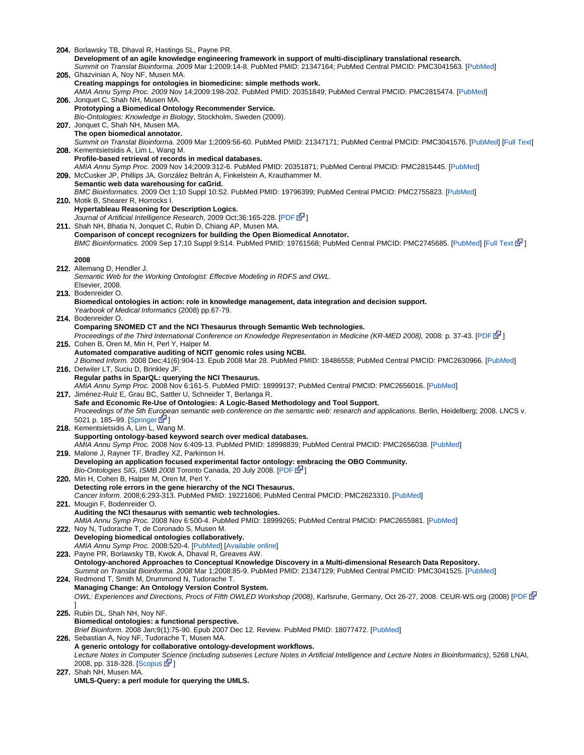204. Borlawsky TB, Dhaval R, Hastings SL, Payne PR. 205. Ghazvinian A, Noy NF, Musen MA. 206. Jonquet C, Shah NH, Musen MA. 207. Jonquet C, Shah NH, Musen MA. 208. Kementsietsidis A, Lim L, Wang M. 209. McCusker JP, Phillips JA, González Beltrán A, Finkelstein A, Krauthammer M. 210. Motik B, Shearer R, Horrocks I. 211. Shah NH, Bhatia N, Jonquet C, Rubin D, Chiang AP, Musen MA. 212. Allemang D, Hendler J. 213. Bodenreider O. 214. Bodenreider O. 215. Cohen B, Oren M, Min H, Perl Y, Halper M. 216. Detwiler LT, Suciu D, Brinkley JF. 217. Jiménez-Ruiz E, Grau BC, Sattler U, Schneider T, Berlanga R. 218. Kementsietsidis A, Lim L, Wang M. 219. Malone J, Rayner TF, Bradley XZ, Parkinson H. 220. Min H, Cohen B, Halper M, Oren M, Perl Y. 221. Mougin F, Bodenreider O. 222. Noy N, Tudorache T, de Coronado S, Musen M. 223. Payne PR, Borlawsky TB, Kwok A, Dhaval R, Greaves AW. 224. Redmond T, Smith M, Drummond N, Tudorache T. 225. Rubin DL, Shah NH, Noy NF. 226. Sebastian A, Noy NF, Tudorache T, Musen MA. 227. Shah NH, Musen MA. **Development of an agile knowledge engineering framework in support of multi-disciplinary translational research.** Summit on Translat Bioinforma. 2009 Mar 1;2009:14-8. PubMed PMID: 21347164; PubMed Central PMCID: PMC3041563. [\[PubMed](http://www.ncbi.nlm.nih.gov/pubmed/21347164)] **Creating mappings for ontologies in biomedicine: simple methods work.** AMIA Annu Symp Proc. 2009 Nov 14;2009:198-202. PubMed PMID: 20351849; PubMed Central PMCID: PMC2815474. [\[PubMed](https://www.ncbi.nlm.nih.gov/pubmed/20351849)] **Prototyping a Biomedical Ontology Recommender Service.** Bio-Ontologies: Knowledge in Biology, Stockholm, Sweden (2009). **The open biomedical annotator.** Summit on Translat Bioinforma. 2009 Mar 1;2009:56-60. PubMed PMID: 21347171; PubMed Central PMCID: PMC3041576. [\[PubMed](http://www.ncbi.nlm.nih.gov/pubmed/21347171)] [[Full Text](http://www.ncbi.nlm.nih.gov/pmc/articles/PMC3041576/?tool=pubmed)] **Profile-based retrieval of records in medical databases.** AMIA Annu Symp Proc. 2009 Nov 14;2009:312-6. PubMed PMID: 20351871; PubMed Central PMCID: PMC2815445. [[PubMed\]](http://www.ncbi.nlm.nih.gov/pubmed/20351871) **Semantic web data warehousing for caGrid.** BMC Bioinformatics. 2009 Oct 1;10 Suppl 10:S2. PubMed PMID: 19796399; PubMed Central PMCID: PMC2755823. [\[PubMed](http://www.ncbi.nlm.nih.gov/pubmed/19796399)] **Hypertableau Reasoning for Description Logics.** Journal of Artificial Intelligence Research, 2009 Oct;36:165-228. [\[PDF](http://jair.org/media/2811/live-2811-4689-jair.pdf) & ] **Comparison of concept recognizers for building the Open Biomedical Annotator.** BMC Bioinformatics. 2009 Sep 17;10 Suppl 9:S14. PubMed PMID: 19761568; PubMed Central PMCID: PMC2745685. [\[PubMed](http://www.ncbi.nlm.nih.gov/pubmed/19761568)] [[Full Text](http://www.biomedcentral.com/1471-2105/10/S9/S14) [S[\]](http://www.cancer.gov/policies/linking)] **2008** Semantic Web for the Working Ontologist: Effective Modeling in RDFS and OWL. Elsevier, 2008. **Biomedical ontologies in action: role in knowledge management, data integration and decision support.** Yearbook of Medical Informatics (2008) pp.67-79. **Comparing SNOMED CT and the NCI Thesaurus through Semantic Web technologies.** Proceedings of the Third International Conference on Knowledge Representation in Medicine (KR-MED 2008), 2008: p. 37-43. [[PDF](http://sunsite.informatik.rwth-aachen.de/Publications/CEUR-WS/Vol-410/Paper07.pdf) 图] **Automated comparative auditing of NCIT genomic roles using NCBI.** J Biomed Inform. 2008 Dec;41(6):904-13. Epub 2008 Mar 28. PubMed PMID: 18486558; PubMed Central PMCID: PMC2630966. [\[PubMed](http://www.ncbi.nlm.nih.gov/pubmed/18486558)] **Regular paths in SparQL: querying the NCI Thesaurus.** AMIA Annu Symp Proc. 2008 Nov 6:161-5. PubMed PMID: 18999137; PubMed Central PMCID: PMC2656016. [[PubMed\]](http://www.ncbi.nlm.nih.gov/pubmed/18999137) **Safe and Economic Re-Use of Ontologies: A Logic-Based Methodology and Tool Support.** Proceedings of the 5th European semantic web conference on the semantic web: research and applications. Berlin, Heidelberg; 2008. LNCS v. 5021 p. 185-99. [\[Springer](http://dx.doi.org/10.1007/978-3-540-68234-9_16)  $\mathbb{F}$ ] **Supporting ontology-based keyword search over medical databases.** AMIA Annu Symp Proc. 2008 Nov 6:409-13. PubMed PMID: 18998839; PubMed Central PMCID: PMC2656038. [\[PubMed\]](http://www.ncbi.nlm.nih.gov/pubmed/18998839) **Developing an application focused experimental factor ontology: embracing the OBO Community.** Bio-Ontologies SIG, ISMB 2008 Toronto Canada, 20 July 2008. [[PDF](http://www.ebi.ac.uk/efo/malone_bioontologies_2008.pdf) & ] **Detecting role errors in the gene hierarchy of the NCI Thesaurus.** Cancer Inform. 2008;6:293-313. PubMed PMID: 19221606; PubMed Central PMCID: PMC2623310. [[PubMed\]](http://www.ncbi.nlm.nih.gov/pubmed/19221606) **Auditing the NCI thesaurus with semantic web technologies.** AMIA Annu Symp Proc. 2008 Nov 6:500-4. PubMed PMID: 18999265; PubMed Central PMCID: PMC2655981. [[PubMed\]](http://www.ncbi.nlm.nih.gov/pubmed/18999265) **Developing biomedical ontologies collaboratively.** AMIA Annu Symp Proc. 2008:520-4. [\[PubMed](http://www.ncbi.nlm.nih.gov/pubmed/18998901)] [\[Available online\]](http://www.ncbi.nlm.nih.gov/pmc/articles/PMC2656043/pdf/amia-0520-s2008.pdf) **Ontology-anchored Approaches to Conceptual Knowledge Discovery in a Multi-dimensional Research Data Repository.** Summit on Translat Bioinforma. 2008 Mar 1;2008:85-9. PubMed PMID: 21347129; PubMed Central PMCID: PMC3041525. [\[PubMed](http://www.ncbi.nlm.nih.gov/pubmed/21347129)] **Managing Change: An Ontology Version Control System.** OWL: Experiences and Directions, Procs of Fifth OWLED Workshop (2008), Karlsruhe, Germany, Oct 26-27, 2008. CEUR-WS.org (2008) [\[PDF](http://ceur-ws.org/Vol-432/owled2008eu_submission_33.pdf) GP ] **Biomedical ontologies: a functional perspective.** Brief Bioinform. 2008 Jan;9(1):75-90. Epub 2007 Dec 12. Review. PubMed PMID: 18077472. [[PubMed\]](http://www.ncbi.nlm.nih.gov/pubmed/18077472) **A generic ontology for collaborative ontology-development workflows.** Lecture Notes in Computer [Scie](http://www.cancer.gov/policies/linking)nce (including subseries Lecture Notes in Artificial Intelligence and Lecture Notes in Bioinformatics), 5268 LNAI, 2008, pp. 318-328. [\[Scopus](http://www.scopus.com/inward/record.url?eid=2-s2.0-56649105039&partnerID=40&md5=3ee1963c5952f19952e28d3e049f3dd4) L<sup>ed</sup>] **UMLS-Query: a perl module for querying the UMLS.**